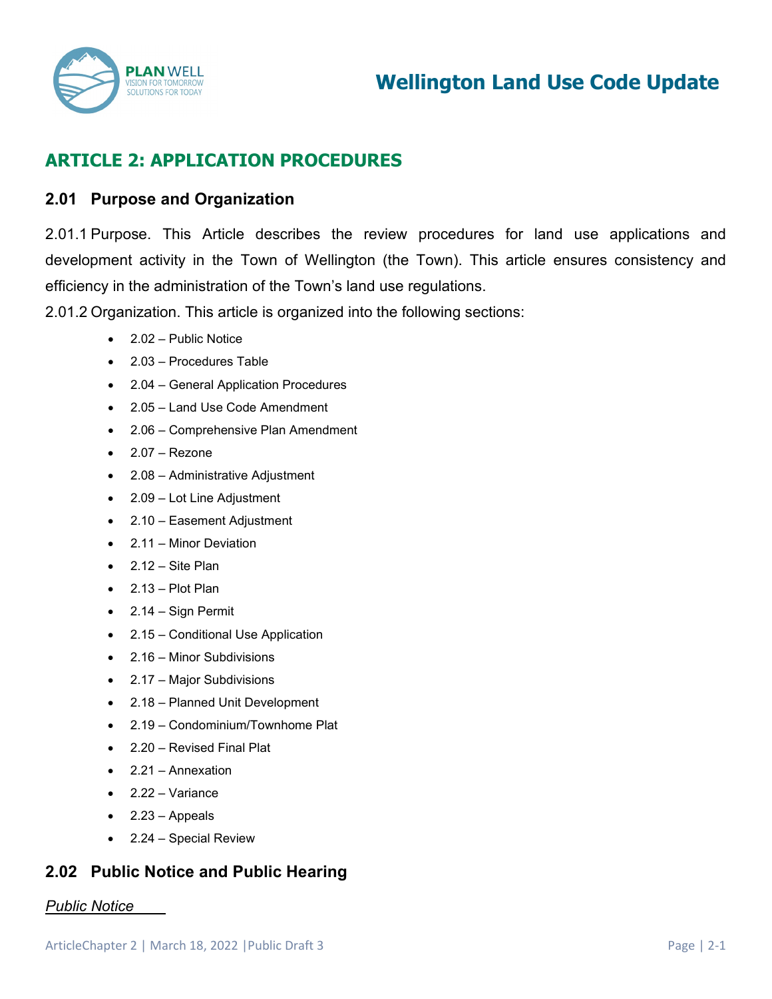

# **ARTICLE 2: APPLICATION PROCEDURES**

## **2.01 Purpose and Organization**

2.01.1 Purpose. This Article describes the review procedures for land use applications and development activity in the Town of Wellington (the Town). This article ensures consistency and efficiency in the administration of the Town's land use regulations.

2.01.2 Organization. This article is organized into the following sections:

- 2.02 Public Notice
- 2.03 Procedures Table
- 2.04 General Application Procedures
- 2.05 Land Use Code Amendment
- 2.06 Comprehensive Plan Amendment
- 2.07 Rezone
- 2.08 Administrative Adjustment
- 2.09 Lot Line Adjustment
- 2.10 Easement Adjustment
- 2.11 Minor Deviation
- $\bullet$  2.12 Site Plan
- $\bullet$  2.13 Plot Plan
- 2.14 Sign Permit
- 2.15 Conditional Use Application
- 2.16 Minor Subdivisions
- 2.17 Major Subdivisions
- 2.18 Planned Unit Development
- 2.19 Condominium/Townhome Plat
- 2.20 Revised Final Plat
- 2.21 Annexation
- 2.22 Variance
- $\bullet$  2.23 Appeals
- 2.24 Special Review

# **2.02 Public Notice and Public Hearing**

### *Public Notice*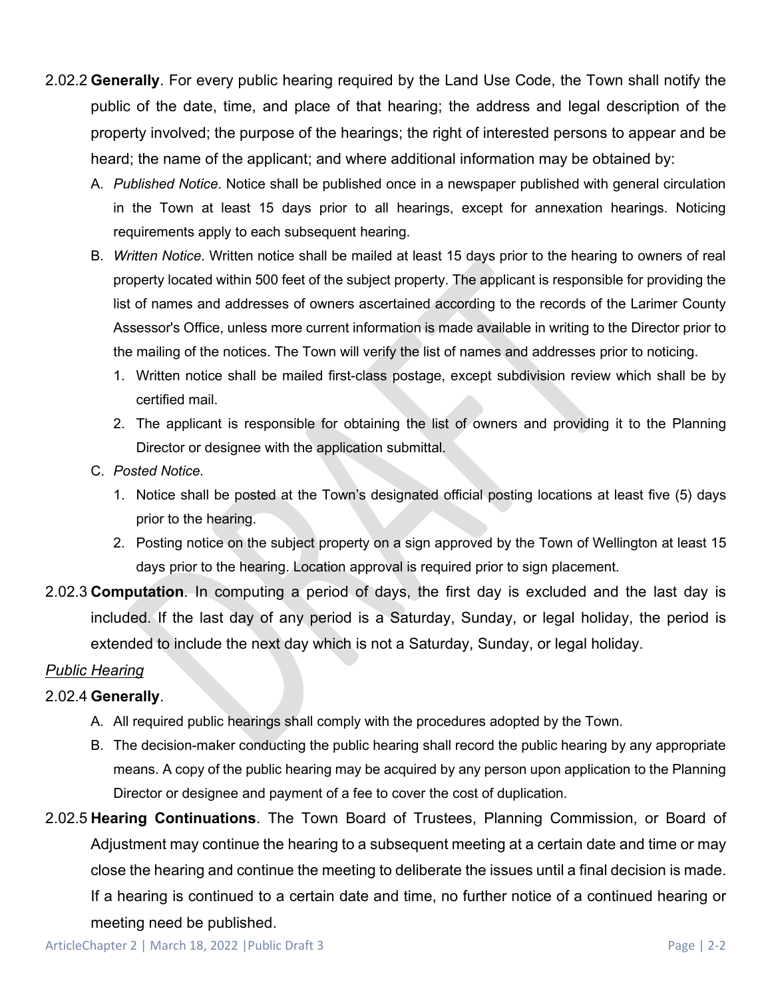- 2.02.2 **Generally**. For every public hearing required by the Land Use Code, the Town shall notify the public of the date, time, and place of that hearing; the address and legal description of the property involved; the purpose of the hearings; the right of interested persons to appear and be heard; the name of the applicant; and where additional information may be obtained by:
	- A. *Published Notice*. Notice shall be published once in a newspaper published with general circulation in the Town at least 15 days prior to all hearings, except for annexation hearings. Noticing requirements apply to each subsequent hearing.
	- B. *Written Notice*. Written notice shall be mailed at least 15 days prior to the hearing to owners of real property located within 500 feet of the subject property. The applicant is responsible for providing the list of names and addresses of owners ascertained according to the records of the Larimer County Assessor's Office, unless more current information is made available in writing to the Director prior to the mailing of the notices. The Town will verify the list of names and addresses prior to noticing.
		- 1. Written notice shall be mailed first-class postage, except subdivision review which shall be by certified mail.
		- 2. The applicant is responsible for obtaining the list of owners and providing it to the Planning Director or designee with the application submittal.
	- C. *Posted Notice*.
		- 1. Notice shall be posted at the Town's designated official posting locations at least five (5) days prior to the hearing.
		- 2. Posting notice on the subject property on a sign approved by the Town of Wellington at least 15 days prior to the hearing. Location approval is required prior to sign placement.
- 2.02.3 **Computation**. In computing a period of days, the first day is excluded and the last day is included. If the last day of any period is a Saturday, Sunday, or legal holiday, the period is extended to include the next day which is not a Saturday, Sunday, or legal holiday.

## *Public Hearing*

### 2.02.4 **Generally**.

- A. All required public hearings shall comply with the procedures adopted by the Town.
- B. The decision-maker conducting the public hearing shall record the public hearing by any appropriate means. A copy of the public hearing may be acquired by any person upon application to the Planning Director or designee and payment of a fee to cover the cost of duplication.
- 2.02.5 **Hearing Continuations**. The Town Board of Trustees, Planning Commission, or Board of Adjustment may continue the hearing to a subsequent meeting at a certain date and time or may close the hearing and continue the meeting to deliberate the issues until a final decision is made. If a hearing is continued to a certain date and time, no further notice of a continued hearing or meeting need be published.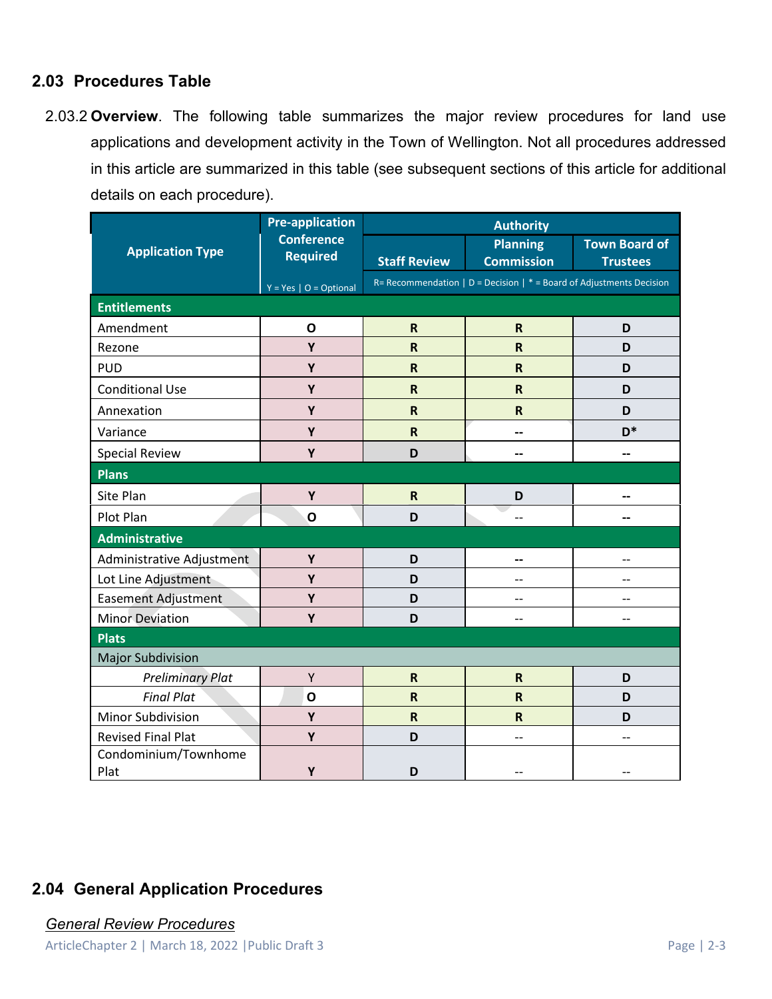## **2.03 Procedures Table**

2.03.2 **Overview**. The following table summarizes the major review procedures for land use applications and development activity in the Town of Wellington. Not all procedures addressed in this article are summarized in this table (see subsequent sections of this article for additional details on each procedure).

| <b>Application Type</b>      | <b>Pre-application</b><br><b>Conference</b><br><b>Required</b> | <b>Authority</b>                                                       |                                      |                                         |
|------------------------------|----------------------------------------------------------------|------------------------------------------------------------------------|--------------------------------------|-----------------------------------------|
|                              |                                                                | <b>Staff Review</b>                                                    | <b>Planning</b><br><b>Commission</b> | <b>Town Board of</b><br><b>Trustees</b> |
|                              | $Y = Yes \mid O = Optional$                                    | R= Recommendation   D = Decision   $*$ = Board of Adjustments Decision |                                      |                                         |
| <b>Entitlements</b>          |                                                                |                                                                        |                                      |                                         |
| Amendment                    | $\mathbf{o}$                                                   | $\mathsf{R}$                                                           | $\mathsf R$                          | D                                       |
| Rezone                       | Y                                                              | $\overline{\mathsf{R}}$                                                | $\overline{\mathsf{R}}$              | D                                       |
| <b>PUD</b>                   | Y                                                              | $\overline{\mathsf{R}}$                                                | $\overline{\mathsf{R}}$              | D                                       |
| <b>Conditional Use</b>       | Υ                                                              | $\mathbf R$                                                            | $\mathsf{R}$                         | D                                       |
| Annexation                   | Y                                                              | $\mathsf R$                                                            | $\mathsf R$                          | D                                       |
| Variance                     | Υ                                                              | $\mathsf R$                                                            | --                                   | $D^*$                                   |
| <b>Special Review</b>        | Y                                                              | D                                                                      | --                                   |                                         |
| <b>Plans</b>                 |                                                                |                                                                        |                                      |                                         |
| Site Plan                    | Υ                                                              | ${\sf R}$                                                              | D                                    |                                         |
| Plot Plan                    | $\mathbf{o}$                                                   | D                                                                      | $-$                                  | --                                      |
| <b>Administrative</b>        |                                                                |                                                                        |                                      |                                         |
| Administrative Adjustment    | Y                                                              | D                                                                      | --                                   | --                                      |
| Lot Line Adjustment          | Y                                                              | D                                                                      | $-$                                  | $-$                                     |
| <b>Easement Adjustment</b>   | Y                                                              | D                                                                      | --                                   | $-$                                     |
| <b>Minor Deviation</b>       | Y                                                              | D                                                                      | $-$                                  |                                         |
| <b>Plats</b>                 |                                                                |                                                                        |                                      |                                         |
| <b>Major Subdivision</b>     |                                                                |                                                                        |                                      |                                         |
| <b>Preliminary Plat</b>      | Υ                                                              | $\mathsf R$                                                            | $\mathsf R$                          | D                                       |
| <b>Final Plat</b>            | $\mathbf{o}$                                                   | $\mathsf R$                                                            | $\overline{\mathsf{R}}$              | D                                       |
| Minor Subdivision            | Y                                                              | $\overline{\mathsf{R}}$                                                | $\mathsf{R}$                         | D                                       |
| <b>Revised Final Plat</b>    | Y                                                              | D                                                                      | --                                   | $-$                                     |
| Condominium/Townhome<br>Plat | Y                                                              | D                                                                      |                                      |                                         |

# **2.04 General Application Procedures**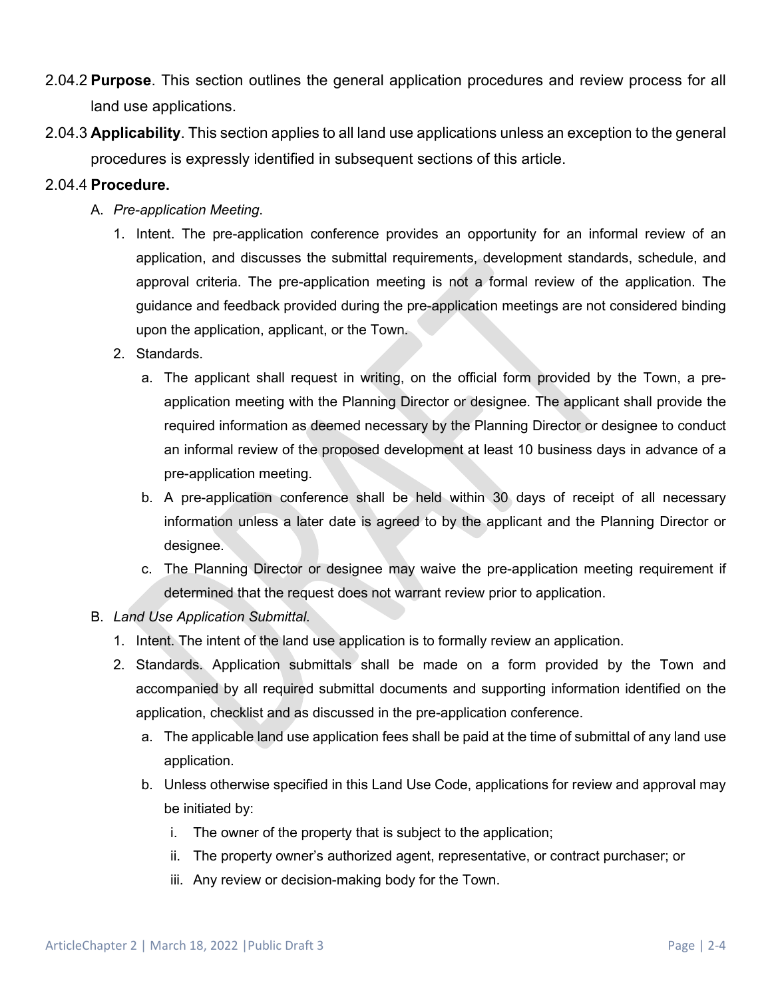- 2.04.2 **Purpose**. This section outlines the general application procedures and review process for all land use applications.
- 2.04.3 **Applicability**. This section applies to all land use applications unless an exception to the general procedures is expressly identified in subsequent sections of this article.

#### 2.04.4 **Procedure.**

- A. *Pre-application Meeting*.
	- 1. Intent. The pre-application conference provides an opportunity for an informal review of an application, and discusses the submittal requirements, development standards, schedule, and approval criteria. The pre-application meeting is not a formal review of the application. The guidance and feedback provided during the pre-application meetings are not considered binding upon the application, applicant, or the Town.
	- 2. Standards.
		- a. The applicant shall request in writing, on the official form provided by the Town, a preapplication meeting with the Planning Director or designee. The applicant shall provide the required information as deemed necessary by the Planning Director or designee to conduct an informal review of the proposed development at least 10 business days in advance of a pre-application meeting.
		- b. A pre-application conference shall be held within 30 days of receipt of all necessary information unless a later date is agreed to by the applicant and the Planning Director or designee.
		- c. The Planning Director or designee may waive the pre-application meeting requirement if determined that the request does not warrant review prior to application.
- B. *Land Use Application Submittal*.
	- 1. Intent. The intent of the land use application is to formally review an application.
	- 2. Standards. Application submittals shall be made on a form provided by the Town and accompanied by all required submittal documents and supporting information identified on the application, checklist and as discussed in the pre-application conference.
		- a. The applicable land use application fees shall be paid at the time of submittal of any land use application.
		- b. Unless otherwise specified in this Land Use Code, applications for review and approval may be initiated by:
			- i. The owner of the property that is subject to the application;
			- ii. The property owner's authorized agent, representative, or contract purchaser; or
			- iii. Any review or decision-making body for the Town.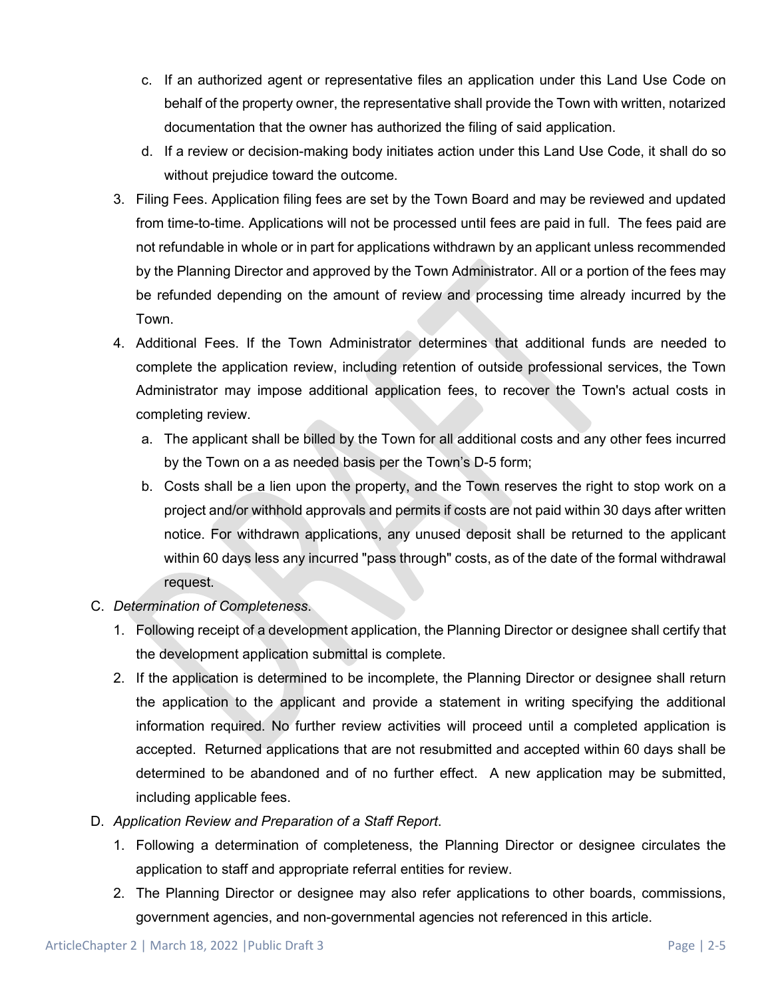- c. If an authorized agent or representative files an application under this Land Use Code on behalf of the property owner, the representative shall provide the Town with written, notarized documentation that the owner has authorized the filing of said application.
- d. If a review or decision-making body initiates action under this Land Use Code, it shall do so without prejudice toward the outcome.
- 3. Filing Fees. Application filing fees are set by the Town Board and may be reviewed and updated from time-to-time. Applications will not be processed until fees are paid in full. The fees paid are not refundable in whole or in part for applications withdrawn by an applicant unless recommended by the Planning Director and approved by the Town Administrator. All or a portion of the fees may be refunded depending on the amount of review and processing time already incurred by the Town.
- 4. Additional Fees. If the Town Administrator determines that additional funds are needed to complete the application review, including retention of outside professional services, the Town Administrator may impose additional application fees, to recover the Town's actual costs in completing review.
	- a. The applicant shall be billed by the Town for all additional costs and any other fees incurred by the Town on a as needed basis per the Town's D-5 form;
	- b. Costs shall be a lien upon the property, and the Town reserves the right to stop work on a project and/or withhold approvals and permits if costs are not paid within 30 days after written notice. For withdrawn applications, any unused deposit shall be returned to the applicant within 60 days less any incurred "pass through" costs, as of the date of the formal withdrawal request.
- C. *Determination of Completeness*.
	- 1. Following receipt of a development application, the Planning Director or designee shall certify that the development application submittal is complete.
	- 2. If the application is determined to be incomplete, the Planning Director or designee shall return the application to the applicant and provide a statement in writing specifying the additional information required. No further review activities will proceed until a completed application is accepted. Returned applications that are not resubmitted and accepted within 60 days shall be determined to be abandoned and of no further effect. A new application may be submitted, including applicable fees.
- D. *Application Review and Preparation of a Staff Report*.
	- 1. Following a determination of completeness, the Planning Director or designee circulates the application to staff and appropriate referral entities for review.
	- 2. The Planning Director or designee may also refer applications to other boards, commissions, government agencies, and non-governmental agencies not referenced in this article.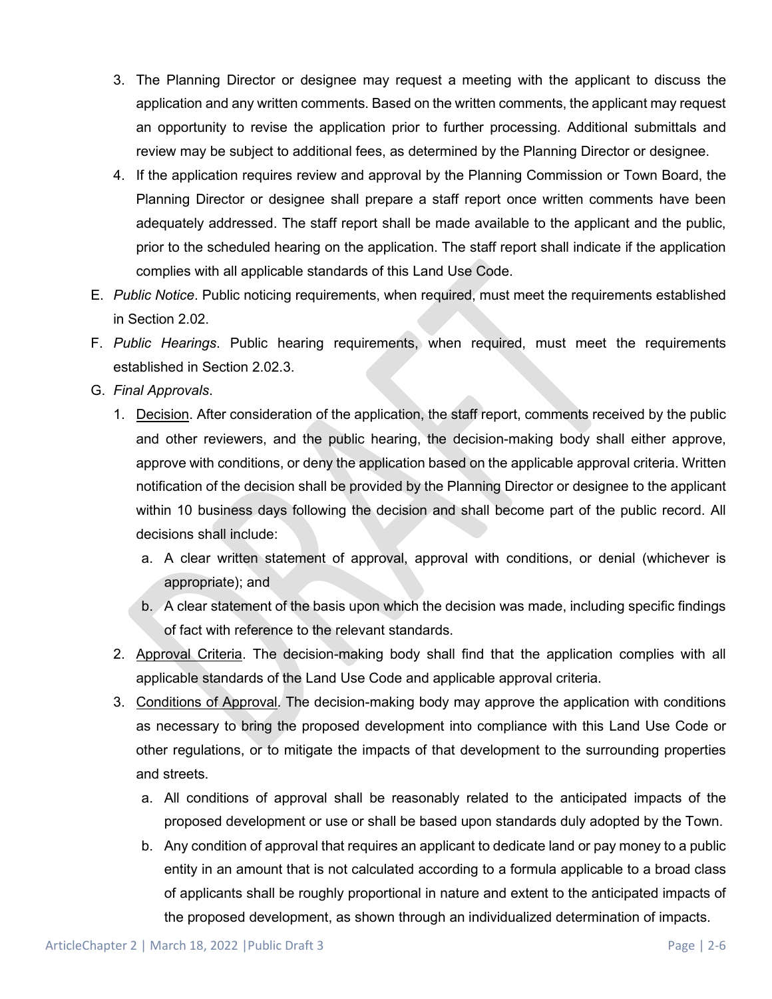- 3. The Planning Director or designee may request a meeting with the applicant to discuss the application and any written comments. Based on the written comments, the applicant may request an opportunity to revise the application prior to further processing. Additional submittals and review may be subject to additional fees, as determined by the Planning Director or designee.
- 4. If the application requires review and approval by the Planning Commission or Town Board, the Planning Director or designee shall prepare a staff report once written comments have been adequately addressed. The staff report shall be made available to the applicant and the public, prior to the scheduled hearing on the application. The staff report shall indicate if the application complies with all applicable standards of this Land Use Code.
- E. *Public Notice*. Public noticing requirements, when required, must meet the requirements established in Section 2.02.
- F. *Public Hearings*. Public hearing requirements, when required, must meet the requirements established in Section 2.02.3.
- G. *Final Approvals*.
	- 1. Decision. After consideration of the application, the staff report, comments received by the public and other reviewers, and the public hearing, the decision-making body shall either approve, approve with conditions, or deny the application based on the applicable approval criteria. Written notification of the decision shall be provided by the Planning Director or designee to the applicant within 10 business days following the decision and shall become part of the public record. All decisions shall include:
		- a. A clear written statement of approval, approval with conditions, or denial (whichever is appropriate); and
		- b. A clear statement of the basis upon which the decision was made, including specific findings of fact with reference to the relevant standards.
	- 2. Approval Criteria. The decision-making body shall find that the application complies with all applicable standards of the Land Use Code and applicable approval criteria.
	- 3. Conditions of Approval. The decision-making body may approve the application with conditions as necessary to bring the proposed development into compliance with this Land Use Code or other regulations, or to mitigate the impacts of that development to the surrounding properties and streets.
		- a. All conditions of approval shall be reasonably related to the anticipated impacts of the proposed development or use or shall be based upon standards duly adopted by the Town.
		- b. Any condition of approval that requires an applicant to dedicate land or pay money to a public entity in an amount that is not calculated according to a formula applicable to a broad class of applicants shall be roughly proportional in nature and extent to the anticipated impacts of the proposed development, as shown through an individualized determination of impacts.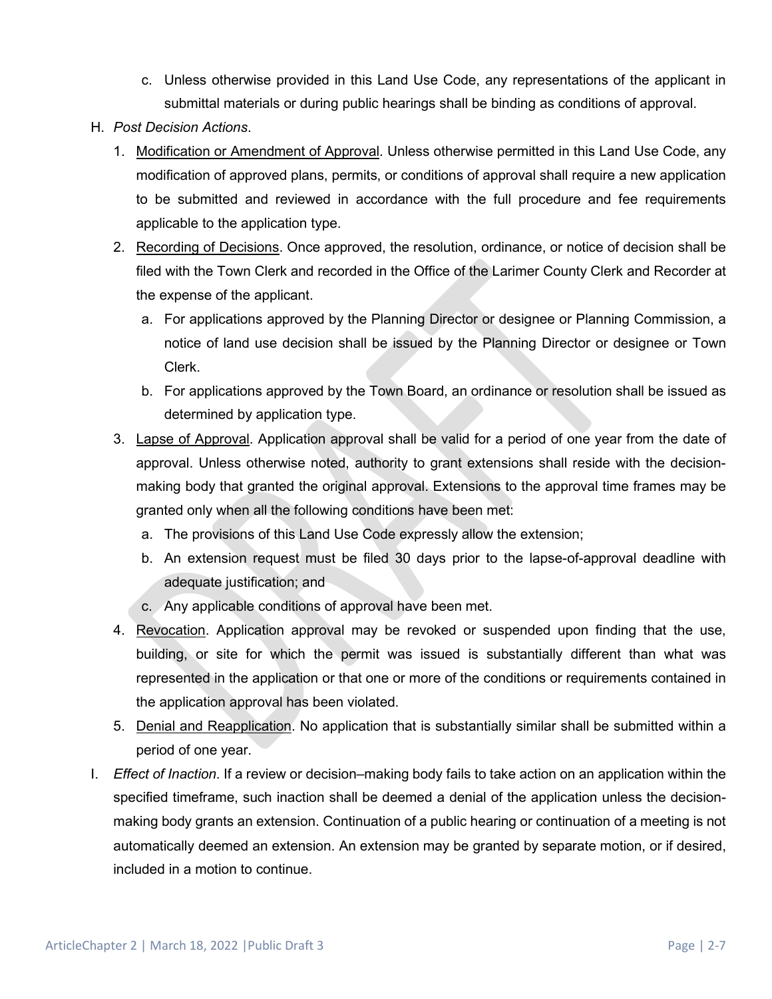- c. Unless otherwise provided in this Land Use Code, any representations of the applicant in submittal materials or during public hearings shall be binding as conditions of approval.
- H. *Post Decision Actions*.
	- 1. Modification or Amendment of Approval. Unless otherwise permitted in this Land Use Code, any modification of approved plans, permits, or conditions of approval shall require a new application to be submitted and reviewed in accordance with the full procedure and fee requirements applicable to the application type.
	- 2. Recording of Decisions. Once approved, the resolution, ordinance, or notice of decision shall be filed with the Town Clerk and recorded in the Office of the Larimer County Clerk and Recorder at the expense of the applicant.
		- a. For applications approved by the Planning Director or designee or Planning Commission, a notice of land use decision shall be issued by the Planning Director or designee or Town Clerk.
		- b. For applications approved by the Town Board, an ordinance or resolution shall be issued as determined by application type.
	- 3. Lapse of Approval. Application approval shall be valid for a period of one year from the date of approval. Unless otherwise noted, authority to grant extensions shall reside with the decisionmaking body that granted the original approval. Extensions to the approval time frames may be granted only when all the following conditions have been met:
		- a. The provisions of this Land Use Code expressly allow the extension;
		- b. An extension request must be filed 30 days prior to the lapse-of-approval deadline with adequate justification; and
		- c. Any applicable conditions of approval have been met.
	- 4. Revocation. Application approval may be revoked or suspended upon finding that the use, building, or site for which the permit was issued is substantially different than what was represented in the application or that one or more of the conditions or requirements contained in the application approval has been violated.
	- 5. Denial and Reapplication. No application that is substantially similar shall be submitted within a period of one year.
- I. *Effect of Inaction*. If a review or decision–making body fails to take action on an application within the specified timeframe, such inaction shall be deemed a denial of the application unless the decisionmaking body grants an extension. Continuation of a public hearing or continuation of a meeting is not automatically deemed an extension. An extension may be granted by separate motion, or if desired, included in a motion to continue.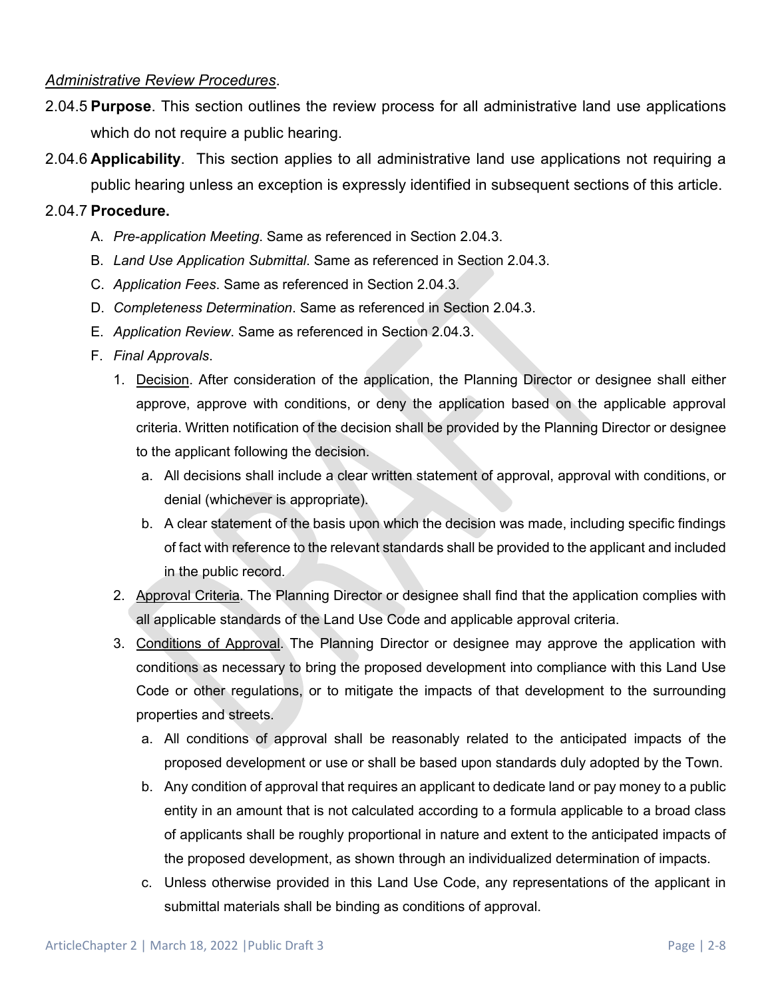#### *Administrative Review Procedures*.

- 2.04.5 **Purpose**. This section outlines the review process for all administrative land use applications which do not require a public hearing.
- 2.04.6 **Applicability**. This section applies to all administrative land use applications not requiring a public hearing unless an exception is expressly identified in subsequent sections of this article.

#### 2.04.7 **Procedure.**

- A. *Pre-application Meeting*. Same as referenced in Section 2.04.3.
- B. *Land Use Application Submittal*. Same as referenced in Section 2.04.3.
- C. *Application Fees*. Same as referenced in Section 2.04.3.
- D. *Completeness Determination*. Same as referenced in Section 2.04.3.
- E. *Application Review*. Same as referenced in Section 2.04.3.
- F. *Final Approvals*.
	- 1. Decision. After consideration of the application, the Planning Director or designee shall either approve, approve with conditions, or deny the application based on the applicable approval criteria. Written notification of the decision shall be provided by the Planning Director or designee to the applicant following the decision.
		- a. All decisions shall include a clear written statement of approval, approval with conditions, or denial (whichever is appropriate).
		- b. A clear statement of the basis upon which the decision was made, including specific findings of fact with reference to the relevant standards shall be provided to the applicant and included in the public record.
	- 2. Approval Criteria. The Planning Director or designee shall find that the application complies with all applicable standards of the Land Use Code and applicable approval criteria.
	- 3. Conditions of Approval. The Planning Director or designee may approve the application with conditions as necessary to bring the proposed development into compliance with this Land Use Code or other regulations, or to mitigate the impacts of that development to the surrounding properties and streets.
		- a. All conditions of approval shall be reasonably related to the anticipated impacts of the proposed development or use or shall be based upon standards duly adopted by the Town.
		- b. Any condition of approval that requires an applicant to dedicate land or pay money to a public entity in an amount that is not calculated according to a formula applicable to a broad class of applicants shall be roughly proportional in nature and extent to the anticipated impacts of the proposed development, as shown through an individualized determination of impacts.
		- c. Unless otherwise provided in this Land Use Code, any representations of the applicant in submittal materials shall be binding as conditions of approval.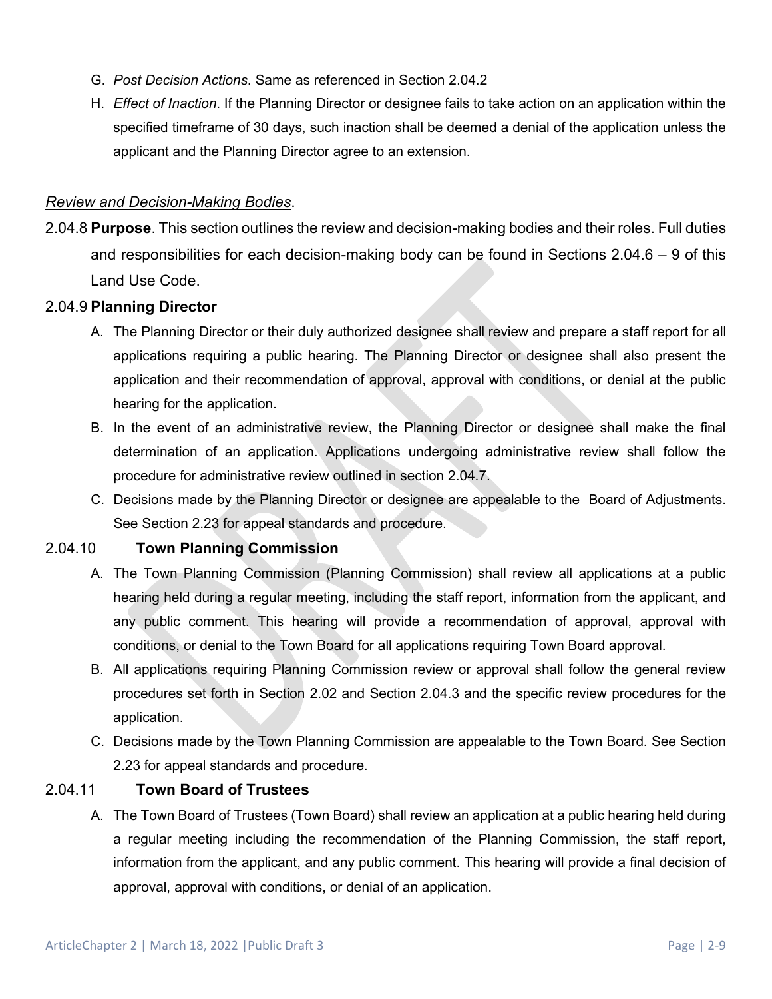- G. *Post Decision Actions*. Same as referenced in Section 2.04.2
- H. *Effect of Inaction*. If the Planning Director or designee fails to take action on an application within the specified timeframe of 30 days, such inaction shall be deemed a denial of the application unless the applicant and the Planning Director agree to an extension.

#### *Review and Decision-Making Bodies*.

2.04.8 **Purpose**. This section outlines the review and decision-making bodies and their roles. Full duties and responsibilities for each decision-making body can be found in Sections 2.04.6 – 9 of this Land Use Code.

#### 2.04.9 **Planning Director**

- A. The Planning Director or their duly authorized designee shall review and prepare a staff report for all applications requiring a public hearing. The Planning Director or designee shall also present the application and their recommendation of approval, approval with conditions, or denial at the public hearing for the application.
- B. In the event of an administrative review, the Planning Director or designee shall make the final determination of an application. Applications undergoing administrative review shall follow the procedure for administrative review outlined in section 2.04.7.
- C. Decisions made by the Planning Director or designee are appealable to the Board of Adjustments. See Section 2.23 for appeal standards and procedure.

### 2.04.10 **Town Planning Commission**

- A. The Town Planning Commission (Planning Commission) shall review all applications at a public hearing held during a regular meeting, including the staff report, information from the applicant, and any public comment. This hearing will provide a recommendation of approval, approval with conditions, or denial to the Town Board for all applications requiring Town Board approval.
- B. All applications requiring Planning Commission review or approval shall follow the general review procedures set forth in Section 2.02 and Section 2.04.3 and the specific review procedures for the application.
- C. Decisions made by the Town Planning Commission are appealable to the Town Board. See Section 2.23 for appeal standards and procedure.

### 2.04.11 **Town Board of Trustees**

A. The Town Board of Trustees (Town Board) shall review an application at a public hearing held during a regular meeting including the recommendation of the Planning Commission, the staff report, information from the applicant, and any public comment. This hearing will provide a final decision of approval, approval with conditions, or denial of an application.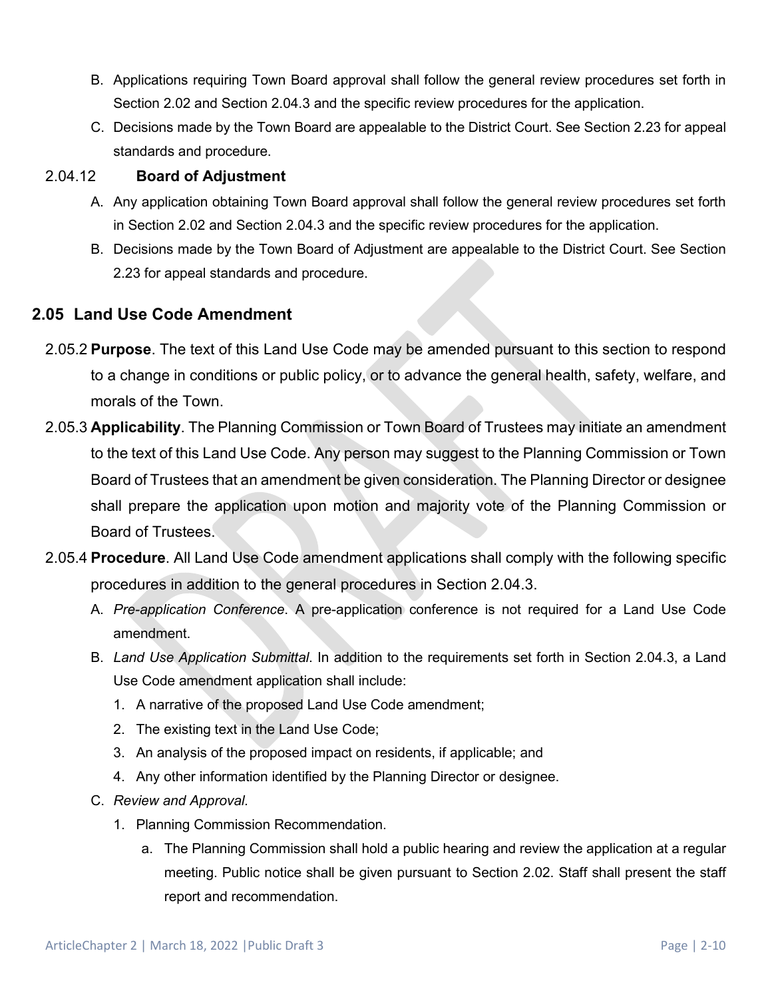- B. Applications requiring Town Board approval shall follow the general review procedures set forth in Section 2.02 and Section 2.04.3 and the specific review procedures for the application.
- C. Decisions made by the Town Board are appealable to the District Court. See Section 2.23 for appeal standards and procedure.

## 2.04.12 **Board of Adjustment**

- A. Any application obtaining Town Board approval shall follow the general review procedures set forth in Section 2.02 and Section 2.04.3 and the specific review procedures for the application.
- B. Decisions made by the Town Board of Adjustment are appealable to the District Court. See Section 2.23 for appeal standards and procedure.

## **2.05 Land Use Code Amendment**

- 2.05.2 **Purpose**. The text of this Land Use Code may be amended pursuant to this section to respond to a change in conditions or public policy, or to advance the general health, safety, welfare, and morals of the Town.
- 2.05.3 **Applicability**. The Planning Commission or Town Board of Trustees may initiate an amendment to the text of this Land Use Code. Any person may suggest to the Planning Commission or Town Board of Trustees that an amendment be given consideration. The Planning Director or designee shall prepare the application upon motion and majority vote of the Planning Commission or Board of Trustees.
- 2.05.4 **Procedure**. All Land Use Code amendment applications shall comply with the following specific procedures in addition to the general procedures in Section 2.04.3.
	- A. *Pre-application Conference*. A pre-application conference is not required for a Land Use Code amendment.
	- B. *Land Use Application Submittal*. In addition to the requirements set forth in Section 2.04.3, a Land Use Code amendment application shall include:
		- 1. A narrative of the proposed Land Use Code amendment;
		- 2. The existing text in the Land Use Code;
		- 3. An analysis of the proposed impact on residents, if applicable; and
		- 4. Any other information identified by the Planning Director or designee.
	- C. *Review and Approval.*
		- 1. Planning Commission Recommendation.
			- a. The Planning Commission shall hold a public hearing and review the application at a regular meeting. Public notice shall be given pursuant to Section 2.02. Staff shall present the staff report and recommendation.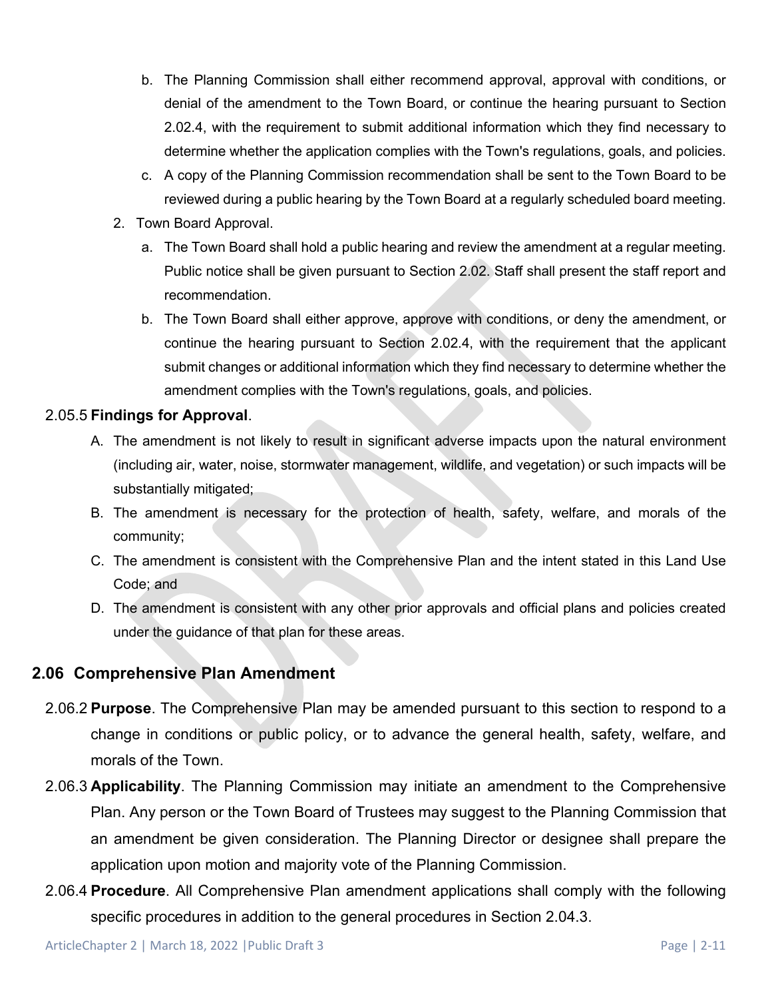- b. The Planning Commission shall either recommend approval, approval with conditions, or denial of the amendment to the Town Board, or continue the hearing pursuant to Section 2.02.4, with the requirement to submit additional information which they find necessary to determine whether the application complies with the Town's regulations, goals, and policies.
- c. A copy of the Planning Commission recommendation shall be sent to the Town Board to be reviewed during a public hearing by the Town Board at a regularly scheduled board meeting.
- 2. Town Board Approval.
	- a. The Town Board shall hold a public hearing and review the amendment at a regular meeting. Public notice shall be given pursuant to Section 2.02. Staff shall present the staff report and recommendation.
	- b. The Town Board shall either approve, approve with conditions, or deny the amendment, or continue the hearing pursuant to Section 2.02.4, with the requirement that the applicant submit changes or additional information which they find necessary to determine whether the amendment complies with the Town's regulations, goals, and policies.

#### 2.05.5 **Findings for Approval**.

- A. The amendment is not likely to result in significant adverse impacts upon the natural environment (including air, water, noise, stormwater management, wildlife, and vegetation) or such impacts will be substantially mitigated;
- B. The amendment is necessary for the protection of health, safety, welfare, and morals of the community;
- C. The amendment is consistent with the Comprehensive Plan and the intent stated in this Land Use Code; and
- D. The amendment is consistent with any other prior approvals and official plans and policies created under the guidance of that plan for these areas.

## **2.06 Comprehensive Plan Amendment**

- 2.06.2 **Purpose**. The Comprehensive Plan may be amended pursuant to this section to respond to a change in conditions or public policy, or to advance the general health, safety, welfare, and morals of the Town.
- 2.06.3 **Applicability**. The Planning Commission may initiate an amendment to the Comprehensive Plan. Any person or the Town Board of Trustees may suggest to the Planning Commission that an amendment be given consideration. The Planning Director or designee shall prepare the application upon motion and majority vote of the Planning Commission.
- 2.06.4 **Procedure**. All Comprehensive Plan amendment applications shall comply with the following specific procedures in addition to the general procedures in Section 2.04.3.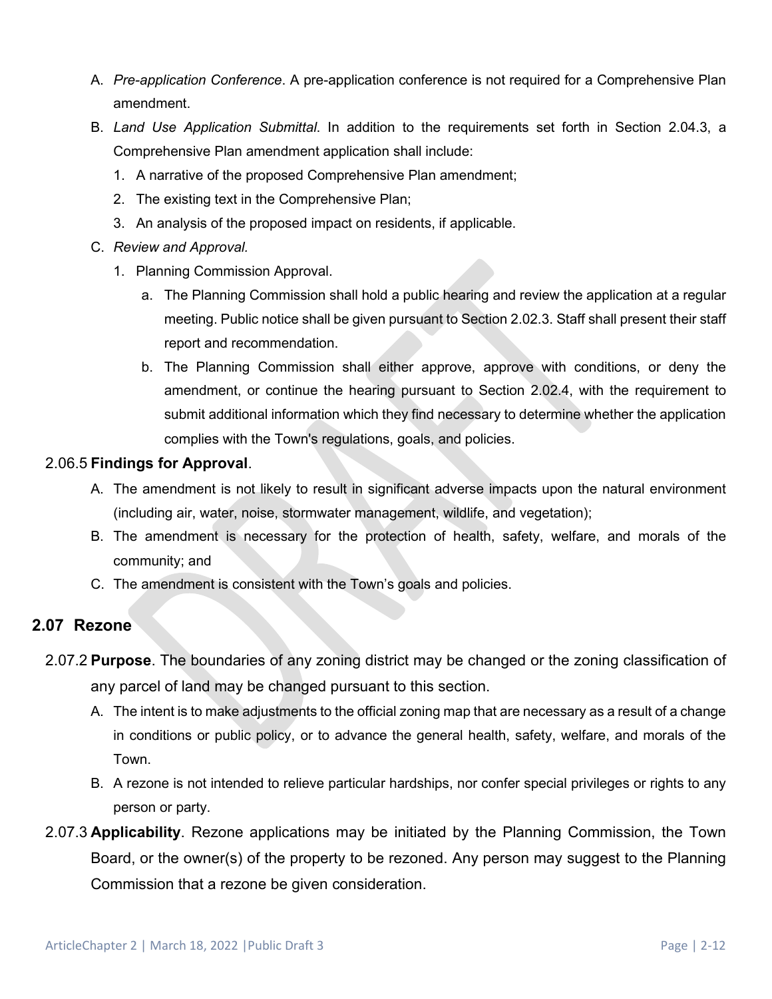- A. *Pre-application Conference*. A pre-application conference is not required for a Comprehensive Plan amendment.
- B. *Land Use Application Submittal*. In addition to the requirements set forth in Section 2.04.3, a Comprehensive Plan amendment application shall include:
	- 1. A narrative of the proposed Comprehensive Plan amendment;
	- 2. The existing text in the Comprehensive Plan;
	- 3. An analysis of the proposed impact on residents, if applicable.
- C. *Review and Approval.*
	- 1. Planning Commission Approval.
		- a. The Planning Commission shall hold a public hearing and review the application at a regular meeting. Public notice shall be given pursuant to Section 2.02.3. Staff shall present their staff report and recommendation.
		- b. The Planning Commission shall either approve, approve with conditions, or deny the amendment, or continue the hearing pursuant to Section 2.02.4, with the requirement to submit additional information which they find necessary to determine whether the application complies with the Town's regulations, goals, and policies.

### 2.06.5 **Findings for Approval**.

- A. The amendment is not likely to result in significant adverse impacts upon the natural environment (including air, water, noise, stormwater management, wildlife, and vegetation);
- B. The amendment is necessary for the protection of health, safety, welfare, and morals of the community; and
- C. The amendment is consistent with the Town's goals and policies.

## **2.07 Rezone**

- 2.07.2 **Purpose**. The boundaries of any zoning district may be changed or the zoning classification of any parcel of land may be changed pursuant to this section.
	- A. The intent is to make adjustments to the official zoning map that are necessary as a result of a change in conditions or public policy, or to advance the general health, safety, welfare, and morals of the Town.
	- B. A rezone is not intended to relieve particular hardships, nor confer special privileges or rights to any person or party.
- 2.07.3 **Applicability**. Rezone applications may be initiated by the Planning Commission, the Town Board, or the owner(s) of the property to be rezoned. Any person may suggest to the Planning Commission that a rezone be given consideration.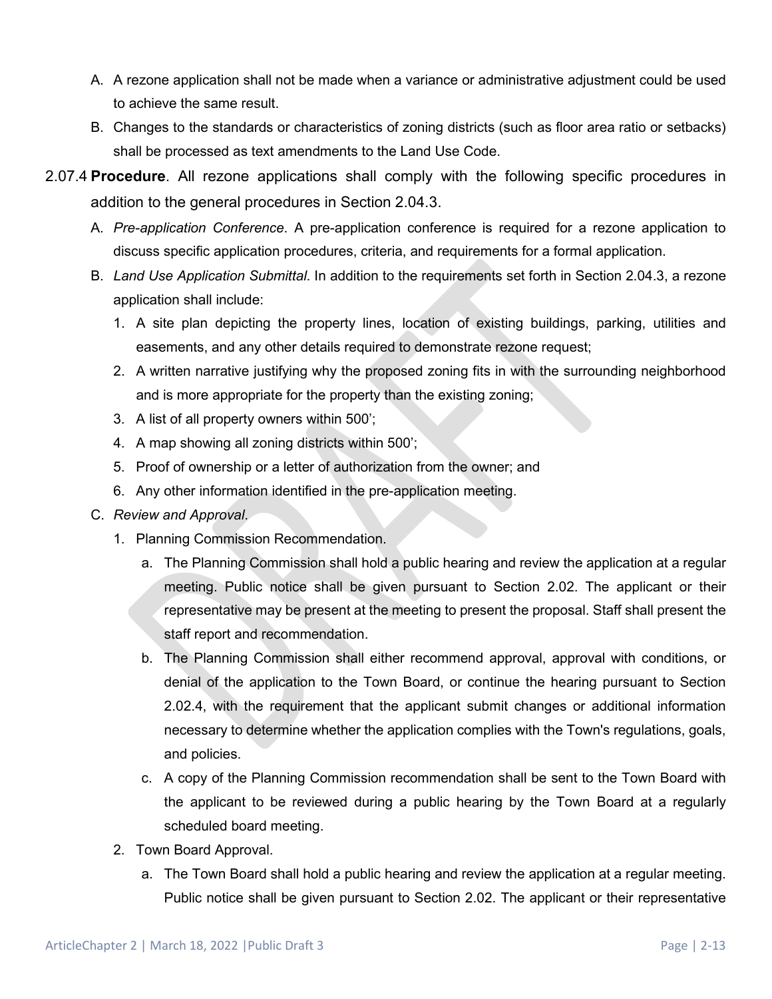- A. A rezone application shall not be made when a variance or administrative adjustment could be used to achieve the same result.
- B. Changes to the standards or characteristics of zoning districts (such as floor area ratio or setbacks) shall be processed as text amendments to the Land Use Code.
- 2.07.4 **Procedure**. All rezone applications shall comply with the following specific procedures in addition to the general procedures in Section 2.04.3.
	- A. *Pre-application Conference*. A pre-application conference is required for a rezone application to discuss specific application procedures, criteria, and requirements for a formal application.
	- B. *Land Use Application Submittal*. In addition to the requirements set forth in Section 2.04.3, a rezone application shall include:
		- 1. A site plan depicting the property lines, location of existing buildings, parking, utilities and easements, and any other details required to demonstrate rezone request;
		- 2. A written narrative justifying why the proposed zoning fits in with the surrounding neighborhood and is more appropriate for the property than the existing zoning;
		- 3. A list of all property owners within 500';
		- 4. A map showing all zoning districts within 500';
		- 5. Proof of ownership or a letter of authorization from the owner; and
		- 6. Any other information identified in the pre-application meeting.
	- C. *Review and Approval*.
		- 1. Planning Commission Recommendation.
			- a. The Planning Commission shall hold a public hearing and review the application at a regular meeting. Public notice shall be given pursuant to Section 2.02. The applicant or their representative may be present at the meeting to present the proposal. Staff shall present the staff report and recommendation.
			- b. The Planning Commission shall either recommend approval, approval with conditions, or denial of the application to the Town Board, or continue the hearing pursuant to Section 2.02.4, with the requirement that the applicant submit changes or additional information necessary to determine whether the application complies with the Town's regulations, goals, and policies.
			- c. A copy of the Planning Commission recommendation shall be sent to the Town Board with the applicant to be reviewed during a public hearing by the Town Board at a regularly scheduled board meeting.
		- 2. Town Board Approval.
			- a. The Town Board shall hold a public hearing and review the application at a regular meeting. Public notice shall be given pursuant to Section 2.02. The applicant or their representative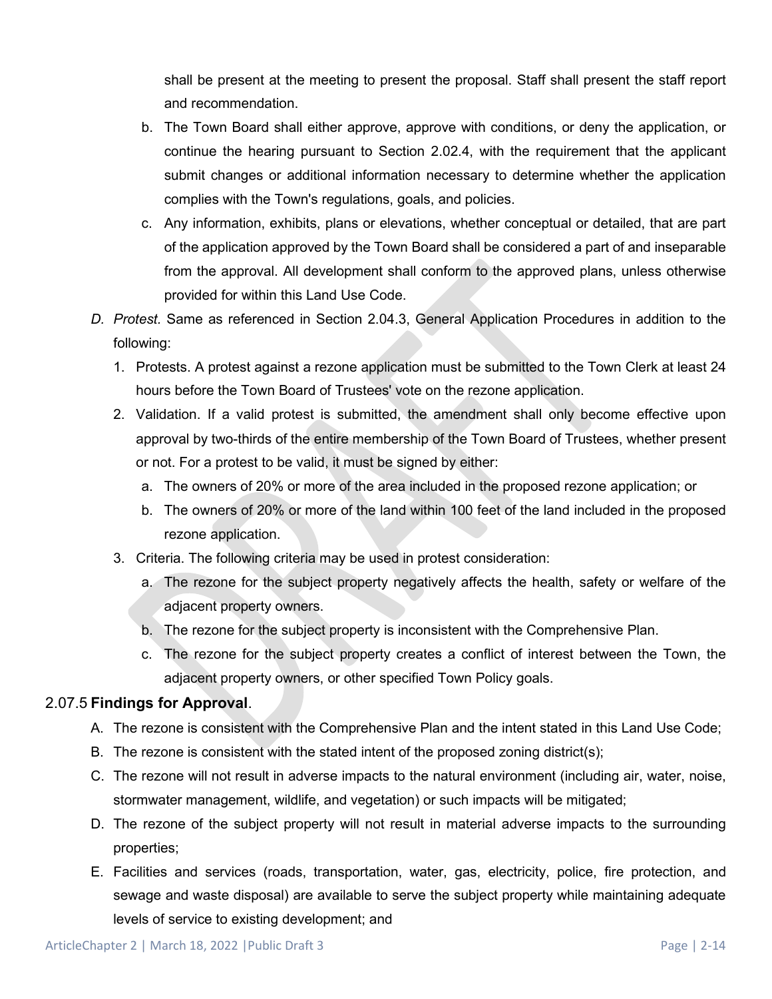shall be present at the meeting to present the proposal. Staff shall present the staff report and recommendation.

- b. The Town Board shall either approve, approve with conditions, or deny the application, or continue the hearing pursuant to Section 2.02.4, with the requirement that the applicant submit changes or additional information necessary to determine whether the application complies with the Town's regulations, goals, and policies.
- c. Any information, exhibits, plans or elevations, whether conceptual or detailed, that are part of the application approved by the Town Board shall be considered a part of and inseparable from the approval. All development shall conform to the approved plans, unless otherwise provided for within this Land Use Code.
- *D. Protest.* Same as referenced in Section 2.04.3, General Application Procedures in addition to the following:
	- 1. Protests. A protest against a rezone application must be submitted to the Town Clerk at least 24 hours before the Town Board of Trustees' vote on the rezone application.
	- 2. Validation. If a valid protest is submitted, the amendment shall only become effective upon approval by two-thirds of the entire membership of the Town Board of Trustees, whether present or not. For a protest to be valid, it must be signed by either:
		- a. The owners of 20% or more of the area included in the proposed rezone application; or
		- b. The owners of 20% or more of the land within 100 feet of the land included in the proposed rezone application.
	- 3. Criteria. The following criteria may be used in protest consideration:
		- a. The rezone for the subject property negatively affects the health, safety or welfare of the adjacent property owners.
		- b. The rezone for the subject property is inconsistent with the Comprehensive Plan.
		- c. The rezone for the subject property creates a conflict of interest between the Town, the adjacent property owners, or other specified Town Policy goals.

### 2.07.5 **Findings for Approval**.

- A. The rezone is consistent with the Comprehensive Plan and the intent stated in this Land Use Code;
- B. The rezone is consistent with the stated intent of the proposed zoning district(s);
- C. The rezone will not result in adverse impacts to the natural environment (including air, water, noise, stormwater management, wildlife, and vegetation) or such impacts will be mitigated;
- D. The rezone of the subject property will not result in material adverse impacts to the surrounding properties;
- E. Facilities and services (roads, transportation, water, gas, electricity, police, fire protection, and sewage and waste disposal) are available to serve the subject property while maintaining adequate levels of service to existing development; and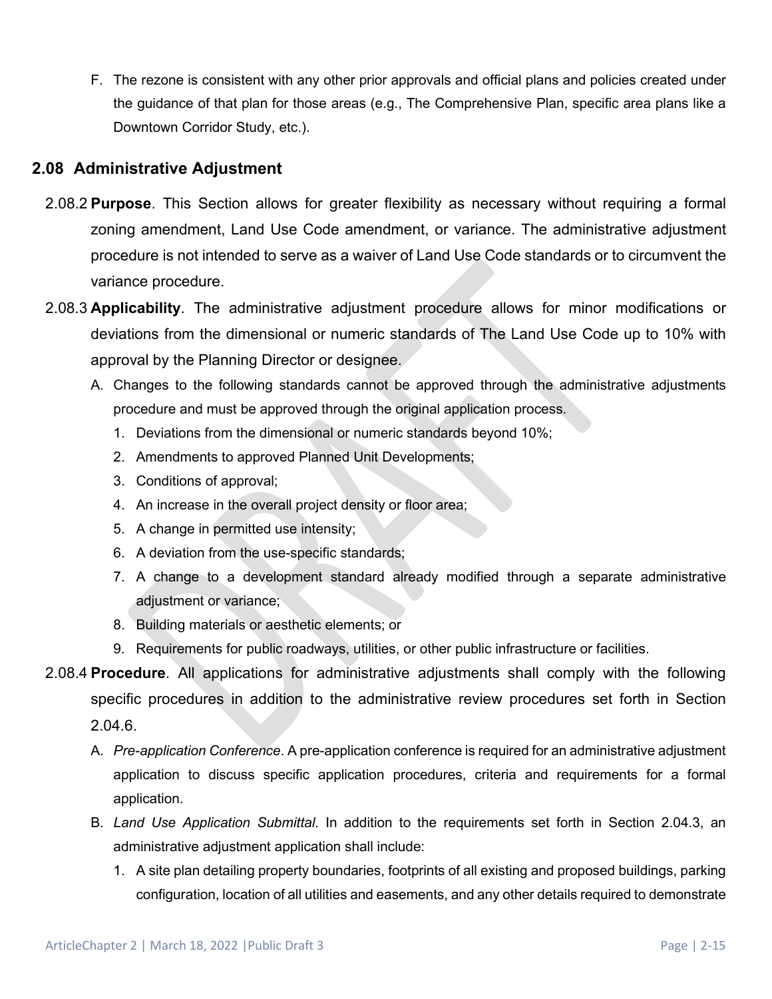F. The rezone is consistent with any other prior approvals and official plans and policies created under the guidance of that plan for those areas (e.g., The Comprehensive Plan, specific area plans like a Downtown Corridor Study, etc.).

## **2.08 Administrative Adjustment**

- 2.08.2 **Purpose**. This Section allows for greater flexibility as necessary without requiring a formal zoning amendment, Land Use Code amendment, or variance. The administrative adjustment procedure is not intended to serve as a waiver of Land Use Code standards or to circumvent the variance procedure.
- 2.08.3 **Applicability**. The administrative adjustment procedure allows for minor modifications or deviations from the dimensional or numeric standards of The Land Use Code up to 10% with approval by the Planning Director or designee.
	- A. Changes to the following standards cannot be approved through the administrative adjustments procedure and must be approved through the original application process.
		- 1. Deviations from the dimensional or numeric standards beyond 10%;
		- 2. Amendments to approved Planned Unit Developments;
		- 3. Conditions of approval;
		- 4. An increase in the overall project density or floor area;
		- 5. A change in permitted use intensity;
		- 6. A deviation from the use-specific standards;
		- 7. A change to a development standard already modified through a separate administrative adjustment or variance;
		- 8. Building materials or aesthetic elements; or
		- 9. Requirements for public roadways, utilities, or other public infrastructure or facilities.
- 2.08.4 **Procedure**. All applications for administrative adjustments shall comply with the following specific procedures in addition to the administrative review procedures set forth in Section 2.04.6.
	- A. *Pre-application Conference*. A pre-application conference is required for an administrative adjustment application to discuss specific application procedures, criteria and requirements for a formal application.
	- B. *Land Use Application Submittal*. In addition to the requirements set forth in Section 2.04.3, an administrative adjustment application shall include:
		- 1. A site plan detailing property boundaries, footprints of all existing and proposed buildings, parking configuration, location of all utilities and easements, and any other details required to demonstrate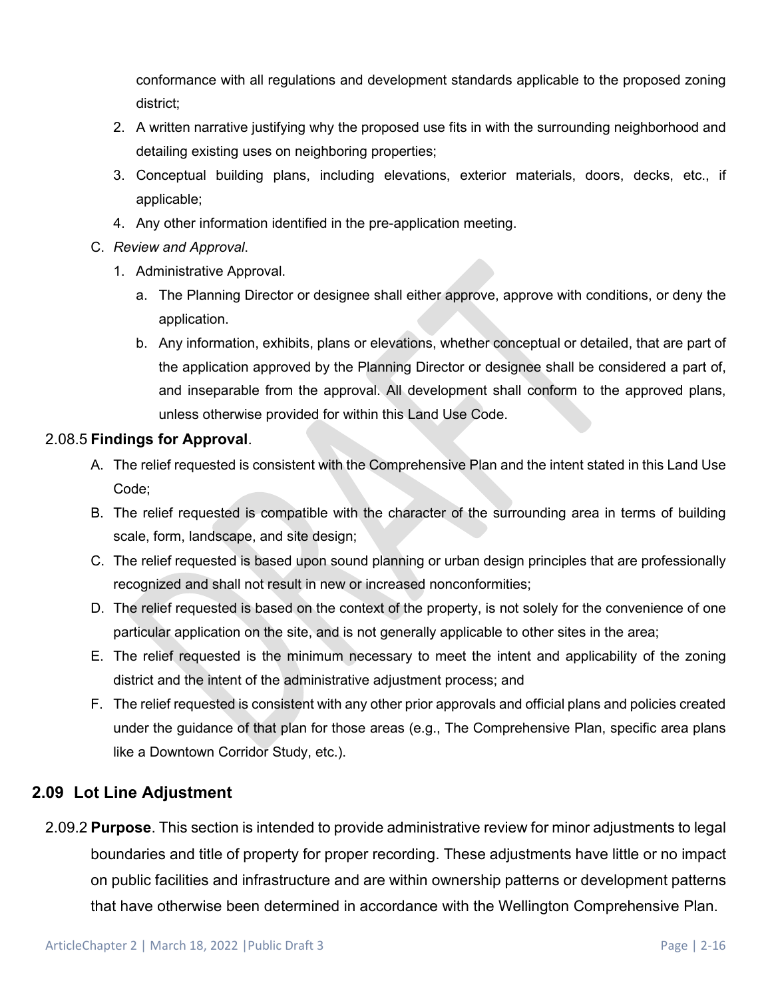conformance with all regulations and development standards applicable to the proposed zoning district;

- 2. A written narrative justifying why the proposed use fits in with the surrounding neighborhood and detailing existing uses on neighboring properties;
- 3. Conceptual building plans, including elevations, exterior materials, doors, decks, etc., if applicable;
- 4. Any other information identified in the pre-application meeting.

#### C. *Review and Approval*.

- 1. Administrative Approval.
	- a. The Planning Director or designee shall either approve, approve with conditions, or deny the application.
	- b. Any information, exhibits, plans or elevations, whether conceptual or detailed, that are part of the application approved by the Planning Director or designee shall be considered a part of, and inseparable from the approval. All development shall conform to the approved plans, unless otherwise provided for within this Land Use Code.

#### 2.08.5 **Findings for Approval**.

- A. The relief requested is consistent with the Comprehensive Plan and the intent stated in this Land Use Code;
- B. The relief requested is compatible with the character of the surrounding area in terms of building scale, form, landscape, and site design;
- C. The relief requested is based upon sound planning or urban design principles that are professionally recognized and shall not result in new or increased nonconformities;
- D. The relief requested is based on the context of the property, is not solely for the convenience of one particular application on the site, and is not generally applicable to other sites in the area;
- E. The relief requested is the minimum necessary to meet the intent and applicability of the zoning district and the intent of the administrative adjustment process; and
- F. The relief requested is consistent with any other prior approvals and official plans and policies created under the guidance of that plan for those areas (e.g., The Comprehensive Plan, specific area plans like a Downtown Corridor Study, etc.).

## **2.09 Lot Line Adjustment**

2.09.2 **Purpose**. This section is intended to provide administrative review for minor adjustments to legal boundaries and title of property for proper recording. These adjustments have little or no impact on public facilities and infrastructure and are within ownership patterns or development patterns that have otherwise been determined in accordance with the Wellington Comprehensive Plan.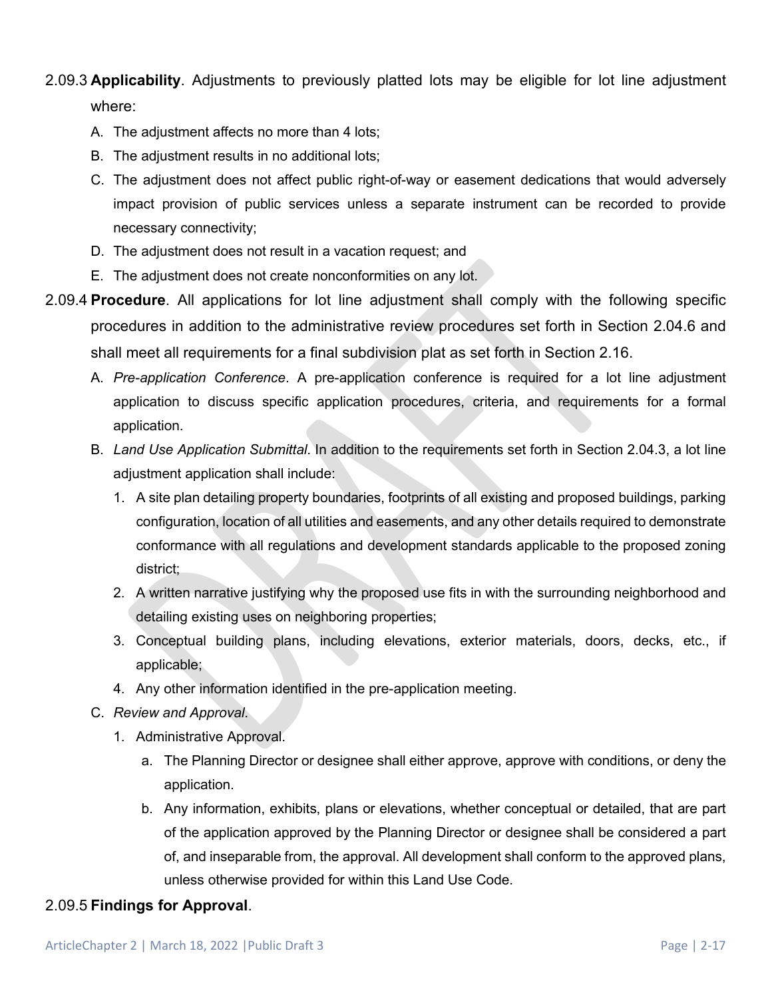# 2.09.3 **Applicability**. Adjustments to previously platted lots may be eligible for lot line adjustment where:

- A. The adjustment affects no more than 4 lots;
- B. The adjustment results in no additional lots;
- C. The adjustment does not affect public right-of-way or easement dedications that would adversely impact provision of public services unless a separate instrument can be recorded to provide necessary connectivity;
- D. The adjustment does not result in a vacation request; and
- E. The adjustment does not create nonconformities on any lot.
- 2.09.4 **Procedure**. All applications for lot line adjustment shall comply with the following specific procedures in addition to the administrative review procedures set forth in Section 2.04.6 and shall meet all requirements for a final subdivision plat as set forth in Section 2.16.
	- A. *Pre-application Conference*. A pre-application conference is required for a lot line adjustment application to discuss specific application procedures, criteria, and requirements for a formal application.
	- B. *Land Use Application Submittal*. In addition to the requirements set forth in Section 2.04.3, a lot line adjustment application shall include:
		- 1. A site plan detailing property boundaries, footprints of all existing and proposed buildings, parking configuration, location of all utilities and easements, and any other details required to demonstrate conformance with all regulations and development standards applicable to the proposed zoning district;
		- 2. A written narrative justifying why the proposed use fits in with the surrounding neighborhood and detailing existing uses on neighboring properties;
		- 3. Conceptual building plans, including elevations, exterior materials, doors, decks, etc., if applicable;
		- 4. Any other information identified in the pre-application meeting.
	- C. *Review and Approval*.
		- 1. Administrative Approval.
			- a. The Planning Director or designee shall either approve, approve with conditions, or deny the application.
			- b. Any information, exhibits, plans or elevations, whether conceptual or detailed, that are part of the application approved by the Planning Director or designee shall be considered a part of, and inseparable from, the approval. All development shall conform to the approved plans, unless otherwise provided for within this Land Use Code.

#### 2.09.5 **Findings for Approval**.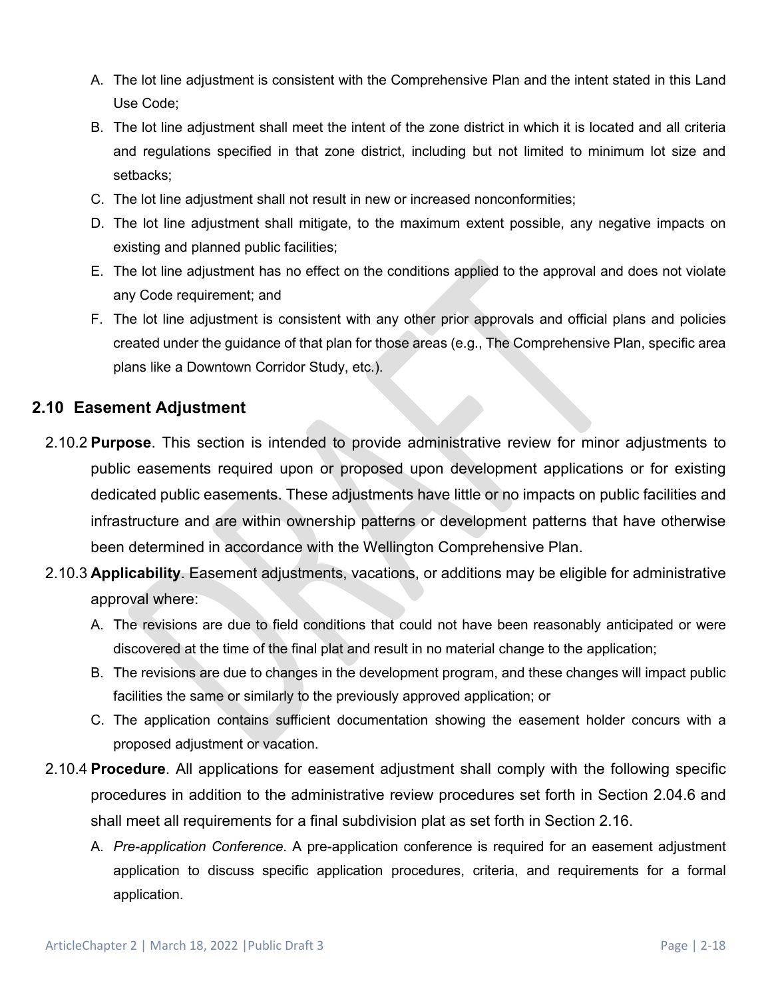- A. The lot line adjustment is consistent with the Comprehensive Plan and the intent stated in this Land Use Code;
- B. The lot line adjustment shall meet the intent of the zone district in which it is located and all criteria and regulations specified in that zone district, including but not limited to minimum lot size and setbacks;
- C. The lot line adjustment shall not result in new or increased nonconformities;
- D. The lot line adjustment shall mitigate, to the maximum extent possible, any negative impacts on existing and planned public facilities;
- E. The lot line adjustment has no effect on the conditions applied to the approval and does not violate any Code requirement; and
- F. The lot line adjustment is consistent with any other prior approvals and official plans and policies created under the guidance of that plan for those areas (e.g., The Comprehensive Plan, specific area plans like a Downtown Corridor Study, etc.).

## **2.10 Easement Adjustment**

- 2.10.2 **Purpose**. This section is intended to provide administrative review for minor adjustments to public easements required upon or proposed upon development applications or for existing dedicated public easements. These adjustments have little or no impacts on public facilities and infrastructure and are within ownership patterns or development patterns that have otherwise been determined in accordance with the Wellington Comprehensive Plan.
- 2.10.3 **Applicability**. Easement adjustments, vacations, or additions may be eligible for administrative approval where:
	- A. The revisions are due to field conditions that could not have been reasonably anticipated or were discovered at the time of the final plat and result in no material change to the application;
	- B. The revisions are due to changes in the development program, and these changes will impact public facilities the same or similarly to the previously approved application; or
	- C. The application contains sufficient documentation showing the easement holder concurs with a proposed adjustment or vacation.
- 2.10.4 **Procedure**. All applications for easement adjustment shall comply with the following specific procedures in addition to the administrative review procedures set forth in Section 2.04.6 and shall meet all requirements for a final subdivision plat as set forth in Section 2.16.
	- A. *Pre-application Conference*. A pre-application conference is required for an easement adjustment application to discuss specific application procedures, criteria, and requirements for a formal application.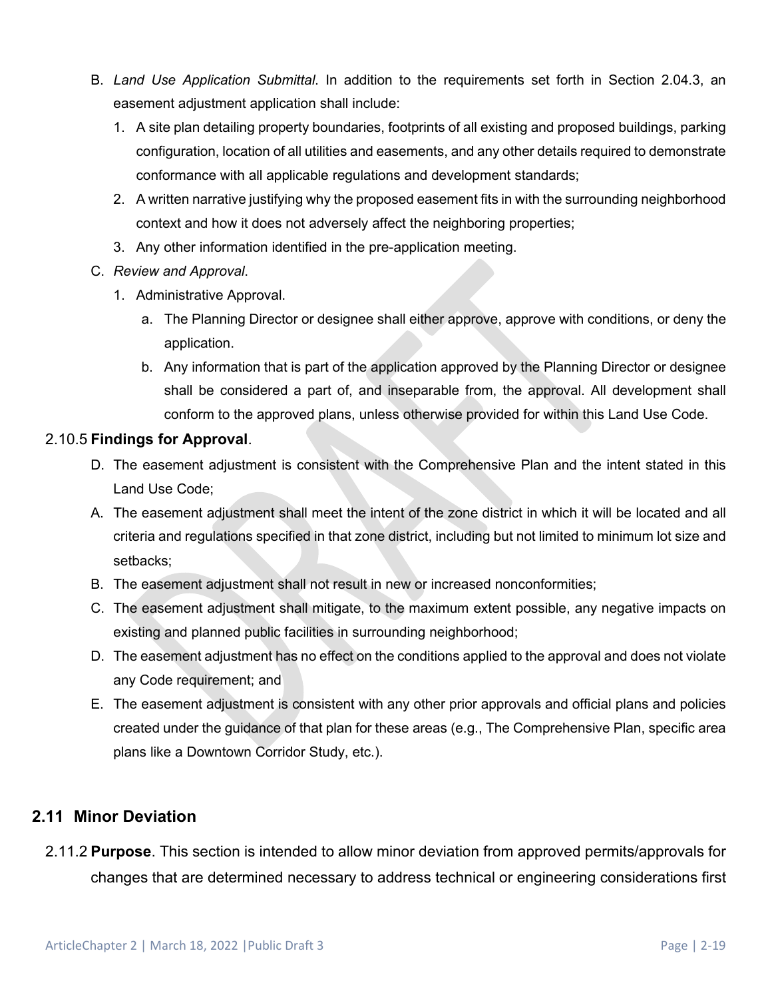- B. *Land Use Application Submittal*. In addition to the requirements set forth in Section 2.04.3, an easement adjustment application shall include:
	- 1. A site plan detailing property boundaries, footprints of all existing and proposed buildings, parking configuration, location of all utilities and easements, and any other details required to demonstrate conformance with all applicable regulations and development standards;
	- 2. A written narrative justifying why the proposed easement fits in with the surrounding neighborhood context and how it does not adversely affect the neighboring properties;
	- 3. Any other information identified in the pre-application meeting.
- C. *Review and Approval*.
	- 1. Administrative Approval.
		- a. The Planning Director or designee shall either approve, approve with conditions, or deny the application.
		- b. Any information that is part of the application approved by the Planning Director or designee shall be considered a part of, and inseparable from, the approval. All development shall conform to the approved plans, unless otherwise provided for within this Land Use Code.

## 2.10.5 **Findings for Approval**.

- D. The easement adjustment is consistent with the Comprehensive Plan and the intent stated in this Land Use Code;
- A. The easement adjustment shall meet the intent of the zone district in which it will be located and all criteria and regulations specified in that zone district, including but not limited to minimum lot size and setbacks;
- B. The easement adjustment shall not result in new or increased nonconformities;
- C. The easement adjustment shall mitigate, to the maximum extent possible, any negative impacts on existing and planned public facilities in surrounding neighborhood;
- D. The easement adjustment has no effect on the conditions applied to the approval and does not violate any Code requirement; and
- E. The easement adjustment is consistent with any other prior approvals and official plans and policies created under the guidance of that plan for these areas (e.g., The Comprehensive Plan, specific area plans like a Downtown Corridor Study, etc.).

# **2.11 Minor Deviation**

2.11.2 **Purpose**. This section is intended to allow minor deviation from approved permits/approvals for changes that are determined necessary to address technical or engineering considerations first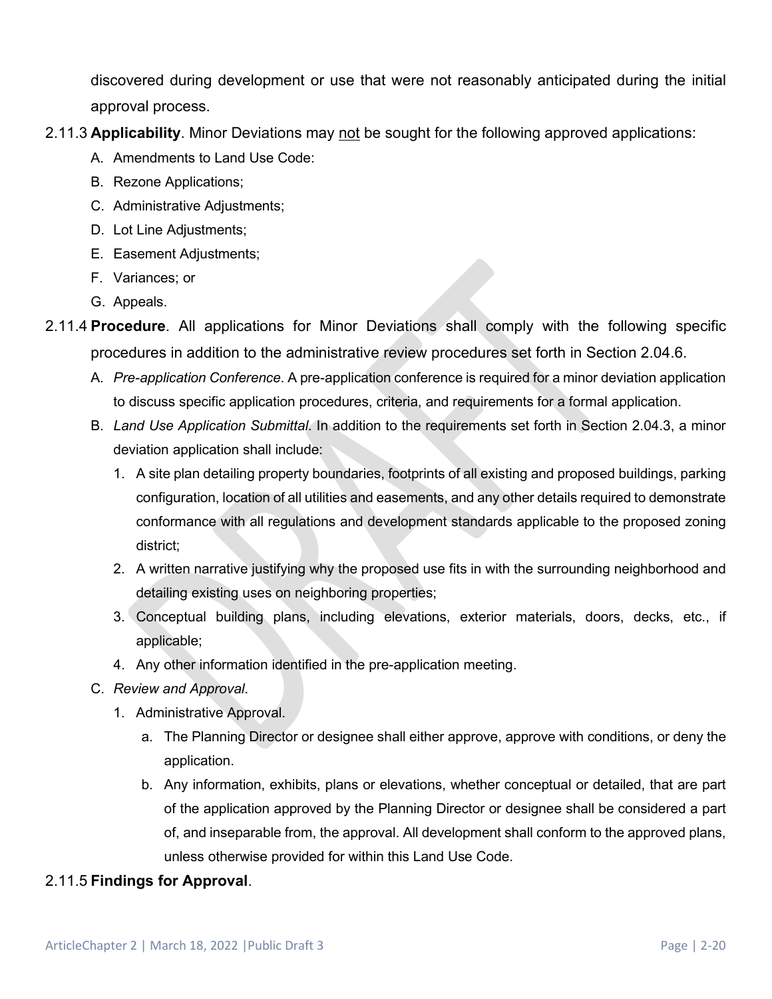discovered during development or use that were not reasonably anticipated during the initial approval process.

- 2.11.3 **Applicability**. Minor Deviations may not be sought for the following approved applications:
	- A. Amendments to Land Use Code:
	- B. Rezone Applications;
	- C. Administrative Adjustments;
	- D. Lot Line Adjustments;
	- E. Easement Adjustments;
	- F. Variances; or
	- G. Appeals.
- 2.11.4 **Procedure**. All applications for Minor Deviations shall comply with the following specific procedures in addition to the administrative review procedures set forth in Section 2.04.6.
	- A. *Pre-application Conference*. A pre-application conference is required for a minor deviation application to discuss specific application procedures, criteria, and requirements for a formal application.
	- B. *Land Use Application Submittal*. In addition to the requirements set forth in Section 2.04.3, a minor deviation application shall include:
		- 1. A site plan detailing property boundaries, footprints of all existing and proposed buildings, parking configuration, location of all utilities and easements, and any other details required to demonstrate conformance with all regulations and development standards applicable to the proposed zoning district;
		- 2. A written narrative justifying why the proposed use fits in with the surrounding neighborhood and detailing existing uses on neighboring properties;
		- 3. Conceptual building plans, including elevations, exterior materials, doors, decks, etc., if applicable;
		- 4. Any other information identified in the pre-application meeting.
	- C. *Review and Approval*.
		- 1. Administrative Approval.
			- a. The Planning Director or designee shall either approve, approve with conditions, or deny the application.
			- b. Any information, exhibits, plans or elevations, whether conceptual or detailed, that are part of the application approved by the Planning Director or designee shall be considered a part of, and inseparable from, the approval. All development shall conform to the approved plans, unless otherwise provided for within this Land Use Code.

## 2.11.5 **Findings for Approval**.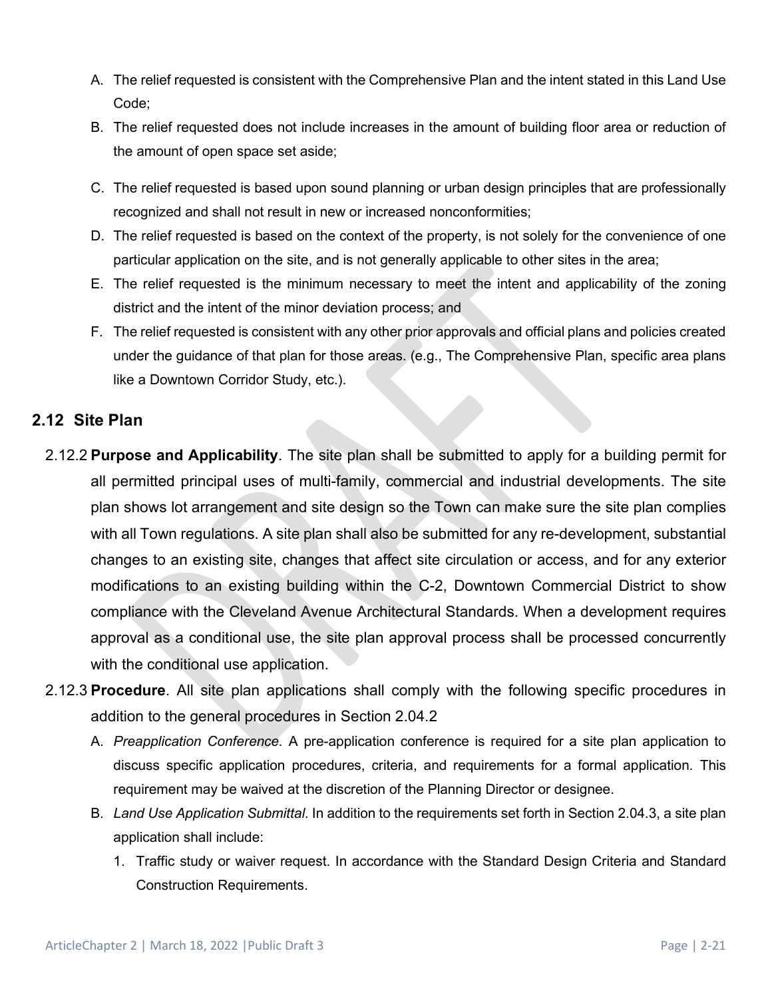- A. The relief requested is consistent with the Comprehensive Plan and the intent stated in this Land Use Code;
- B. The relief requested does not include increases in the amount of building floor area or reduction of the amount of open space set aside;
- C. The relief requested is based upon sound planning or urban design principles that are professionally recognized and shall not result in new or increased nonconformities;
- D. The relief requested is based on the context of the property, is not solely for the convenience of one particular application on the site, and is not generally applicable to other sites in the area;
- E. The relief requested is the minimum necessary to meet the intent and applicability of the zoning district and the intent of the minor deviation process; and
- F. The relief requested is consistent with any other prior approvals and official plans and policies created under the guidance of that plan for those areas. (e.g., The Comprehensive Plan, specific area plans like a Downtown Corridor Study, etc.).

## **2.12 Site Plan**

- 2.12.2 **Purpose and Applicability**. The site plan shall be submitted to apply for a building permit for all permitted principal uses of multi-family, commercial and industrial developments. The site plan shows lot arrangement and site design so the Town can make sure the site plan complies with all Town regulations. A site plan shall also be submitted for any re-development, substantial changes to an existing site, changes that affect site circulation or access, and for any exterior modifications to an existing building within the C-2, Downtown Commercial District to show compliance with the Cleveland Avenue Architectural Standards. When a development requires approval as a conditional use, the site plan approval process shall be processed concurrently with the conditional use application.
- 2.12.3 **Procedure**. All site plan applications shall comply with the following specific procedures in addition to the general procedures in Section 2.04.2
	- A. *Preapplication Conference.* A pre-application conference is required for a site plan application to discuss specific application procedures, criteria, and requirements for a formal application. This requirement may be waived at the discretion of the Planning Director or designee.
	- B. *Land Use Application Submittal*. In addition to the requirements set forth in Section 2.04.3, a site plan application shall include:
		- 1. Traffic study or waiver request. In accordance with the Standard Design Criteria and Standard Construction Requirements.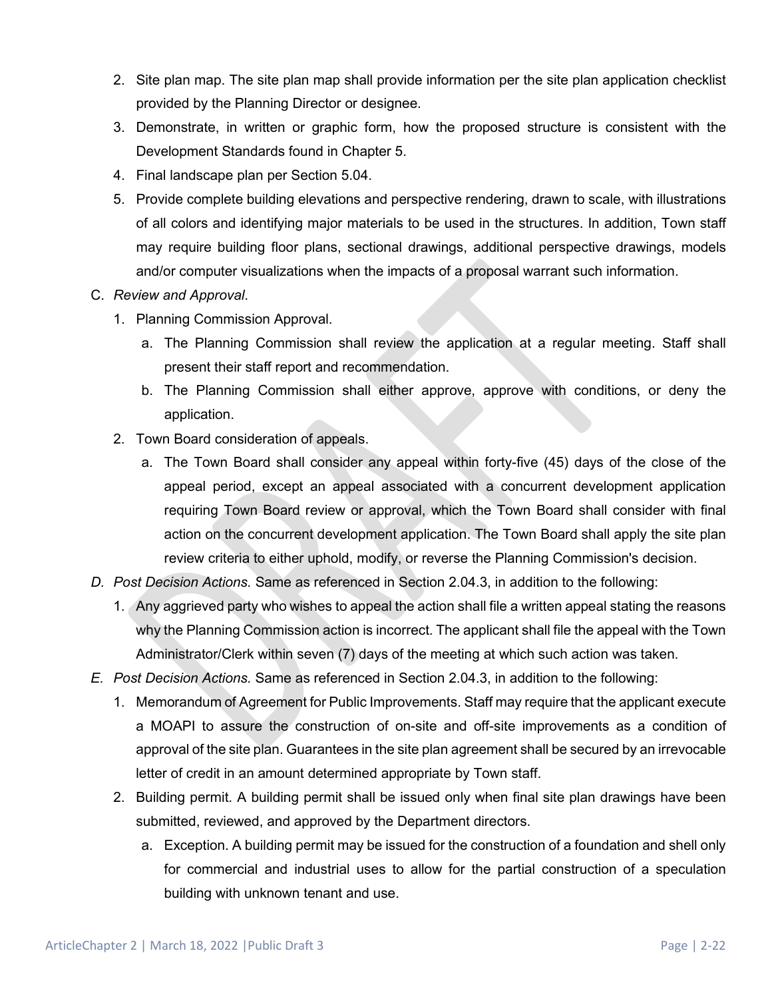- 2. Site plan map. The site plan map shall provide information per the site plan application checklist provided by the Planning Director or designee.
- 3. Demonstrate, in written or graphic form, how the proposed structure is consistent with the Development Standards found in Chapter 5.
- 4. Final landscape plan per Section 5.04.
- 5. Provide complete building elevations and perspective rendering, drawn to scale, with illustrations of all colors and identifying major materials to be used in the structures. In addition, Town staff may require building floor plans, sectional drawings, additional perspective drawings, models and/or computer visualizations when the impacts of a proposal warrant such information.

#### C. *Review and Approval*.

- 1. Planning Commission Approval.
	- a. The Planning Commission shall review the application at a regular meeting. Staff shall present their staff report and recommendation.
	- b. The Planning Commission shall either approve, approve with conditions, or deny the application.
- 2. Town Board consideration of appeals.
	- a. The Town Board shall consider any appeal within forty-five (45) days of the close of the appeal period, except an appeal associated with a concurrent development application requiring Town Board review or approval, which the Town Board shall consider with final action on the concurrent development application. The Town Board shall apply the site plan review criteria to either uphold, modify, or reverse the Planning Commission's decision.
- *D. Post Decision Actions.* Same as referenced in Section 2.04.3, in addition to the following:
	- 1. Any aggrieved party who wishes to appeal the action shall file a written appeal stating the reasons why the Planning Commission action is incorrect. The applicant shall file the appeal with the Town Administrator/Clerk within seven (7) days of the meeting at which such action was taken.
- *E. Post Decision Actions.* Same as referenced in Section 2.04.3, in addition to the following:
	- 1. Memorandum of Agreement for Public Improvements. Staff may require that the applicant execute a MOAPI to assure the construction of on-site and off-site improvements as a condition of approval of the site plan. Guarantees in the site plan agreement shall be secured by an irrevocable letter of credit in an amount determined appropriate by Town staff.
	- 2. Building permit. A building permit shall be issued only when final site plan drawings have been submitted, reviewed, and approved by the Department directors.
		- a. Exception. A building permit may be issued for the construction of a foundation and shell only for commercial and industrial uses to allow for the partial construction of a speculation building with unknown tenant and use.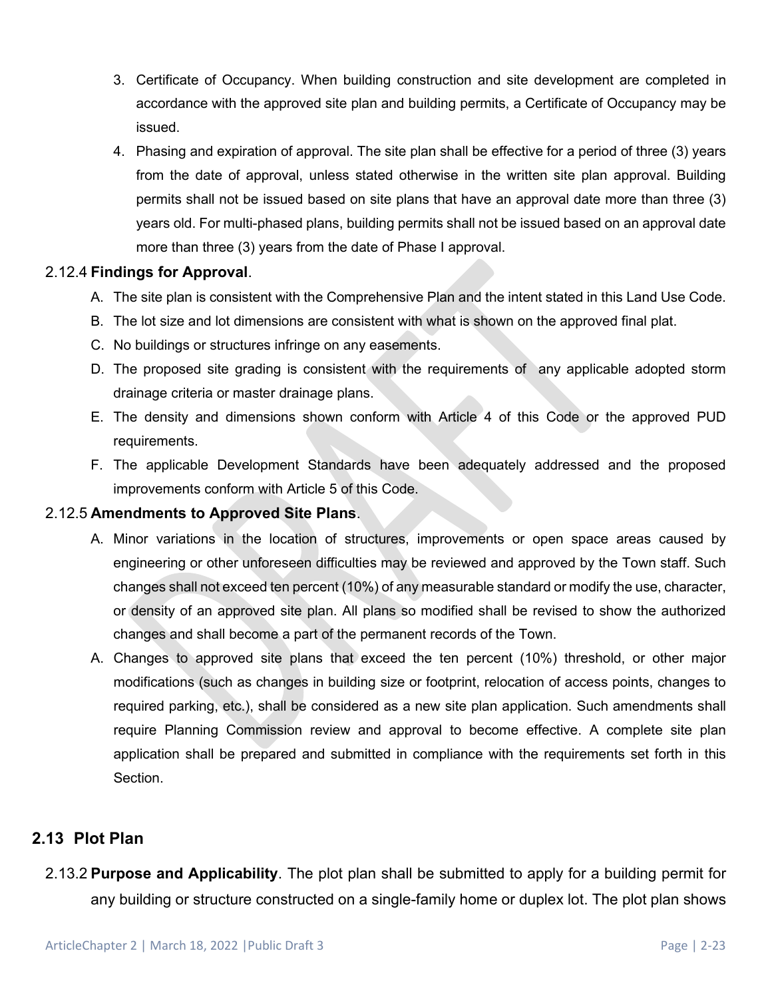- 3. Certificate of Occupancy. When building construction and site development are completed in accordance with the approved site plan and building permits, a Certificate of Occupancy may be issued.
- 4. Phasing and expiration of approval. The site plan shall be effective for a period of three (3) years from the date of approval, unless stated otherwise in the written site plan approval. Building permits shall not be issued based on site plans that have an approval date more than three (3) years old. For multi-phased plans, building permits shall not be issued based on an approval date more than three (3) years from the date of Phase I approval.

#### 2.12.4 **Findings for Approval**.

- A. The site plan is consistent with the Comprehensive Plan and the intent stated in this Land Use Code.
- B. The lot size and lot dimensions are consistent with what is shown on the approved final plat.
- C. No buildings or structures infringe on any easements.
- D. The proposed site grading is consistent with the requirements of any applicable adopted storm drainage criteria or master drainage plans.
- E. The density and dimensions shown conform with Article 4 of this Code or the approved PUD requirements.
- F. The applicable Development Standards have been adequately addressed and the proposed improvements conform with Article 5 of this Code.

#### 2.12.5 **Amendments to Approved Site Plans**.

- A. Minor variations in the location of structures, improvements or open space areas caused by engineering or other unforeseen difficulties may be reviewed and approved by the Town staff. Such changes shall not exceed ten percent (10%) of any measurable standard or modify the use, character, or density of an approved site plan. All plans so modified shall be revised to show the authorized changes and shall become a part of the permanent records of the Town.
- A. Changes to approved site plans that exceed the ten percent (10%) threshold, or other major modifications (such as changes in building size or footprint, relocation of access points, changes to required parking, etc.), shall be considered as a new site plan application. Such amendments shall require Planning Commission review and approval to become effective. A complete site plan application shall be prepared and submitted in compliance with the requirements set forth in this Section.

## **2.13 Plot Plan**

2.13.2 **Purpose and Applicability**. The plot plan shall be submitted to apply for a building permit for any building or structure constructed on a single-family home or duplex lot. The plot plan shows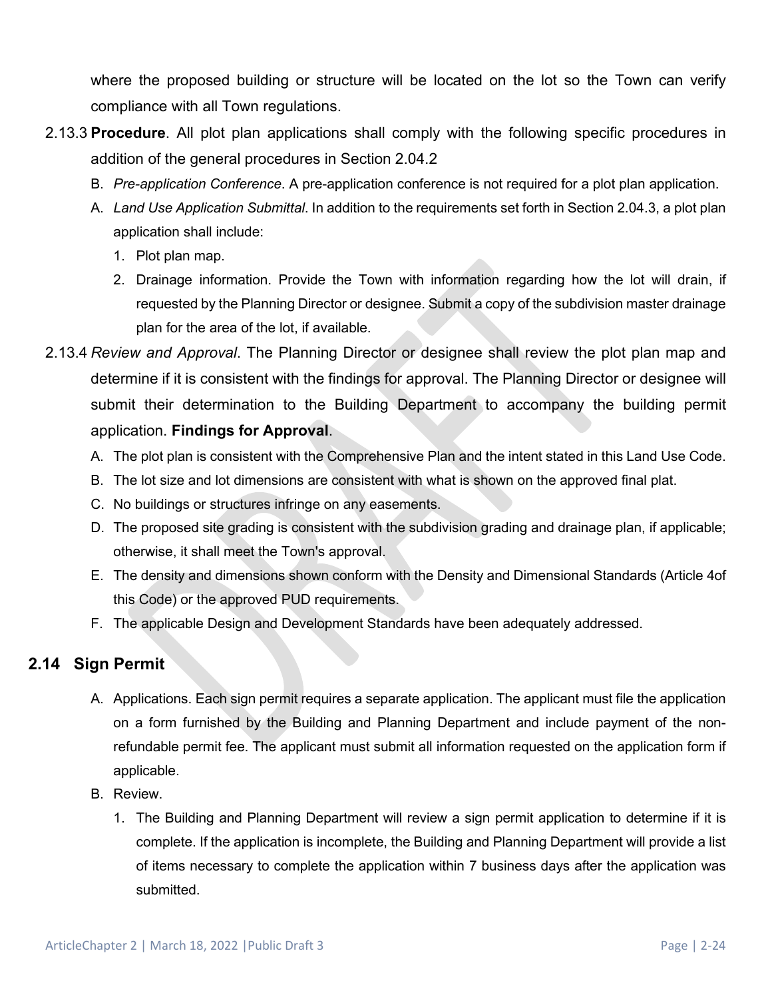where the proposed building or structure will be located on the lot so the Town can verify compliance with all Town regulations.

- 2.13.3 **Procedure**. All plot plan applications shall comply with the following specific procedures in addition of the general procedures in Section 2.04.2
	- B. *Pre-application Conference*. A pre-application conference is not required for a plot plan application.
	- A. *Land Use Application Submittal*. In addition to the requirements set forth in Section 2.04.3, a plot plan application shall include:
		- 1. Plot plan map.
		- 2. Drainage information. Provide the Town with information regarding how the lot will drain, if requested by the Planning Director or designee. Submit a copy of the subdivision master drainage plan for the area of the lot, if available.
- 2.13.4 *Review and Approval*. The Planning Director or designee shall review the plot plan map and determine if it is consistent with the findings for approval. The Planning Director or designee will submit their determination to the Building Department to accompany the building permit application. **Findings for Approval**.
	- A. The plot plan is consistent with the Comprehensive Plan and the intent stated in this Land Use Code.
	- B. The lot size and lot dimensions are consistent with what is shown on the approved final plat.
	- C. No buildings or structures infringe on any easements.
	- D. The proposed site grading is consistent with the subdivision grading and drainage plan, if applicable; otherwise, it shall meet the Town's approval.
	- E. The density and dimensions shown conform with the Density and Dimensional Standards (Article 4of this Code) or the approved PUD requirements.
	- F. The applicable Design and Development Standards have been adequately addressed.

# **2.14 Sign Permit**

- A. Applications. Each sign permit requires a separate application. The applicant must file the application on a form furnished by the Building and Planning Department and include payment of the nonrefundable permit fee. The applicant must submit all information requested on the application form if applicable.
- B. Review.
	- 1. The Building and Planning Department will review a sign permit application to determine if it is complete. If the application is incomplete, the Building and Planning Department will provide a list of items necessary to complete the application within 7 business days after the application was submitted.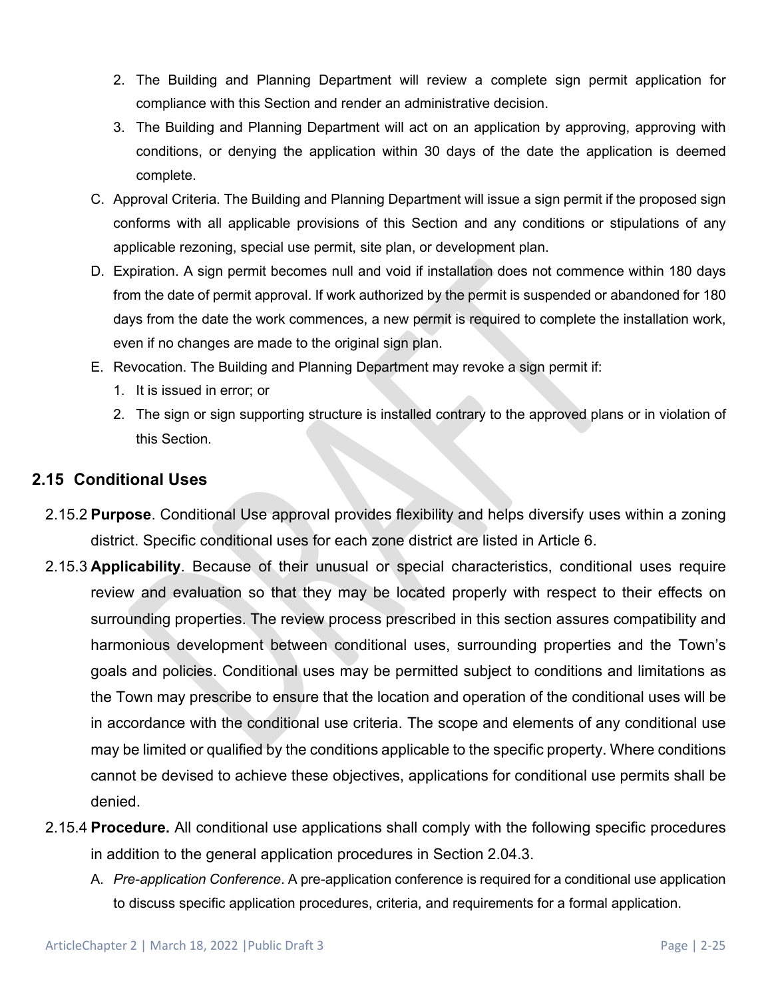- 2. The Building and Planning Department will review a complete sign permit application for compliance with this Section and render an administrative decision.
- 3. The Building and Planning Department will act on an application by approving, approving with conditions, or denying the application within 30 days of the date the application is deemed complete.
- C. Approval Criteria. The Building and Planning Department will issue a sign permit if the proposed sign conforms with all applicable provisions of this Section and any conditions or stipulations of any applicable rezoning, special use permit, site plan, or development plan.
- D. Expiration. A sign permit becomes null and void if installation does not commence within 180 days from the date of permit approval. If work authorized by the permit is suspended or abandoned for 180 days from the date the work commences, a new permit is required to complete the installation work, even if no changes are made to the original sign plan.
- E. Revocation. The Building and Planning Department may revoke a sign permit if:
	- 1. It is issued in error; or
	- 2. The sign or sign supporting structure is installed contrary to the approved plans or in violation of this Section.

## **2.15 Conditional Uses**

- 2.15.2 **Purpose**. Conditional Use approval provides flexibility and helps diversify uses within a zoning district. Specific conditional uses for each zone district are listed in Article 6.
- 2.15.3 **Applicability**. Because of their unusual or special characteristics, conditional uses require review and evaluation so that they may be located properly with respect to their effects on surrounding properties. The review process prescribed in this section assures compatibility and harmonious development between conditional uses, surrounding properties and the Town's goals and policies. Conditional uses may be permitted subject to conditions and limitations as the Town may prescribe to ensure that the location and operation of the conditional uses will be in accordance with the conditional use criteria. The scope and elements of any conditional use may be limited or qualified by the conditions applicable to the specific property. Where conditions cannot be devised to achieve these objectives, applications for conditional use permits shall be denied.
- 2.15.4 **Procedure.** All conditional use applications shall comply with the following specific procedures in addition to the general application procedures in Section 2.04.3.
	- A. *Pre-application Conference*. A pre-application conference is required for a conditional use application to discuss specific application procedures, criteria, and requirements for a formal application.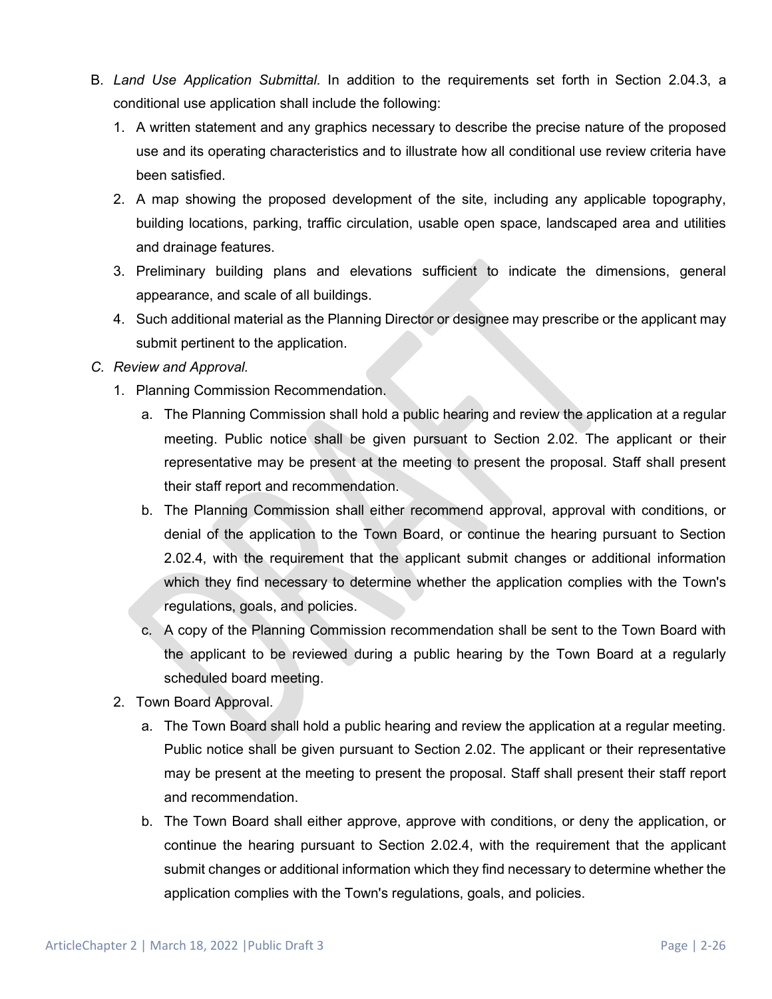- B. *Land Use Application Submittal*. In addition to the requirements set forth in Section 2.04.3, a conditional use application shall include the following:
	- 1. A written statement and any graphics necessary to describe the precise nature of the proposed use and its operating characteristics and to illustrate how all conditional use review criteria have been satisfied.
	- 2. A map showing the proposed development of the site, including any applicable topography, building locations, parking, traffic circulation, usable open space, landscaped area and utilities and drainage features.
	- 3. Preliminary building plans and elevations sufficient to indicate the dimensions, general appearance, and scale of all buildings.
	- 4. Such additional material as the Planning Director or designee may prescribe or the applicant may submit pertinent to the application.

#### *C. Review and Approval.*

- 1. Planning Commission Recommendation.
	- a. The Planning Commission shall hold a public hearing and review the application at a regular meeting. Public notice shall be given pursuant to Section 2.02. The applicant or their representative may be present at the meeting to present the proposal. Staff shall present their staff report and recommendation.
	- b. The Planning Commission shall either recommend approval, approval with conditions, or denial of the application to the Town Board, or continue the hearing pursuant to Section 2.02.4, with the requirement that the applicant submit changes or additional information which they find necessary to determine whether the application complies with the Town's regulations, goals, and policies.
	- c. A copy of the Planning Commission recommendation shall be sent to the Town Board with the applicant to be reviewed during a public hearing by the Town Board at a regularly scheduled board meeting.
- 2. Town Board Approval.
	- a. The Town Board shall hold a public hearing and review the application at a regular meeting. Public notice shall be given pursuant to Section 2.02. The applicant or their representative may be present at the meeting to present the proposal. Staff shall present their staff report and recommendation.
	- b. The Town Board shall either approve, approve with conditions, or deny the application, or continue the hearing pursuant to Section 2.02.4, with the requirement that the applicant submit changes or additional information which they find necessary to determine whether the application complies with the Town's regulations, goals, and policies.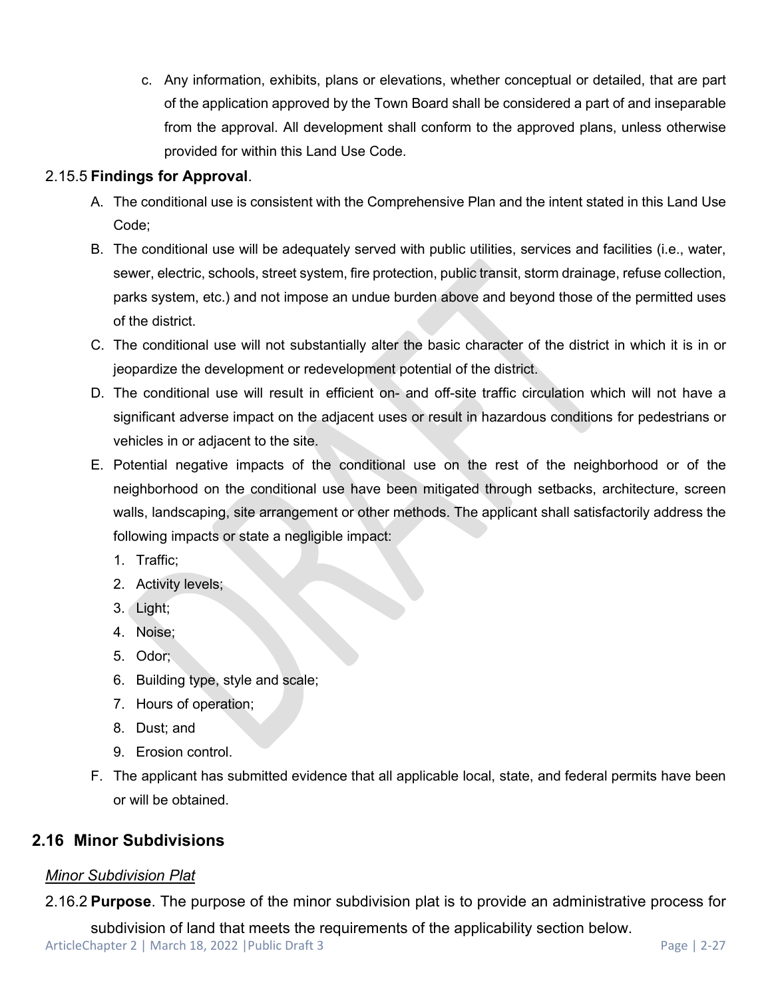c. Any information, exhibits, plans or elevations, whether conceptual or detailed, that are part of the application approved by the Town Board shall be considered a part of and inseparable from the approval. All development shall conform to the approved plans, unless otherwise provided for within this Land Use Code.

## 2.15.5 **Findings for Approval**.

- A. The conditional use is consistent with the Comprehensive Plan and the intent stated in this Land Use Code;
- B. The conditional use will be adequately served with public utilities, services and facilities (i.e., water, sewer, electric, schools, street system, fire protection, public transit, storm drainage, refuse collection, parks system, etc.) and not impose an undue burden above and beyond those of the permitted uses of the district.
- C. The conditional use will not substantially alter the basic character of the district in which it is in or jeopardize the development or redevelopment potential of the district.
- D. The conditional use will result in efficient on- and off-site traffic circulation which will not have a significant adverse impact on the adjacent uses or result in hazardous conditions for pedestrians or vehicles in or adjacent to the site.
- E. Potential negative impacts of the conditional use on the rest of the neighborhood or of the neighborhood on the conditional use have been mitigated through setbacks, architecture, screen walls, landscaping, site arrangement or other methods. The applicant shall satisfactorily address the following impacts or state a negligible impact:
	- 1. Traffic;
	- 2. Activity levels;
	- 3. Light;
	- 4. Noise;
	- 5. Odor;
	- 6. Building type, style and scale;
	- 7. Hours of operation;
	- 8. Dust; and
	- 9. Erosion control.
- F. The applicant has submitted evidence that all applicable local, state, and federal permits have been or will be obtained.

# **2.16 Minor Subdivisions**

### *Minor Subdivision Plat*

2.16.2 **Purpose**. The purpose of the minor subdivision plat is to provide an administrative process for

subdivision of land that meets the requirements of the applicability section below.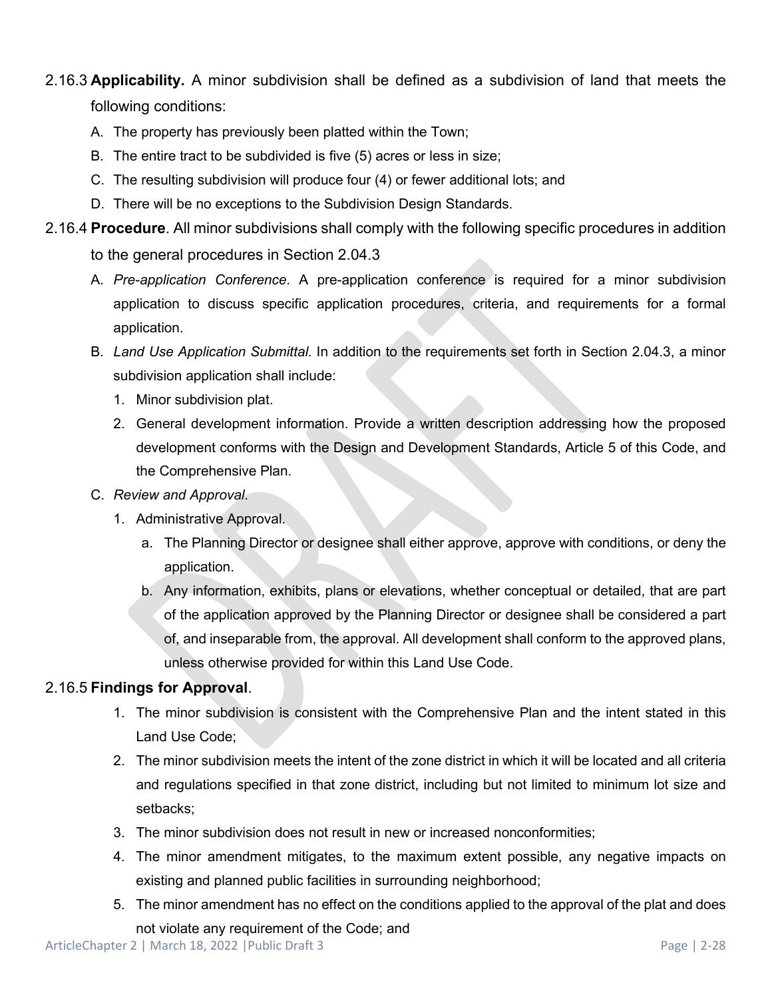# 2.16.3 **Applicability.** A minor subdivision shall be defined as a subdivision of land that meets the following conditions:

- A. The property has previously been platted within the Town;
- B. The entire tract to be subdivided is five (5) acres or less in size;
- C. The resulting subdivision will produce four (4) or fewer additional lots; and
- D. There will be no exceptions to the Subdivision Design Standards.
- 2.16.4 **Procedure**. All minor subdivisions shall comply with the following specific procedures in addition to the general procedures in Section 2.04.3
	- A. *Pre-application Conference*. A pre-application conference is required for a minor subdivision application to discuss specific application procedures, criteria, and requirements for a formal application.
	- B. *Land Use Application Submittal*. In addition to the requirements set forth in Section 2.04.3, a minor subdivision application shall include:
		- 1. Minor subdivision plat.
		- 2. General development information. Provide a written description addressing how the proposed development conforms with the Design and Development Standards, Article 5 of this Code, and the Comprehensive Plan.
	- C. *Review and Approval*.
		- 1. Administrative Approval.
			- a. The Planning Director or designee shall either approve, approve with conditions, or deny the application.
			- b. Any information, exhibits, plans or elevations, whether conceptual or detailed, that are part of the application approved by the Planning Director or designee shall be considered a part of, and inseparable from, the approval. All development shall conform to the approved plans, unless otherwise provided for within this Land Use Code.

#### 2.16.5 **Findings for Approval**.

- 1. The minor subdivision is consistent with the Comprehensive Plan and the intent stated in this Land Use Code;
- 2. The minor subdivision meets the intent of the zone district in which it will be located and all criteria and regulations specified in that zone district, including but not limited to minimum lot size and setbacks;
- 3. The minor subdivision does not result in new or increased nonconformities;
- 4. The minor amendment mitigates, to the maximum extent possible, any negative impacts on existing and planned public facilities in surrounding neighborhood;
- 5. The minor amendment has no effect on the conditions applied to the approval of the plat and does not violate any requirement of the Code; and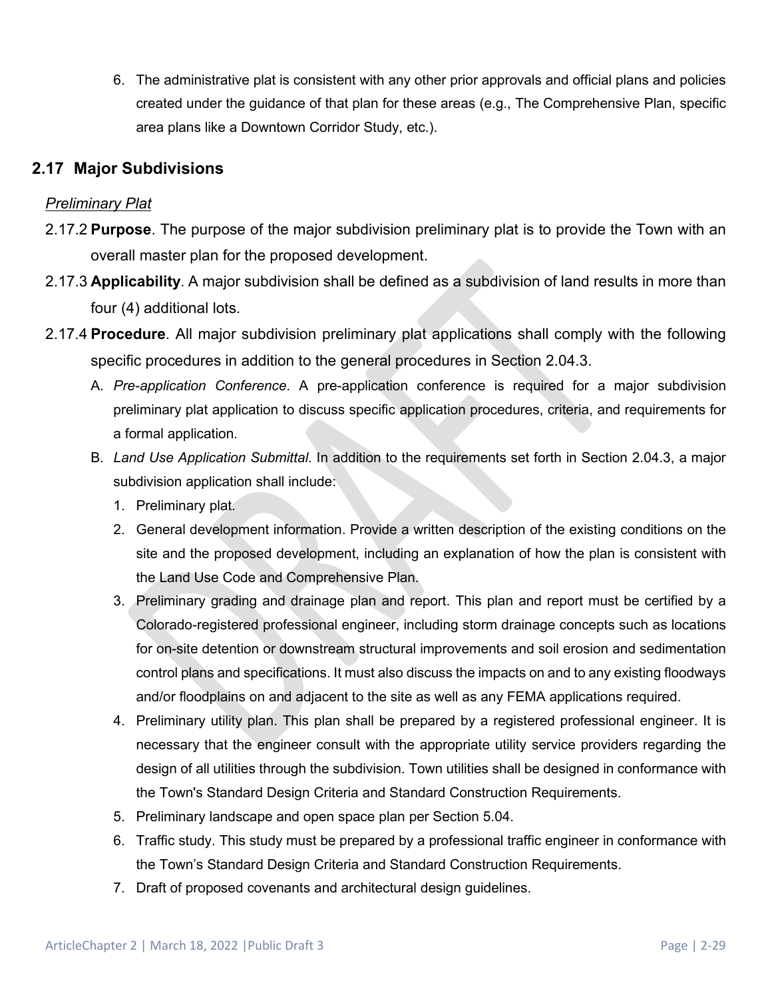6. The administrative plat is consistent with any other prior approvals and official plans and policies created under the guidance of that plan for these areas (e.g., The Comprehensive Plan, specific area plans like a Downtown Corridor Study, etc.).

# **2.17 Major Subdivisions**

## *Preliminary Plat*

- 2.17.2 **Purpose**. The purpose of the major subdivision preliminary plat is to provide the Town with an overall master plan for the proposed development.
- 2.17.3 **Applicability**. A major subdivision shall be defined as a subdivision of land results in more than four (4) additional lots.
- 2.17.4 **Procedure**. All major subdivision preliminary plat applications shall comply with the following specific procedures in addition to the general procedures in Section 2.04.3.
	- A. *Pre-application Conference*. A pre-application conference is required for a major subdivision preliminary plat application to discuss specific application procedures, criteria, and requirements for a formal application.
	- B. *Land Use Application Submittal*. In addition to the requirements set forth in Section 2.04.3, a major subdivision application shall include:
		- 1. Preliminary plat.
		- 2. General development information. Provide a written description of the existing conditions on the site and the proposed development, including an explanation of how the plan is consistent with the Land Use Code and Comprehensive Plan.
		- 3. Preliminary grading and drainage plan and report. This plan and report must be certified by a Colorado-registered professional engineer, including storm drainage concepts such as locations for on-site detention or downstream structural improvements and soil erosion and sedimentation control plans and specifications. It must also discuss the impacts on and to any existing floodways and/or floodplains on and adjacent to the site as well as any FEMA applications required.
		- 4. Preliminary utility plan. This plan shall be prepared by a registered professional engineer. It is necessary that the engineer consult with the appropriate utility service providers regarding the design of all utilities through the subdivision. Town utilities shall be designed in conformance with the Town's Standard Design Criteria and Standard Construction Requirements.
		- 5. Preliminary landscape and open space plan per Section 5.04.
		- 6. Traffic study. This study must be prepared by a professional traffic engineer in conformance with the Town's Standard Design Criteria and Standard Construction Requirements.
		- 7. Draft of proposed covenants and architectural design guidelines.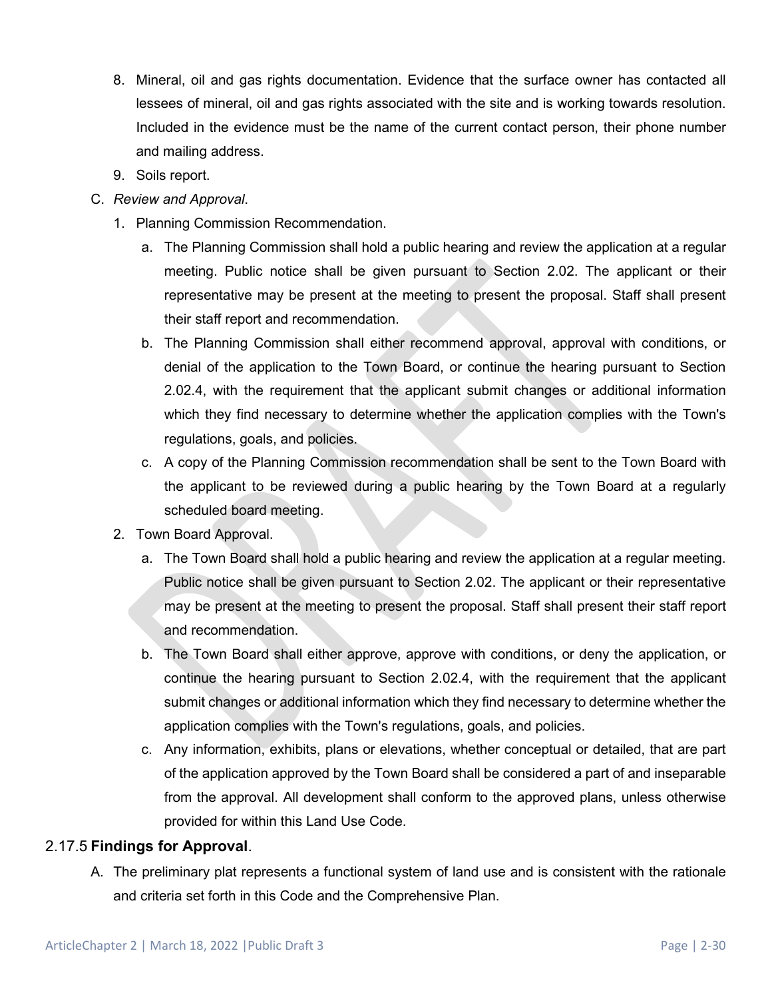- 8. Mineral, oil and gas rights documentation. Evidence that the surface owner has contacted all lessees of mineral, oil and gas rights associated with the site and is working towards resolution. Included in the evidence must be the name of the current contact person, their phone number and mailing address.
- 9. Soils report.
- C. *Review and Approval*.
	- 1. Planning Commission Recommendation.
		- a. The Planning Commission shall hold a public hearing and review the application at a regular meeting. Public notice shall be given pursuant to Section 2.02. The applicant or their representative may be present at the meeting to present the proposal. Staff shall present their staff report and recommendation.
		- b. The Planning Commission shall either recommend approval, approval with conditions, or denial of the application to the Town Board, or continue the hearing pursuant to Section 2.02.4, with the requirement that the applicant submit changes or additional information which they find necessary to determine whether the application complies with the Town's regulations, goals, and policies.
		- c. A copy of the Planning Commission recommendation shall be sent to the Town Board with the applicant to be reviewed during a public hearing by the Town Board at a regularly scheduled board meeting.
	- 2. Town Board Approval.
		- a. The Town Board shall hold a public hearing and review the application at a regular meeting. Public notice shall be given pursuant to Section 2.02. The applicant or their representative may be present at the meeting to present the proposal. Staff shall present their staff report and recommendation.
		- b. The Town Board shall either approve, approve with conditions, or deny the application, or continue the hearing pursuant to Section 2.02.4, with the requirement that the applicant submit changes or additional information which they find necessary to determine whether the application complies with the Town's regulations, goals, and policies.
		- c. Any information, exhibits, plans or elevations, whether conceptual or detailed, that are part of the application approved by the Town Board shall be considered a part of and inseparable from the approval. All development shall conform to the approved plans, unless otherwise provided for within this Land Use Code.

### 2.17.5 **Findings for Approval**.

A. The preliminary plat represents a functional system of land use and is consistent with the rationale and criteria set forth in this Code and the Comprehensive Plan.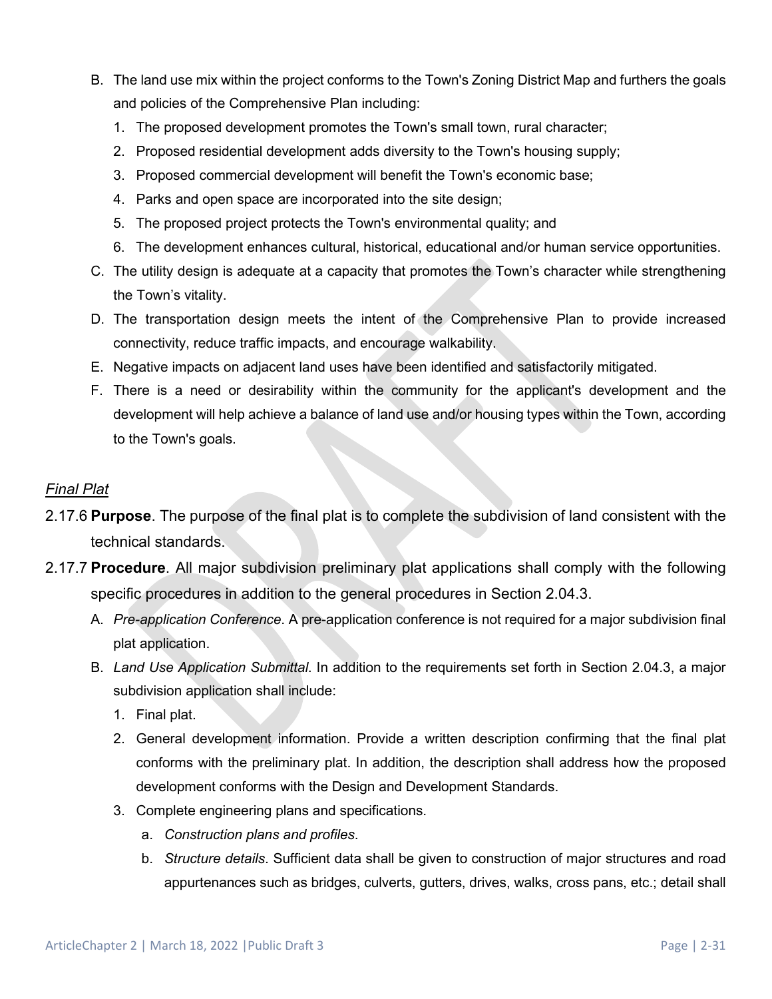- B. The land use mix within the project conforms to the Town's Zoning District Map and furthers the goals and policies of the Comprehensive Plan including:
	- 1. The proposed development promotes the Town's small town, rural character;
	- 2. Proposed residential development adds diversity to the Town's housing supply;
	- 3. Proposed commercial development will benefit the Town's economic base;
	- 4. Parks and open space are incorporated into the site design;
	- 5. The proposed project protects the Town's environmental quality; and
	- 6. The development enhances cultural, historical, educational and/or human service opportunities.
- C. The utility design is adequate at a capacity that promotes the Town's character while strengthening the Town's vitality.
- D. The transportation design meets the intent of the Comprehensive Plan to provide increased connectivity, reduce traffic impacts, and encourage walkability.
- E. Negative impacts on adjacent land uses have been identified and satisfactorily mitigated.
- F. There is a need or desirability within the community for the applicant's development and the development will help achieve a balance of land use and/or housing types within the Town, according to the Town's goals.

#### *Final Plat*

- 2.17.6 **Purpose**. The purpose of the final plat is to complete the subdivision of land consistent with the technical standards.
- 2.17.7 **Procedure**. All major subdivision preliminary plat applications shall comply with the following specific procedures in addition to the general procedures in Section 2.04.3.
	- A. *Pre-application Conference*. A pre-application conference is not required for a major subdivision final plat application.
	- B. *Land Use Application Submittal*. In addition to the requirements set forth in Section 2.04.3, a major subdivision application shall include:
		- 1. Final plat.
		- 2. General development information. Provide a written description confirming that the final plat conforms with the preliminary plat. In addition, the description shall address how the proposed development conforms with the Design and Development Standards.
		- 3. Complete engineering plans and specifications.
			- a. *Construction plans and profiles*.
			- b. *Structure details*. Sufficient data shall be given to construction of major structures and road appurtenances such as bridges, culverts, gutters, drives, walks, cross pans, etc.; detail shall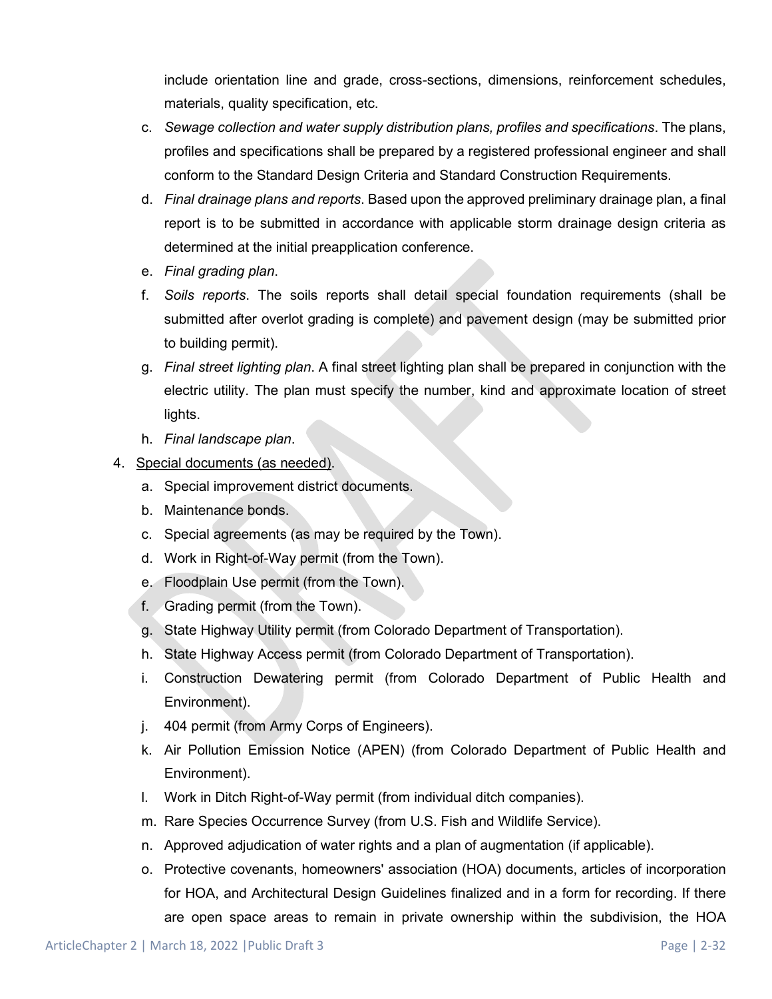include orientation line and grade, cross-sections, dimensions, reinforcement schedules, materials, quality specification, etc.

- c. *Sewage collection and water supply distribution plans, profiles and specifications*. The plans, profiles and specifications shall be prepared by a registered professional engineer and shall conform to the Standard Design Criteria and Standard Construction Requirements.
- d. *Final drainage plans and reports*. Based upon the approved preliminary drainage plan, a final report is to be submitted in accordance with applicable storm drainage design criteria as determined at the initial preapplication conference.
- e. *Final grading plan*.
- f. *Soils reports*. The soils reports shall detail special foundation requirements (shall be submitted after overlot grading is complete) and pavement design (may be submitted prior to building permit).
- g. *Final street lighting plan*. A final street lighting plan shall be prepared in conjunction with the electric utility. The plan must specify the number, kind and approximate location of street lights.
- h. *Final landscape plan*.
- 4. Special documents (as needed).
	- a. Special improvement district documents.
	- b. Maintenance bonds.
	- c. Special agreements (as may be required by the Town).
	- d. Work in Right-of-Way permit (from the Town).
	- e. Floodplain Use permit (from the Town).
	- f. Grading permit (from the Town).
	- g. State Highway Utility permit (from Colorado Department of Transportation).
	- h. State Highway Access permit (from Colorado Department of Transportation).
	- i. Construction Dewatering permit (from Colorado Department of Public Health and Environment).
	- j. 404 permit (from Army Corps of Engineers).
	- k. Air Pollution Emission Notice (APEN) (from Colorado Department of Public Health and Environment).
	- l. Work in Ditch Right-of-Way permit (from individual ditch companies).
	- m. Rare Species Occurrence Survey (from U.S. Fish and Wildlife Service).
	- n. Approved adjudication of water rights and a plan of augmentation (if applicable).
	- o. Protective covenants, homeowners' association (HOA) documents, articles of incorporation for HOA, and Architectural Design Guidelines finalized and in a form for recording. If there are open space areas to remain in private ownership within the subdivision, the HOA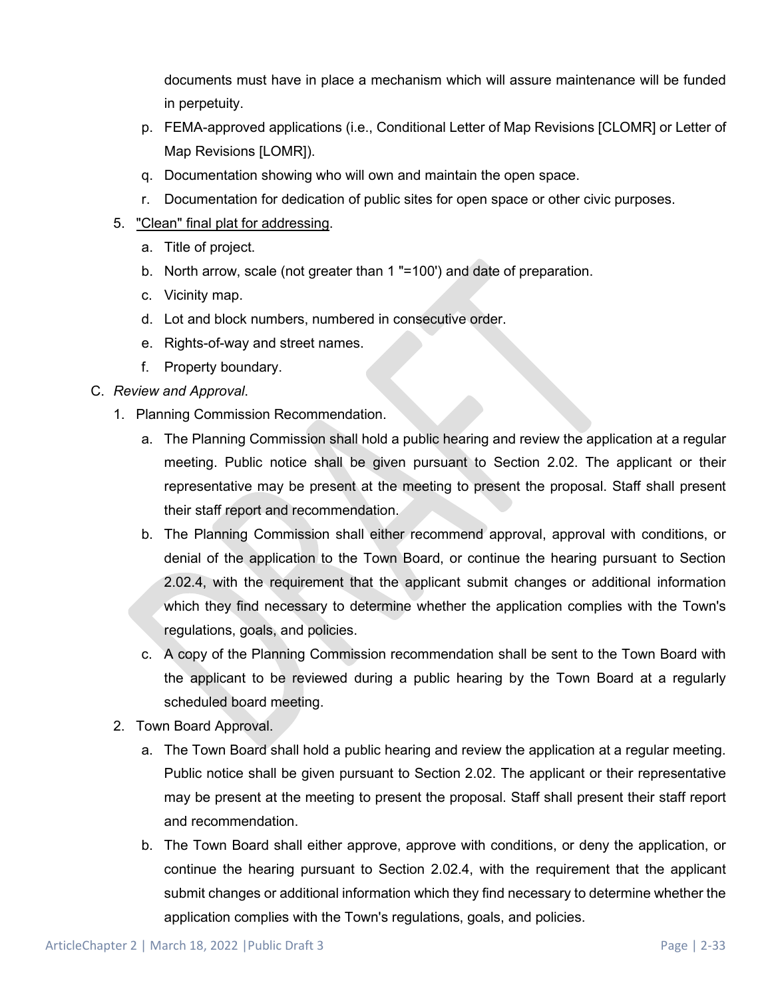documents must have in place a mechanism which will assure maintenance will be funded in perpetuity.

- p. FEMA-approved applications (i.e., Conditional Letter of Map Revisions [CLOMR] or Letter of Map Revisions [LOMR]).
- q. Documentation showing who will own and maintain the open space.
- r. Documentation for dedication of public sites for open space or other civic purposes.
- 5. "Clean" final plat for addressing.
	- a. Title of project.
	- b. North arrow, scale (not greater than 1 "=100') and date of preparation.
	- c. Vicinity map.
	- d. Lot and block numbers, numbered in consecutive order.
	- e. Rights-of-way and street names.
	- f. Property boundary.

C. *Review and Approval*.

- 1. Planning Commission Recommendation.
	- a. The Planning Commission shall hold a public hearing and review the application at a regular meeting. Public notice shall be given pursuant to Section 2.02. The applicant or their representative may be present at the meeting to present the proposal. Staff shall present their staff report and recommendation.
	- b. The Planning Commission shall either recommend approval, approval with conditions, or denial of the application to the Town Board, or continue the hearing pursuant to Section 2.02.4, with the requirement that the applicant submit changes or additional information which they find necessary to determine whether the application complies with the Town's regulations, goals, and policies.
	- c. A copy of the Planning Commission recommendation shall be sent to the Town Board with the applicant to be reviewed during a public hearing by the Town Board at a regularly scheduled board meeting.
- 2. Town Board Approval.
	- a. The Town Board shall hold a public hearing and review the application at a regular meeting. Public notice shall be given pursuant to Section 2.02. The applicant or their representative may be present at the meeting to present the proposal. Staff shall present their staff report and recommendation.
	- b. The Town Board shall either approve, approve with conditions, or deny the application, or continue the hearing pursuant to Section 2.02.4, with the requirement that the applicant submit changes or additional information which they find necessary to determine whether the application complies with the Town's regulations, goals, and policies.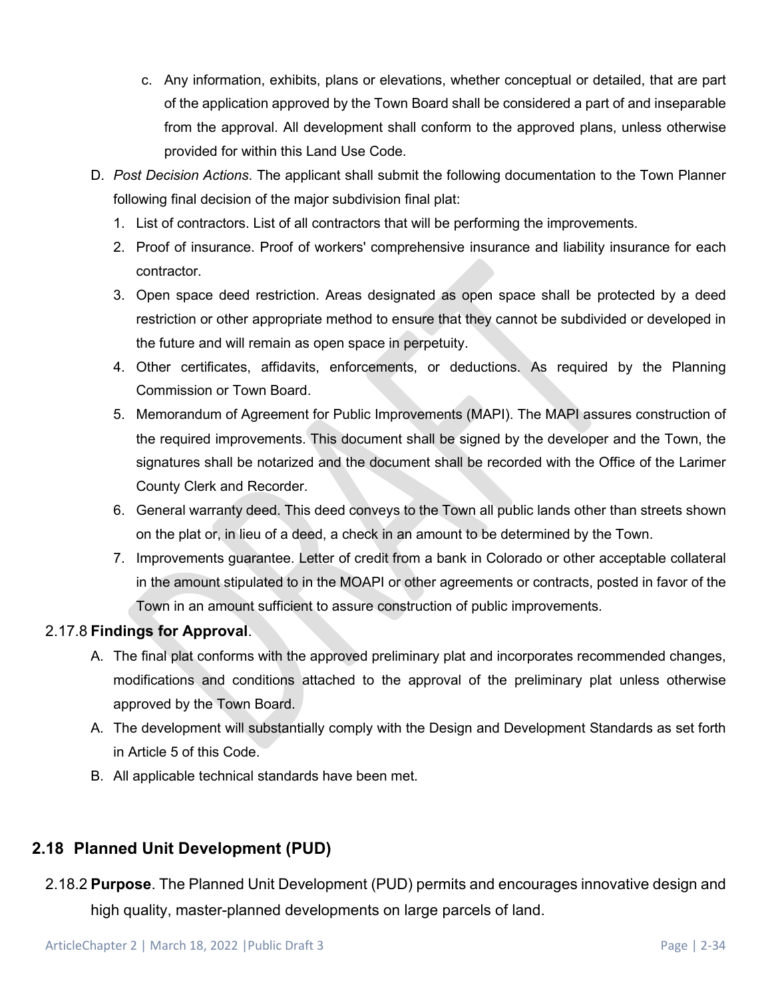- c. Any information, exhibits, plans or elevations, whether conceptual or detailed, that are part of the application approved by the Town Board shall be considered a part of and inseparable from the approval. All development shall conform to the approved plans, unless otherwise provided for within this Land Use Code.
- D. *Post Decision Actions*. The applicant shall submit the following documentation to the Town Planner following final decision of the major subdivision final plat:
	- 1. List of contractors. List of all contractors that will be performing the improvements.
	- 2. Proof of insurance. Proof of workers' comprehensive insurance and liability insurance for each contractor.
	- 3. Open space deed restriction. Areas designated as open space shall be protected by a deed restriction or other appropriate method to ensure that they cannot be subdivided or developed in the future and will remain as open space in perpetuity.
	- 4. Other certificates, affidavits, enforcements, or deductions. As required by the Planning Commission or Town Board.
	- 5. Memorandum of Agreement for Public Improvements (MAPI). The MAPI assures construction of the required improvements. This document shall be signed by the developer and the Town, the signatures shall be notarized and the document shall be recorded with the Office of the Larimer County Clerk and Recorder.
	- 6. General warranty deed. This deed conveys to the Town all public lands other than streets shown on the plat or, in lieu of a deed, a check in an amount to be determined by the Town.
	- 7. Improvements guarantee. Letter of credit from a bank in Colorado or other acceptable collateral in the amount stipulated to in the MOAPI or other agreements or contracts, posted in favor of the Town in an amount sufficient to assure construction of public improvements.

## 2.17.8 **Findings for Approval**.

- A. The final plat conforms with the approved preliminary plat and incorporates recommended changes, modifications and conditions attached to the approval of the preliminary plat unless otherwise approved by the Town Board.
- A. The development will substantially comply with the Design and Development Standards as set forth in Article 5 of this Code.
- B. All applicable technical standards have been met.

# **2.18 Planned Unit Development (PUD)**

2.18.2 **Purpose**. The Planned Unit Development (PUD) permits and encourages innovative design and high quality, master-planned developments on large parcels of land.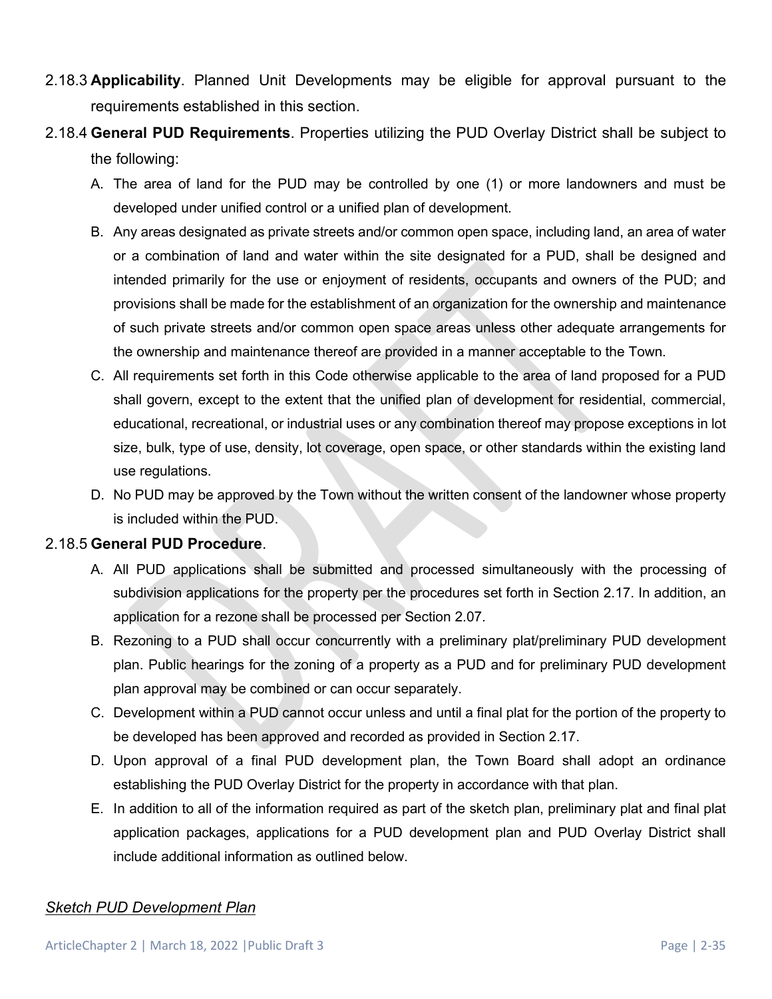- 2.18.3 **Applicability**. Planned Unit Developments may be eligible for approval pursuant to the requirements established in this section.
- 2.18.4 **General PUD Requirements**. Properties utilizing the PUD Overlay District shall be subject to the following:
	- A. The area of land for the PUD may be controlled by one (1) or more landowners and must be developed under unified control or a unified plan of development.
	- B. Any areas designated as private streets and/or common open space, including land, an area of water or a combination of land and water within the site designated for a PUD, shall be designed and intended primarily for the use or enjoyment of residents, occupants and owners of the PUD; and provisions shall be made for the establishment of an organization for the ownership and maintenance of such private streets and/or common open space areas unless other adequate arrangements for the ownership and maintenance thereof are provided in a manner acceptable to the Town.
	- C. All requirements set forth in this Code otherwise applicable to the area of land proposed for a PUD shall govern, except to the extent that the unified plan of development for residential, commercial, educational, recreational, or industrial uses or any combination thereof may propose exceptions in lot size, bulk, type of use, density, lot coverage, open space, or other standards within the existing land use regulations.
	- D. No PUD may be approved by the Town without the written consent of the landowner whose property is included within the PUD.

### 2.18.5 **General PUD Procedure**.

- A. All PUD applications shall be submitted and processed simultaneously with the processing of subdivision applications for the property per the procedures set forth in Section 2.17. In addition, an application for a rezone shall be processed per Section 2.07.
- B. Rezoning to a PUD shall occur concurrently with a preliminary plat/preliminary PUD development plan. Public hearings for the zoning of a property as a PUD and for preliminary PUD development plan approval may be combined or can occur separately.
- C. Development within a PUD cannot occur unless and until a final plat for the portion of the property to be developed has been approved and recorded as provided in Section 2.17.
- D. Upon approval of a final PUD development plan, the Town Board shall adopt an ordinance establishing the PUD Overlay District for the property in accordance with that plan.
- E. In addition to all of the information required as part of the sketch plan, preliminary plat and final plat application packages, applications for a PUD development plan and PUD Overlay District shall include additional information as outlined below.

#### *Sketch PUD Development Plan*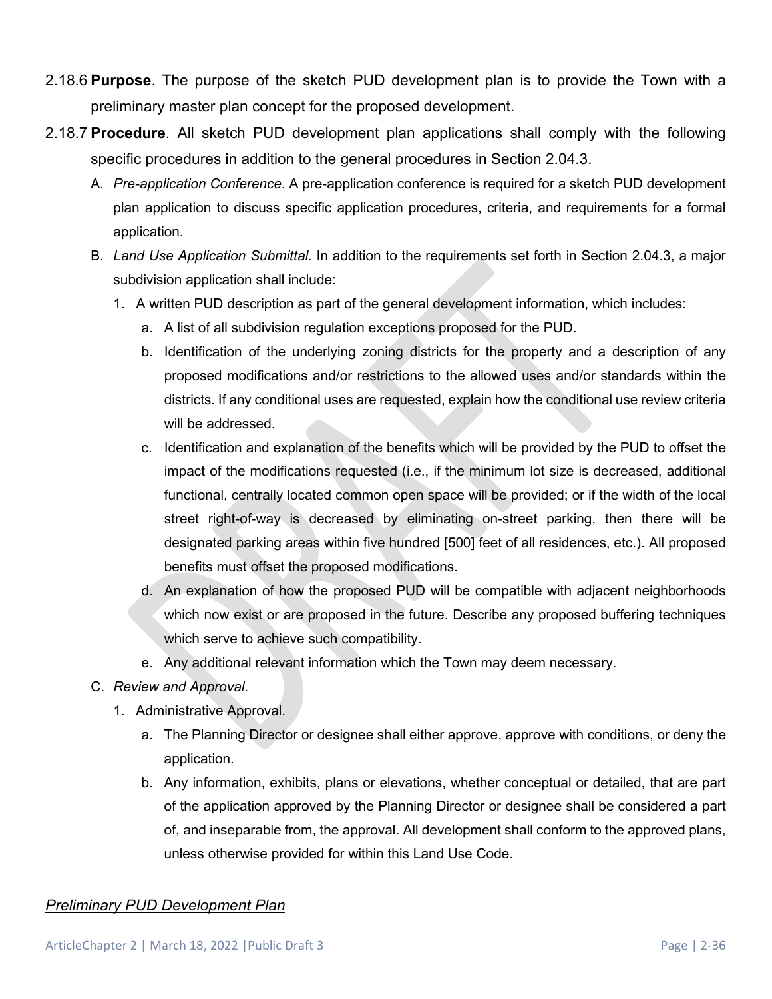- 2.18.6 **Purpose**. The purpose of the sketch PUD development plan is to provide the Town with a preliminary master plan concept for the proposed development.
- 2.18.7 **Procedure**. All sketch PUD development plan applications shall comply with the following specific procedures in addition to the general procedures in Section 2.04.3.
	- A. *Pre-application Conference*. A pre-application conference is required for a sketch PUD development plan application to discuss specific application procedures, criteria, and requirements for a formal application.
	- B. *Land Use Application Submittal*. In addition to the requirements set forth in Section 2.04.3, a major subdivision application shall include:
		- 1. A written PUD description as part of the general development information, which includes:
			- a. A list of all subdivision regulation exceptions proposed for the PUD.
			- b. Identification of the underlying zoning districts for the property and a description of any proposed modifications and/or restrictions to the allowed uses and/or standards within the districts. If any conditional uses are requested, explain how the conditional use review criteria will be addressed.
			- c. Identification and explanation of the benefits which will be provided by the PUD to offset the impact of the modifications requested (i.e., if the minimum lot size is decreased, additional functional, centrally located common open space will be provided; or if the width of the local street right-of-way is decreased by eliminating on-street parking, then there will be designated parking areas within five hundred [500] feet of all residences, etc.). All proposed benefits must offset the proposed modifications.
			- d. An explanation of how the proposed PUD will be compatible with adjacent neighborhoods which now exist or are proposed in the future. Describe any proposed buffering techniques which serve to achieve such compatibility.
			- e. Any additional relevant information which the Town may deem necessary.
	- C. *Review and Approval*.
		- 1. Administrative Approval.
			- a. The Planning Director or designee shall either approve, approve with conditions, or deny the application.
			- b. Any information, exhibits, plans or elevations, whether conceptual or detailed, that are part of the application approved by the Planning Director or designee shall be considered a part of, and inseparable from, the approval. All development shall conform to the approved plans, unless otherwise provided for within this Land Use Code.

### *Preliminary PUD Development Plan*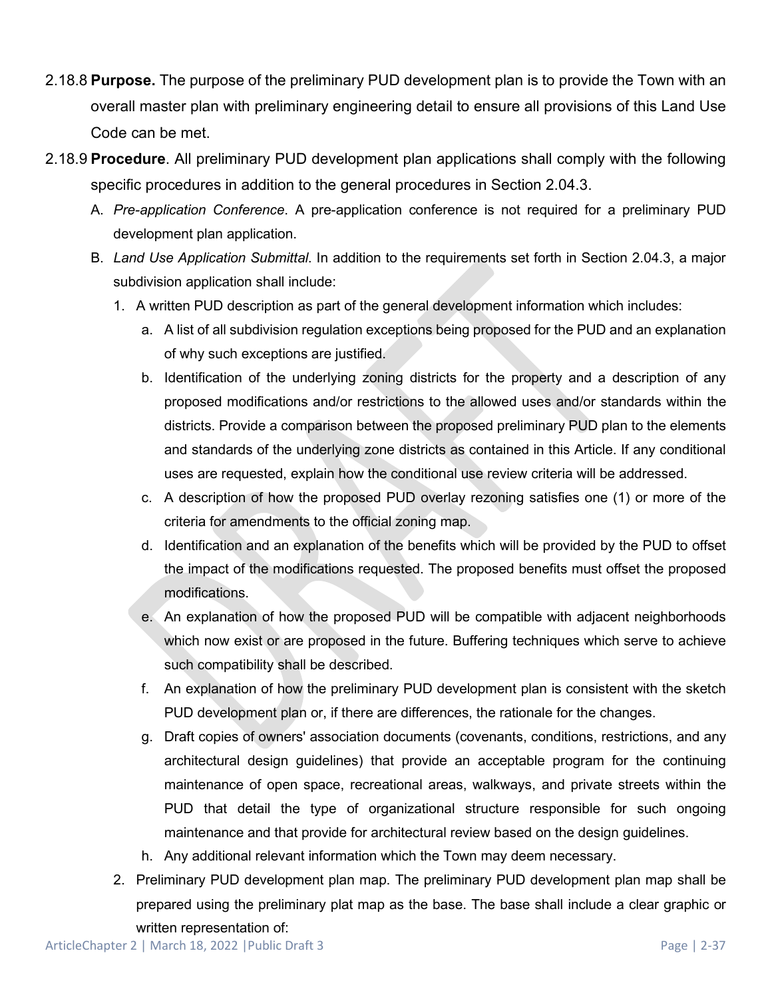- 2.18.8 **Purpose.** The purpose of the preliminary PUD development plan is to provide the Town with an overall master plan with preliminary engineering detail to ensure all provisions of this Land Use Code can be met.
- 2.18.9 **Procedure**. All preliminary PUD development plan applications shall comply with the following specific procedures in addition to the general procedures in Section 2.04.3.
	- A. *Pre-application Conference*. A pre-application conference is not required for a preliminary PUD development plan application.
	- B. *Land Use Application Submittal*. In addition to the requirements set forth in Section 2.04.3, a major subdivision application shall include:
		- 1. A written PUD description as part of the general development information which includes:
			- a. A list of all subdivision regulation exceptions being proposed for the PUD and an explanation of why such exceptions are justified.
			- b. Identification of the underlying zoning districts for the property and a description of any proposed modifications and/or restrictions to the allowed uses and/or standards within the districts. Provide a comparison between the proposed preliminary PUD plan to the elements and standards of the underlying zone districts as contained in this Article. If any conditional uses are requested, explain how the conditional use review criteria will be addressed.
			- c. A description of how the proposed PUD overlay rezoning satisfies one (1) or more of the criteria for amendments to the official zoning map.
			- d. Identification and an explanation of the benefits which will be provided by the PUD to offset the impact of the modifications requested. The proposed benefits must offset the proposed modifications.
			- e. An explanation of how the proposed PUD will be compatible with adjacent neighborhoods which now exist or are proposed in the future. Buffering techniques which serve to achieve such compatibility shall be described.
			- f. An explanation of how the preliminary PUD development plan is consistent with the sketch PUD development plan or, if there are differences, the rationale for the changes.
			- g. Draft copies of owners' association documents (covenants, conditions, restrictions, and any architectural design guidelines) that provide an acceptable program for the continuing maintenance of open space, recreational areas, walkways, and private streets within the PUD that detail the type of organizational structure responsible for such ongoing maintenance and that provide for architectural review based on the design guidelines.
			- h. Any additional relevant information which the Town may deem necessary.
		- 2. Preliminary PUD development plan map. The preliminary PUD development plan map shall be prepared using the preliminary plat map as the base. The base shall include a clear graphic or written representation of: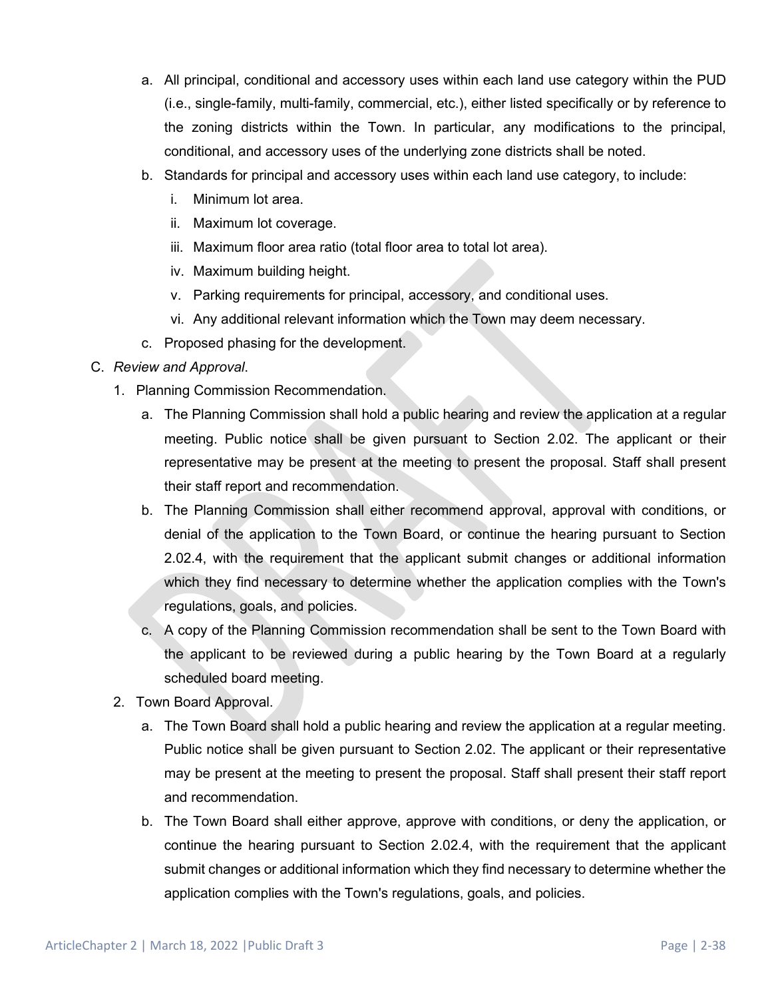- a. All principal, conditional and accessory uses within each land use category within the PUD (i.e., single-family, multi-family, commercial, etc.), either listed specifically or by reference to the zoning districts within the Town. In particular, any modifications to the principal, conditional, and accessory uses of the underlying zone districts shall be noted.
- b. Standards for principal and accessory uses within each land use category, to include:
	- i. Minimum lot area.
	- ii. Maximum lot coverage.
	- iii. Maximum floor area ratio (total floor area to total lot area).
	- iv. Maximum building height.
	- v. Parking requirements for principal, accessory, and conditional uses.
	- vi. Any additional relevant information which the Town may deem necessary.
- c. Proposed phasing for the development.
- C. *Review and Approval*.
	- 1. Planning Commission Recommendation.
		- a. The Planning Commission shall hold a public hearing and review the application at a regular meeting. Public notice shall be given pursuant to Section 2.02. The applicant or their representative may be present at the meeting to present the proposal. Staff shall present their staff report and recommendation.
		- b. The Planning Commission shall either recommend approval, approval with conditions, or denial of the application to the Town Board, or continue the hearing pursuant to Section 2.02.4, with the requirement that the applicant submit changes or additional information which they find necessary to determine whether the application complies with the Town's regulations, goals, and policies.
		- c. A copy of the Planning Commission recommendation shall be sent to the Town Board with the applicant to be reviewed during a public hearing by the Town Board at a regularly scheduled board meeting.
	- 2. Town Board Approval.
		- a. The Town Board shall hold a public hearing and review the application at a regular meeting. Public notice shall be given pursuant to Section 2.02. The applicant or their representative may be present at the meeting to present the proposal. Staff shall present their staff report and recommendation.
		- b. The Town Board shall either approve, approve with conditions, or deny the application, or continue the hearing pursuant to Section 2.02.4, with the requirement that the applicant submit changes or additional information which they find necessary to determine whether the application complies with the Town's regulations, goals, and policies.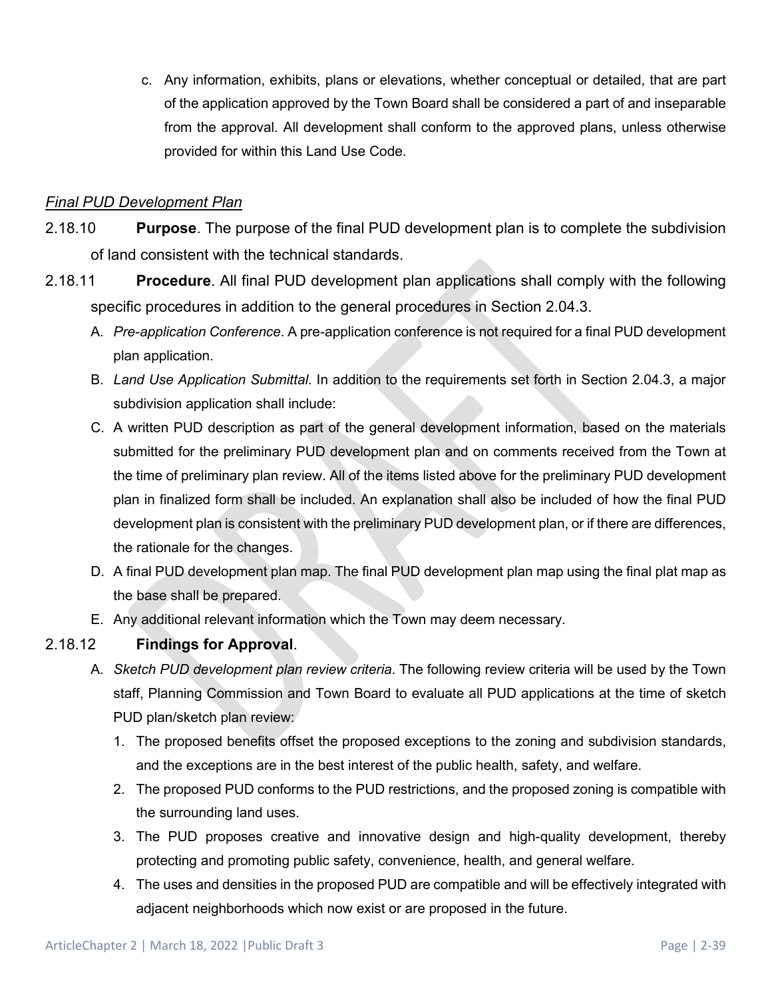c. Any information, exhibits, plans or elevations, whether conceptual or detailed, that are part of the application approved by the Town Board shall be considered a part of and inseparable from the approval. All development shall conform to the approved plans, unless otherwise provided for within this Land Use Code.

## *Final PUD Development Plan*

- 2.18.10 **Purpose**. The purpose of the final PUD development plan is to complete the subdivision of land consistent with the technical standards.
- 2.18.11 **Procedure**. All final PUD development plan applications shall comply with the following specific procedures in addition to the general procedures in Section 2.04.3.
	- A. *Pre-application Conference*. A pre-application conference is not required for a final PUD development plan application.
	- B. *Land Use Application Submittal*. In addition to the requirements set forth in Section 2.04.3, a major subdivision application shall include:
	- C. A written PUD description as part of the general development information, based on the materials submitted for the preliminary PUD development plan and on comments received from the Town at the time of preliminary plan review. All of the items listed above for the preliminary PUD development plan in finalized form shall be included. An explanation shall also be included of how the final PUD development plan is consistent with the preliminary PUD development plan, or if there are differences, the rationale for the changes.
	- D. A final PUD development plan map. The final PUD development plan map using the final plat map as the base shall be prepared.
	- E. Any additional relevant information which the Town may deem necessary.

## 2.18.12 **Findings for Approval**.

- A. *Sketch PUD development plan review criteria*. The following review criteria will be used by the Town staff, Planning Commission and Town Board to evaluate all PUD applications at the time of sketch PUD plan/sketch plan review:/
	- 1. The proposed benefits offset the proposed exceptions to the zoning and subdivision standards, and the exceptions are in the best interest of the public health, safety, and welfare.
	- 2. The proposed PUD conforms to the PUD restrictions, and the proposed zoning is compatible with the surrounding land uses.
	- 3. The PUD proposes creative and innovative design and high-quality development, thereby protecting and promoting public safety, convenience, health, and general welfare.
	- 4. The uses and densities in the proposed PUD are compatible and will be effectively integrated with adjacent neighborhoods which now exist or are proposed in the future.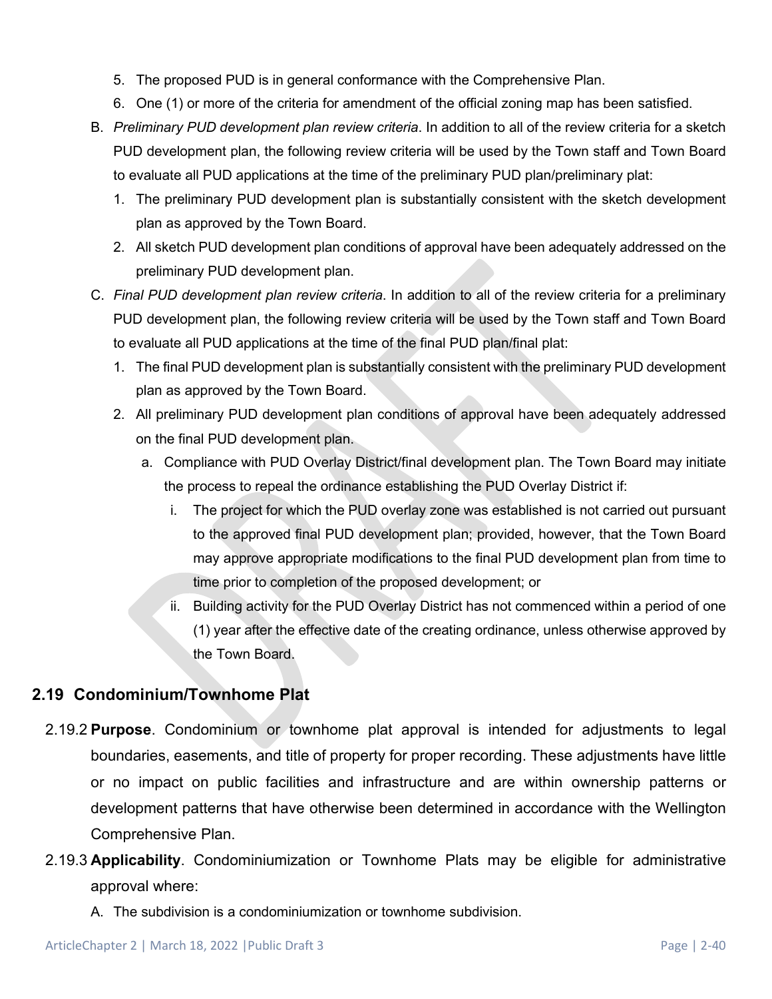- 5. The proposed PUD is in general conformance with the Comprehensive Plan.
- 6. One (1) or more of the criteria for amendment of the official zoning map has been satisfied.
- B. *Preliminary PUD development plan review criteria*. In addition to all of the review criteria for a sketch PUD development plan, the following review criteria will be used by the Town staff and Town Board to evaluate all PUD applications at the time of the preliminary PUD plan/preliminary plat:
	- 1. The preliminary PUD development plan is substantially consistent with the sketch development plan as approved by the Town Board.
	- 2. All sketch PUD development plan conditions of approval have been adequately addressed on the preliminary PUD development plan.
- C. *Final PUD development plan review criteria*. In addition to all of the review criteria for a preliminary PUD development plan, the following review criteria will be used by the Town staff and Town Board to evaluate all PUD applications at the time of the final PUD plan/final plat:
	- 1. The final PUD development plan is substantially consistent with the preliminary PUD development plan as approved by the Town Board.
	- 2. All preliminary PUD development plan conditions of approval have been adequately addressed on the final PUD development plan.
		- a. Compliance with PUD Overlay District/final development plan. The Town Board may initiate the process to repeal the ordinance establishing the PUD Overlay District if:
			- i. The project for which the PUD overlay zone was established is not carried out pursuant to the approved final PUD development plan; provided, however, that the Town Board may approve appropriate modifications to the final PUD development plan from time to time prior to completion of the proposed development; or
			- ii. Building activity for the PUD Overlay District has not commenced within a period of one (1) year after the effective date of the creating ordinance, unless otherwise approved by the Town Board.

# **2.19 Condominium/Townhome Plat**

- 2.19.2 **Purpose**. Condominium or townhome plat approval is intended for adjustments to legal boundaries, easements, and title of property for proper recording. These adjustments have little or no impact on public facilities and infrastructure and are within ownership patterns or development patterns that have otherwise been determined in accordance with the Wellington Comprehensive Plan.
- 2.19.3 **Applicability**. Condominiumization or Townhome Plats may be eligible for administrative approval where:
	- A. The subdivision is a condominiumization or townhome subdivision.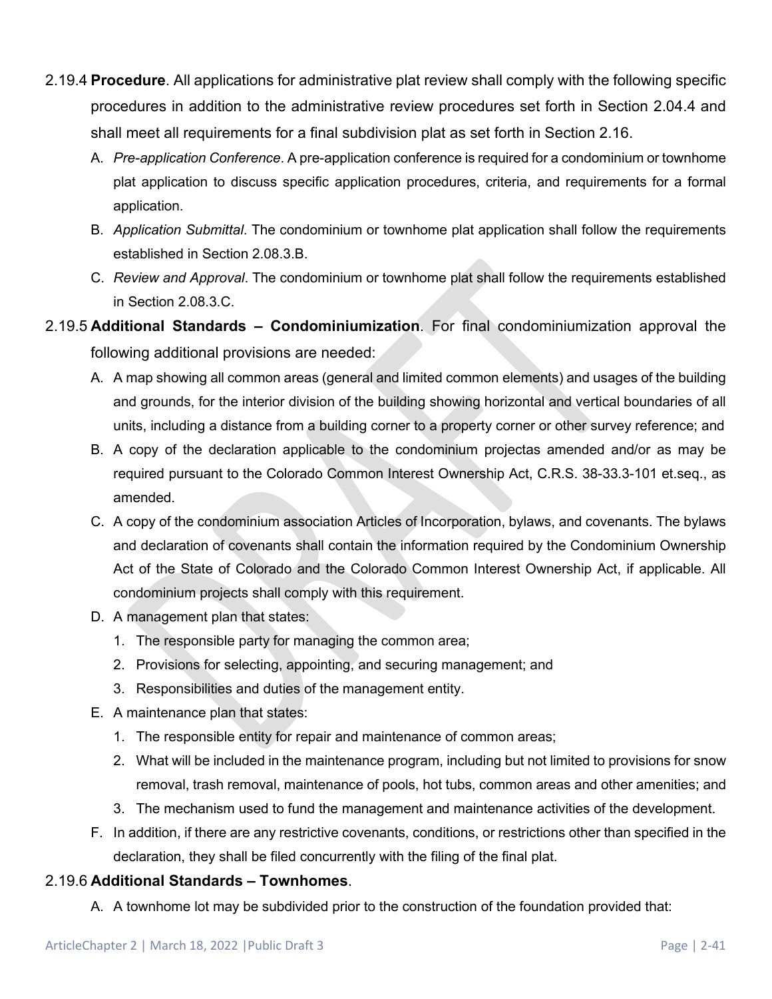- 2.19.4 **Procedure**. All applications for administrative plat review shall comply with the following specific procedures in addition to the administrative review procedures set forth in Section 2.04.4 and shall meet all requirements for a final subdivision plat as set forth in Section 2.16.
	- A. *Pre-application Conference*. A pre-application conference is required for a condominium or townhome plat application to discuss specific application procedures, criteria, and requirements for a formal application.
	- B. *Application Submittal*. The condominium or townhome plat application shall follow the requirements established in Section 2.08.3.B.
	- C. *Review and Approval*. The condominium or townhome plat shall follow the requirements established in Section 2.08.3.C.
- 2.19.5 **Additional Standards – Condominiumization**. For final condominiumization approval the following additional provisions are needed:
	- A. A map showing all common areas (general and limited common elements) and usages of the building and grounds, for the interior division of the building showing horizontal and vertical boundaries of all units, including a distance from a building corner to a property corner or other survey reference; and
	- B. A copy of the declaration applicable to the condominium projectas amended and/or as may be required pursuant to the Colorado Common Interest Ownership Act, C.R.S. 38-33.3-101 et.seq., as amended.
	- C. A copy of the condominium association Articles of Incorporation, bylaws, and covenants. The bylaws and declaration of covenants shall contain the information required by the Condominium Ownership Act of the State of Colorado and the Colorado Common Interest Ownership Act, if applicable. All condominium projects shall comply with this requirement.
	- D. A management plan that states:
		- 1. The responsible party for managing the common area;
		- 2. Provisions for selecting, appointing, and securing management; and
		- 3. Responsibilities and duties of the management entity.
	- E. A maintenance plan that states:
		- 1. The responsible entity for repair and maintenance of common areas;
		- 2. What will be included in the maintenance program, including but not limited to provisions for snow removal, trash removal, maintenance of pools, hot tubs, common areas and other amenities; and
		- 3. The mechanism used to fund the management and maintenance activities of the development.
	- F. In addition, if there are any restrictive covenants, conditions, or restrictions other than specified in the declaration, they shall be filed concurrently with the filing of the final plat.

## 2.19.6 **Additional Standards – Townhomes**.

A. A townhome lot may be subdivided prior to the construction of the foundation provided that: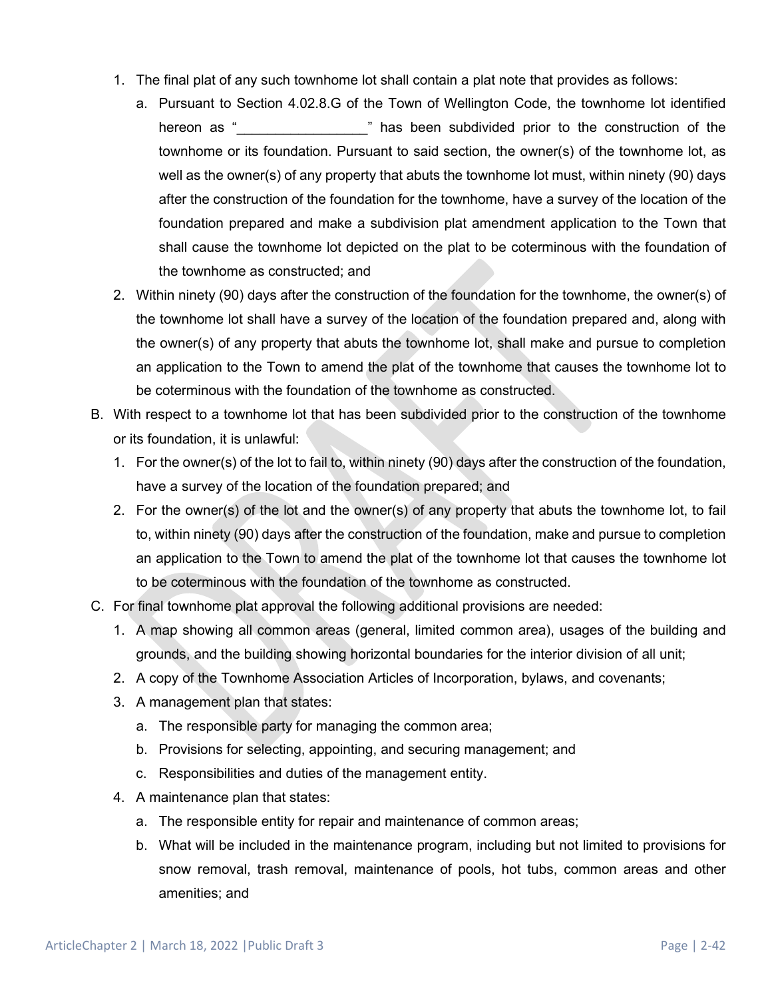- 1. The final plat of any such townhome lot shall contain a plat note that provides as follows:
	- a. Pursuant to Section 4.02.8.G of the Town of Wellington Code, the townhome lot identified hereon as " Thas been subdivided prior to the construction of the townhome or its foundation. Pursuant to said section, the owner(s) of the townhome lot, as well as the owner(s) of any property that abuts the townhome lot must, within ninety (90) days after the construction of the foundation for the townhome, have a survey of the location of the foundation prepared and make a subdivision plat amendment application to the Town that shall cause the townhome lot depicted on the plat to be coterminous with the foundation of the townhome as constructed; and
- 2. Within ninety (90) days after the construction of the foundation for the townhome, the owner(s) of the townhome lot shall have a survey of the location of the foundation prepared and, along with the owner(s) of any property that abuts the townhome lot, shall make and pursue to completion an application to the Town to amend the plat of the townhome that causes the townhome lot to be coterminous with the foundation of the townhome as constructed.
- B. With respect to a townhome lot that has been subdivided prior to the construction of the townhome or its foundation, it is unlawful:
	- 1. For the owner(s) of the lot to fail to, within ninety (90) days after the construction of the foundation, have a survey of the location of the foundation prepared; and
	- 2. For the owner(s) of the lot and the owner(s) of any property that abuts the townhome lot, to fail to, within ninety (90) days after the construction of the foundation, make and pursue to completion an application to the Town to amend the plat of the townhome lot that causes the townhome lot to be coterminous with the foundation of the townhome as constructed.
- C. For final townhome plat approval the following additional provisions are needed:
	- 1. A map showing all common areas (general, limited common area), usages of the building and grounds, and the building showing horizontal boundaries for the interior division of all unit;
	- 2. A copy of the Townhome Association Articles of Incorporation, bylaws, and covenants;
	- 3. A management plan that states:
		- a. The responsible party for managing the common area;
		- b. Provisions for selecting, appointing, and securing management; and
		- c. Responsibilities and duties of the management entity.
	- 4. A maintenance plan that states:
		- a. The responsible entity for repair and maintenance of common areas;
		- b. What will be included in the maintenance program, including but not limited to provisions for snow removal, trash removal, maintenance of pools, hot tubs, common areas and other amenities; and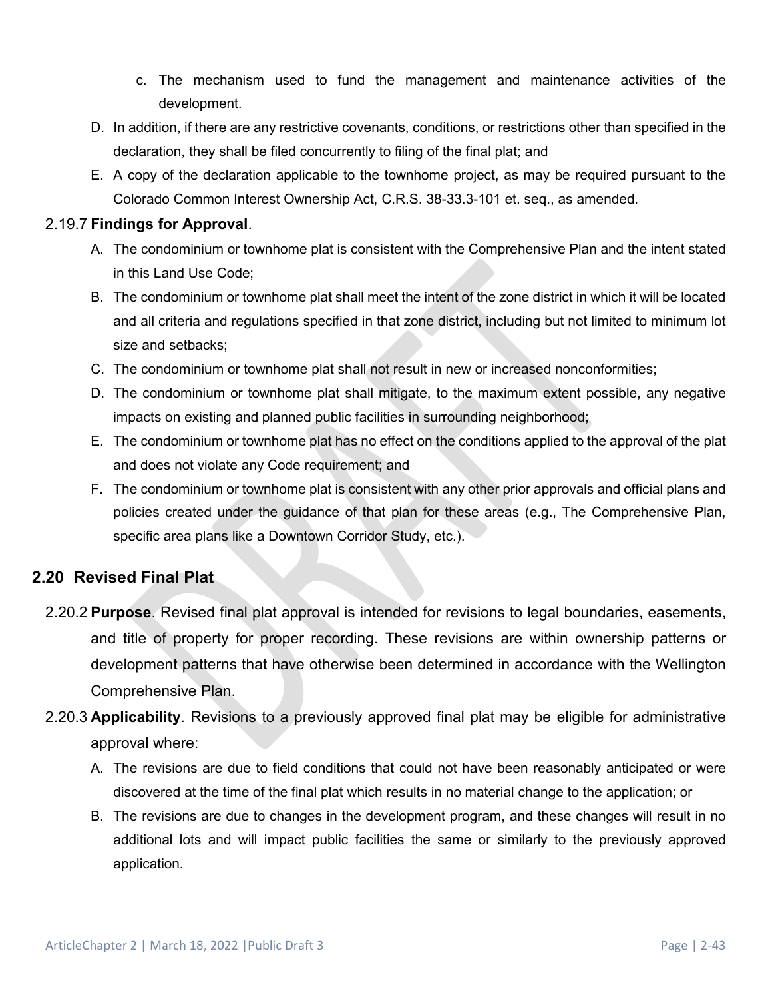- c. The mechanism used to fund the management and maintenance activities of the development.
- D. In addition, if there are any restrictive covenants, conditions, or restrictions other than specified in the declaration, they shall be filed concurrently to filing of the final plat; and
- E. A copy of the declaration applicable to the townhome project, as may be required pursuant to the Colorado Common Interest Ownership Act, C.R.S. 38-33.3-101 et. seq., as amended.

#### 2.19.7 **Findings for Approval**.

- A. The condominium or townhome plat is consistent with the Comprehensive Plan and the intent stated in this Land Use Code;
- B. The condominium or townhome plat shall meet the intent of the zone district in which it will be located and all criteria and regulations specified in that zone district, including but not limited to minimum lot size and setbacks;
- C. The condominium or townhome plat shall not result in new or increased nonconformities;
- D. The condominium or townhome plat shall mitigate, to the maximum extent possible, any negative impacts on existing and planned public facilities in surrounding neighborhood;
- E. The condominium or townhome plat has no effect on the conditions applied to the approval of the plat and does not violate any Code requirement; and
- F. The condominium or townhome plat is consistent with any other prior approvals and official plans and policies created under the guidance of that plan for these areas (e.g., The Comprehensive Plan, specific area plans like a Downtown Corridor Study, etc.).

## **2.20 Revised Final Plat**

- 2.20.2 **Purpose**. Revised final plat approval is intended for revisions to legal boundaries, easements, and title of property for proper recording. These revisions are within ownership patterns or development patterns that have otherwise been determined in accordance with the Wellington Comprehensive Plan.
- 2.20.3 **Applicability**. Revisions to a previously approved final plat may be eligible for administrative approval where:
	- A. The revisions are due to field conditions that could not have been reasonably anticipated or were discovered at the time of the final plat which results in no material change to the application; or
	- B. The revisions are due to changes in the development program, and these changes will result in no additional lots and will impact public facilities the same or similarly to the previously approved application.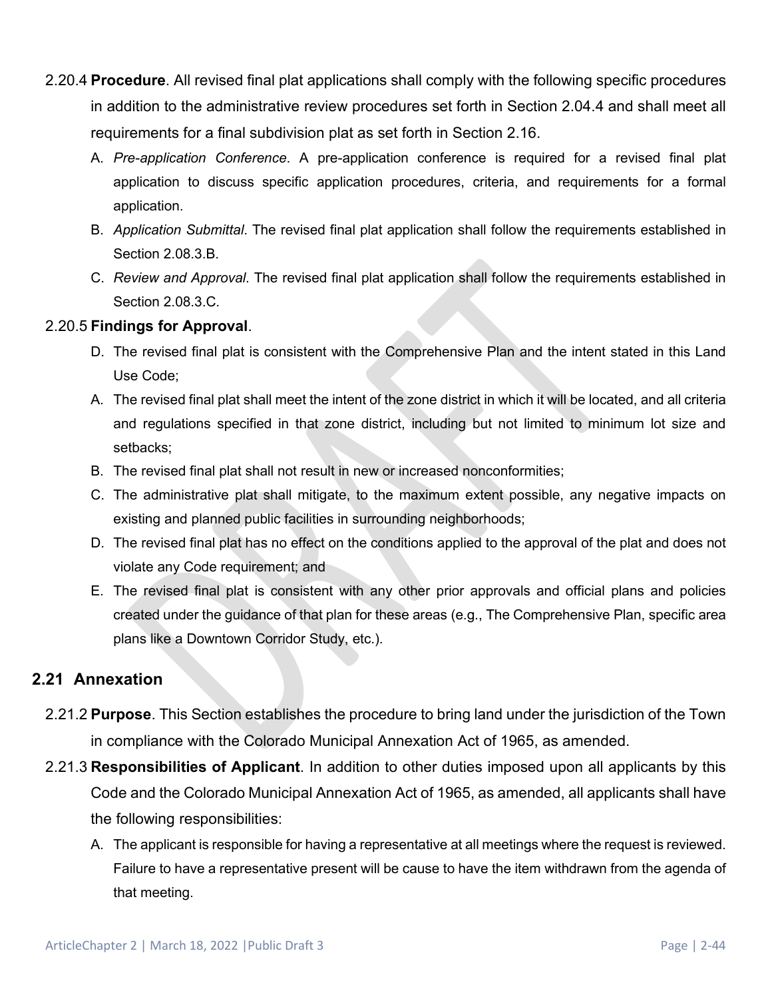- 2.20.4 **Procedure**. All revised final plat applications shall comply with the following specific procedures in addition to the administrative review procedures set forth in Section 2.04.4 and shall meet all requirements for a final subdivision plat as set forth in Section 2.16.
	- A. *Pre-application Conference*. A pre-application conference is required for a revised final plat application to discuss specific application procedures, criteria, and requirements for a formal application.
	- B. *Application Submittal*. The revised final plat application shall follow the requirements established in Section 2.08.3.B.
	- C. *Review and Approval*. The revised final plat application shall follow the requirements established in Section 2.08.3.C.

## 2.20.5 **Findings for Approval**.

- D. The revised final plat is consistent with the Comprehensive Plan and the intent stated in this Land Use Code;
- A. The revised final plat shall meet the intent of the zone district in which it will be located, and all criteria and regulations specified in that zone district, including but not limited to minimum lot size and setbacks;
- B. The revised final plat shall not result in new or increased nonconformities;
- C. The administrative plat shall mitigate, to the maximum extent possible, any negative impacts on existing and planned public facilities in surrounding neighborhoods;
- D. The revised final plat has no effect on the conditions applied to the approval of the plat and does not violate any Code requirement; and
- E. The revised final plat is consistent with any other prior approvals and official plans and policies created under the guidance of that plan for these areas (e.g., The Comprehensive Plan, specific area plans like a Downtown Corridor Study, etc.).

# **2.21 Annexation**

- 2.21.2 **Purpose**. This Section establishes the procedure to bring land under the jurisdiction of the Town in compliance with the Colorado Municipal Annexation Act of 1965, as amended.
- 2.21.3 **Responsibilities of Applicant**. In addition to other duties imposed upon all applicants by this Code and the Colorado Municipal Annexation Act of 1965, as amended, all applicants shall have the following responsibilities:
	- A. The applicant is responsible for having a representative at all meetings where the request is reviewed. Failure to have a representative present will be cause to have the item withdrawn from the agenda of that meeting.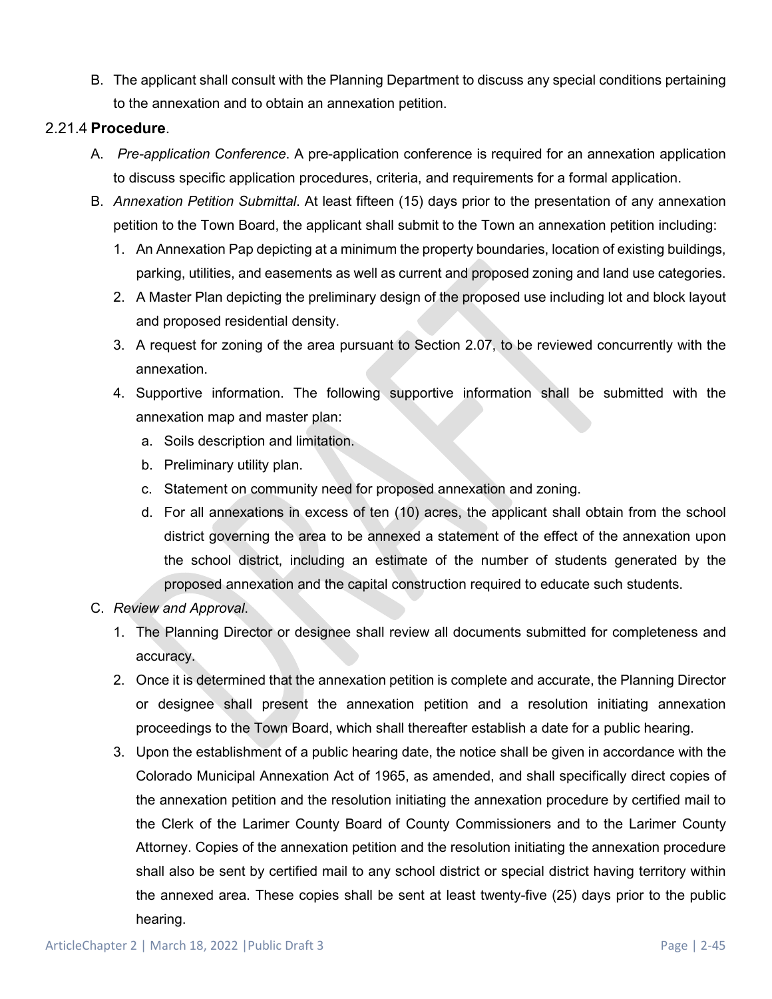B. The applicant shall consult with the Planning Department to discuss any special conditions pertaining to the annexation and to obtain an annexation petition.

#### 2.21.4 **Procedure**.

- A. *Pre-application Conference*. A pre-application conference is required for an annexation application to discuss specific application procedures, criteria, and requirements for a formal application.
- B. *Annexation Petition Submittal*. At least fifteen (15) days prior to the presentation of any annexation petition to the Town Board, the applicant shall submit to the Town an annexation petition including:
	- 1. An Annexation Pap depicting at a minimum the property boundaries, location of existing buildings, parking, utilities, and easements as well as current and proposed zoning and land use categories.
	- 2. A Master Plan depicting the preliminary design of the proposed use including lot and block layout and proposed residential density.
	- 3. A request for zoning of the area pursuant to Section 2.07, to be reviewed concurrently with the annexation.
	- 4. Supportive information. The following supportive information shall be submitted with the annexation map and master plan:
		- a. Soils description and limitation.
		- b. Preliminary utility plan.
		- c. Statement on community need for proposed annexation and zoning.
		- d. For all annexations in excess of ten (10) acres, the applicant shall obtain from the school district governing the area to be annexed a statement of the effect of the annexation upon the school district, including an estimate of the number of students generated by the proposed annexation and the capital construction required to educate such students.
- C. *Review and Approval*.
	- 1. The Planning Director or designee shall review all documents submitted for completeness and accuracy.
	- 2. Once it is determined that the annexation petition is complete and accurate, the Planning Director or designee shall present the annexation petition and a resolution initiating annexation proceedings to the Town Board, which shall thereafter establish a date for a public hearing.
	- 3. Upon the establishment of a public hearing date, the notice shall be given in accordance with the Colorado Municipal Annexation Act of 1965, as amended, and shall specifically direct copies of the annexation petition and the resolution initiating the annexation procedure by certified mail to the Clerk of the Larimer County Board of County Commissioners and to the Larimer County Attorney. Copies of the annexation petition and the resolution initiating the annexation procedure shall also be sent by certified mail to any school district or special district having territory within the annexed area. These copies shall be sent at least twenty-five (25) days prior to the public hearing.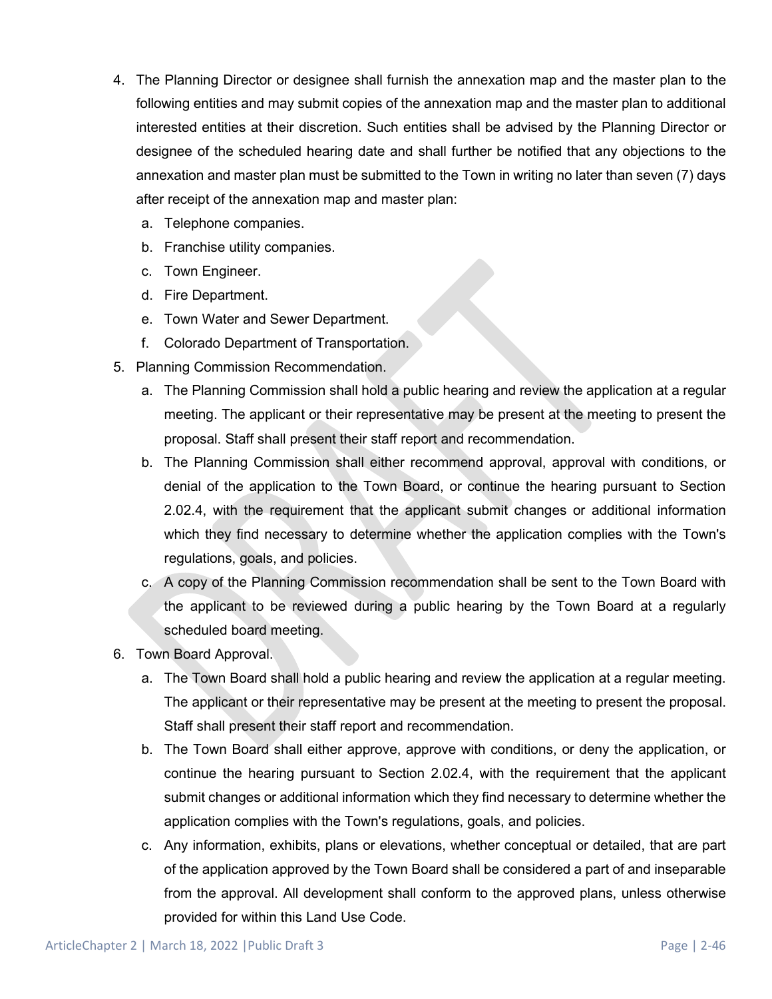- 4. The Planning Director or designee shall furnish the annexation map and the master plan to the following entities and may submit copies of the annexation map and the master plan to additional interested entities at their discretion. Such entities shall be advised by the Planning Director or designee of the scheduled hearing date and shall further be notified that any objections to the annexation and master plan must be submitted to the Town in writing no later than seven (7) days after receipt of the annexation map and master plan:
	- a. Telephone companies.
	- b. Franchise utility companies.
	- c. Town Engineer.
	- d. Fire Department.
	- e. Town Water and Sewer Department.
	- f. Colorado Department of Transportation.
- 5. Planning Commission Recommendation.
	- a. The Planning Commission shall hold a public hearing and review the application at a regular meeting. The applicant or their representative may be present at the meeting to present the proposal. Staff shall present their staff report and recommendation.
	- b. The Planning Commission shall either recommend approval, approval with conditions, or denial of the application to the Town Board, or continue the hearing pursuant to Section 2.02.4, with the requirement that the applicant submit changes or additional information which they find necessary to determine whether the application complies with the Town's regulations, goals, and policies.
	- c. A copy of the Planning Commission recommendation shall be sent to the Town Board with the applicant to be reviewed during a public hearing by the Town Board at a regularly scheduled board meeting.
- 6. Town Board Approval.
	- a. The Town Board shall hold a public hearing and review the application at a regular meeting. The applicant or their representative may be present at the meeting to present the proposal. Staff shall present their staff report and recommendation.
	- b. The Town Board shall either approve, approve with conditions, or deny the application, or continue the hearing pursuant to Section 2.02.4, with the requirement that the applicant submit changes or additional information which they find necessary to determine whether the application complies with the Town's regulations, goals, and policies.
	- c. Any information, exhibits, plans or elevations, whether conceptual or detailed, that are part of the application approved by the Town Board shall be considered a part of and inseparable from the approval. All development shall conform to the approved plans, unless otherwise provided for within this Land Use Code.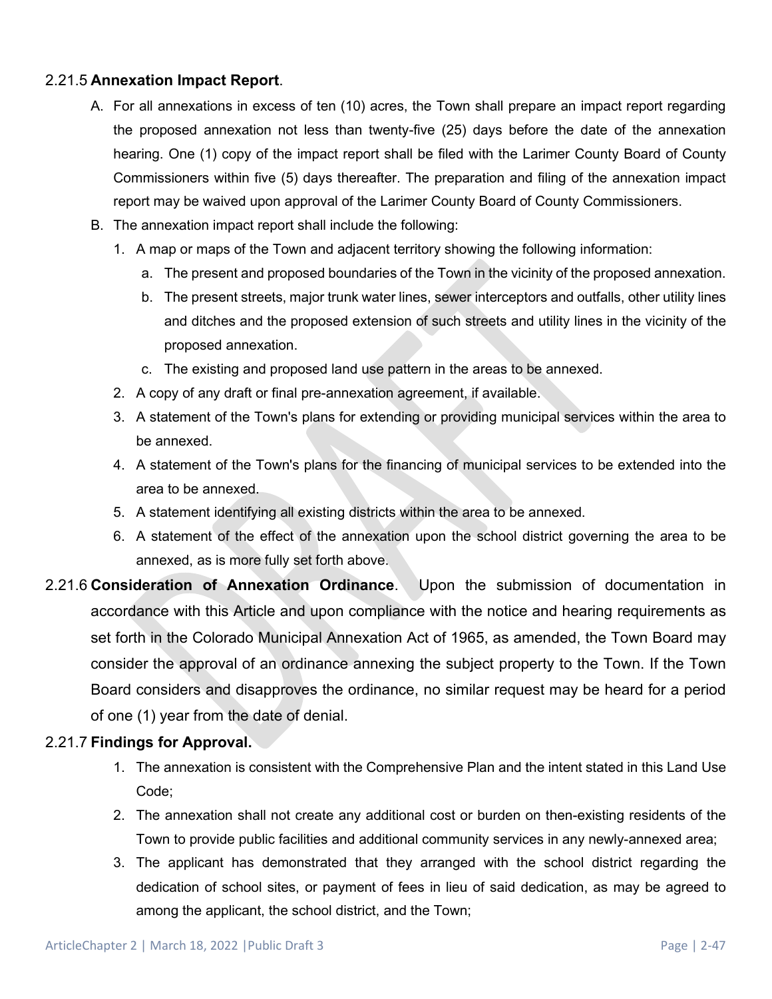#### 2.21.5 **Annexation Impact Report**.

- A. For all annexations in excess of ten (10) acres, the Town shall prepare an impact report regarding the proposed annexation not less than twenty-five (25) days before the date of the annexation hearing. One (1) copy of the impact report shall be filed with the Larimer County Board of County Commissioners within five (5) days thereafter. The preparation and filing of the annexation impact report may be waived upon approval of the Larimer County Board of County Commissioners.
- B. The annexation impact report shall include the following:
	- 1. A map or maps of the Town and adjacent territory showing the following information:
		- a. The present and proposed boundaries of the Town in the vicinity of the proposed annexation.
		- b. The present streets, major trunk water lines, sewer interceptors and outfalls, other utility lines and ditches and the proposed extension of such streets and utility lines in the vicinity of the proposed annexation.
		- c. The existing and proposed land use pattern in the areas to be annexed.
	- 2. A copy of any draft or final pre-annexation agreement, if available.
	- 3. A statement of the Town's plans for extending or providing municipal services within the area to be annexed.
	- 4. A statement of the Town's plans for the financing of municipal services to be extended into the area to be annexed.
	- 5. A statement identifying all existing districts within the area to be annexed.
	- 6. A statement of the effect of the annexation upon the school district governing the area to be annexed, as is more fully set forth above.
- 2.21.6 **Consideration of Annexation Ordinance**. Upon the submission of documentation in accordance with this Article and upon compliance with the notice and hearing requirements as set forth in the Colorado Municipal Annexation Act of 1965, as amended, the Town Board may consider the approval of an ordinance annexing the subject property to the Town. If the Town Board considers and disapproves the ordinance, no similar request may be heard for a period of one (1) year from the date of denial.

### 2.21.7 **Findings for Approval.**

- 1. The annexation is consistent with the Comprehensive Plan and the intent stated in this Land Use Code;
- 2. The annexation shall not create any additional cost or burden on then-existing residents of the Town to provide public facilities and additional community services in any newly-annexed area;
- 3. The applicant has demonstrated that they arranged with the school district regarding the dedication of school sites, or payment of fees in lieu of said dedication, as may be agreed to among the applicant, the school district, and the Town;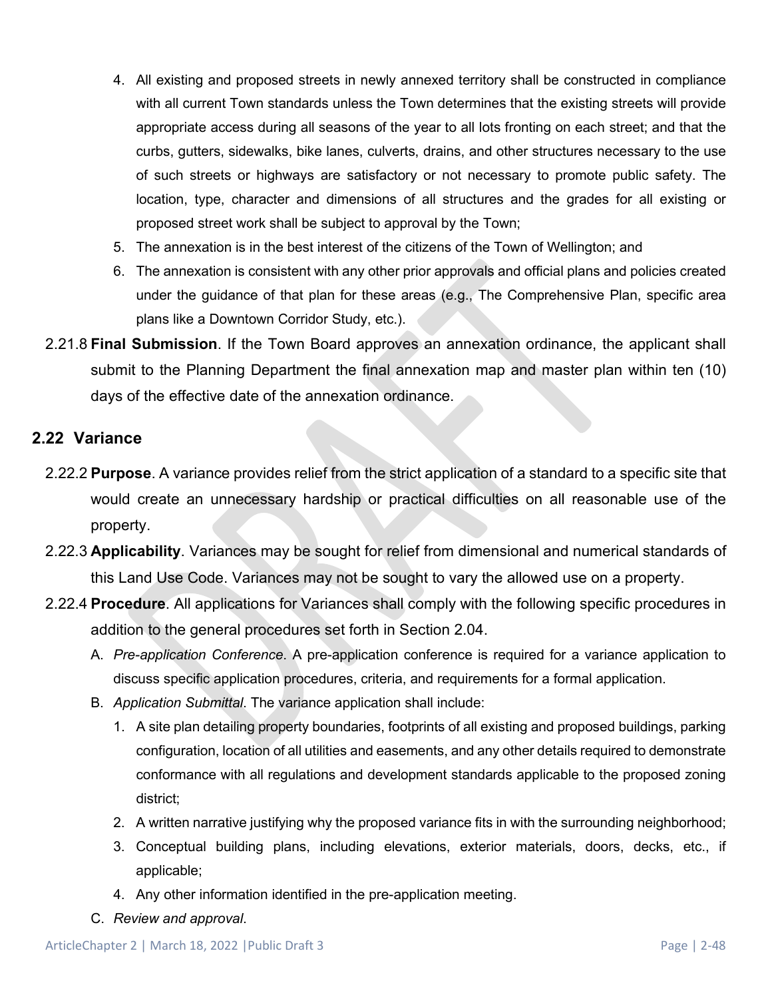- 4. All existing and proposed streets in newly annexed territory shall be constructed in compliance with all current Town standards unless the Town determines that the existing streets will provide appropriate access during all seasons of the year to all lots fronting on each street; and that the curbs, gutters, sidewalks, bike lanes, culverts, drains, and other structures necessary to the use of such streets or highways are satisfactory or not necessary to promote public safety. The location, type, character and dimensions of all structures and the grades for all existing or proposed street work shall be subject to approval by the Town;
- 5. The annexation is in the best interest of the citizens of the Town of Wellington; and
- 6. The annexation is consistent with any other prior approvals and official plans and policies created under the guidance of that plan for these areas (e.g., The Comprehensive Plan, specific area plans like a Downtown Corridor Study, etc.).
- 2.21.8 **Final Submission**. If the Town Board approves an annexation ordinance, the applicant shall submit to the Planning Department the final annexation map and master plan within ten (10) days of the effective date of the annexation ordinance.

## **2.22 Variance**

- 2.22.2 **Purpose**. A variance provides relief from the strict application of a standard to a specific site that would create an unnecessary hardship or practical difficulties on all reasonable use of the property.
- 2.22.3 **Applicability**. Variances may be sought for relief from dimensional and numerical standards of this Land Use Code. Variances may not be sought to vary the allowed use on a property.
- 2.22.4 **Procedure**. All applications for Variances shall comply with the following specific procedures in addition to the general procedures set forth in Section 2.04.
	- A. *Pre-application Conference*. A pre-application conference is required for a variance application to discuss specific application procedures, criteria, and requirements for a formal application.
	- B. *Application Submittal*. The variance application shall include:
		- 1. A site plan detailing property boundaries, footprints of all existing and proposed buildings, parking configuration, location of all utilities and easements, and any other details required to demonstrate conformance with all regulations and development standards applicable to the proposed zoning district;
		- 2. A written narrative justifying why the proposed variance fits in with the surrounding neighborhood;
		- 3. Conceptual building plans, including elevations, exterior materials, doors, decks, etc., if applicable;
		- 4. Any other information identified in the pre-application meeting.
	- C. *Review and approval*.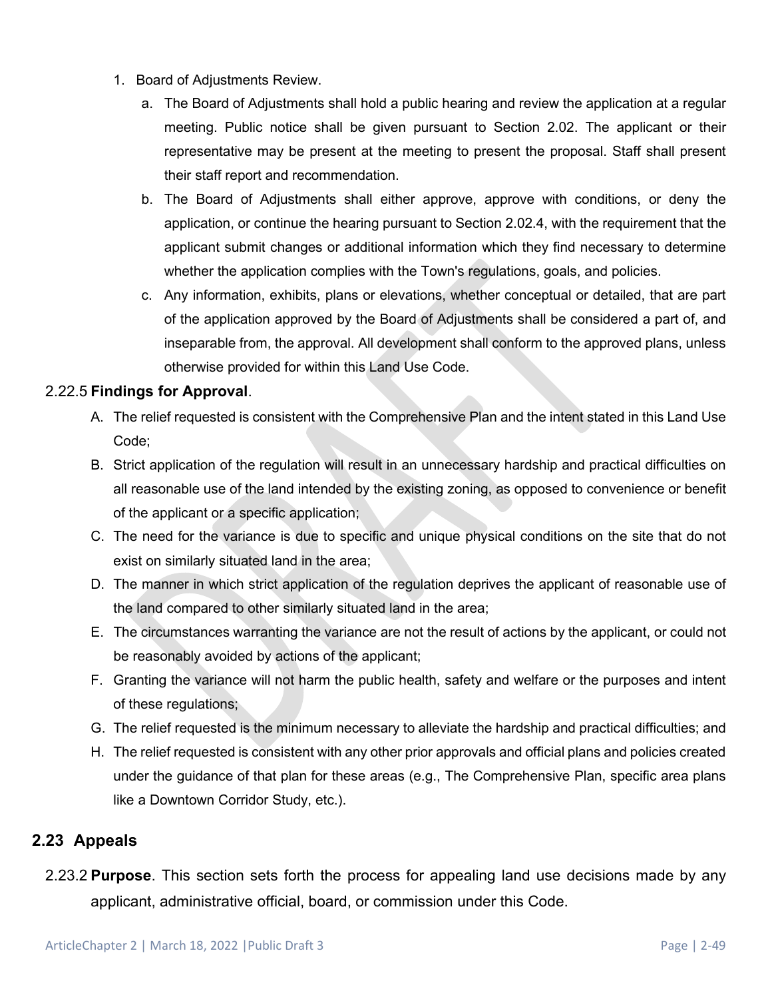- 1. Board of Adjustments Review.
	- a. The Board of Adjustments shall hold a public hearing and review the application at a regular meeting. Public notice shall be given pursuant to Section 2.02. The applicant or their representative may be present at the meeting to present the proposal. Staff shall present their staff report and recommendation.
	- b. The Board of Adjustments shall either approve, approve with conditions, or deny the application, or continue the hearing pursuant to Section 2.02.4, with the requirement that the applicant submit changes or additional information which they find necessary to determine whether the application complies with the Town's regulations, goals, and policies.
	- c. Any information, exhibits, plans or elevations, whether conceptual or detailed, that are part of the application approved by the Board of Adjustments shall be considered a part of, and inseparable from, the approval. All development shall conform to the approved plans, unless otherwise provided for within this Land Use Code.

### 2.22.5 **Findings for Approval**.

- A. The relief requested is consistent with the Comprehensive Plan and the intent stated in this Land Use Code;
- B. Strict application of the regulation will result in an unnecessary hardship and practical difficulties on all reasonable use of the land intended by the existing zoning, as opposed to convenience or benefit of the applicant or a specific application;
- C. The need for the variance is due to specific and unique physical conditions on the site that do not exist on similarly situated land in the area;
- D. The manner in which strict application of the regulation deprives the applicant of reasonable use of the land compared to other similarly situated land in the area;
- E. The circumstances warranting the variance are not the result of actions by the applicant, or could not be reasonably avoided by actions of the applicant;
- F. Granting the variance will not harm the public health, safety and welfare or the purposes and intent of these regulations;
- G. The relief requested is the minimum necessary to alleviate the hardship and practical difficulties; and
- H. The relief requested is consistent with any other prior approvals and official plans and policies created under the guidance of that plan for these areas (e.g., The Comprehensive Plan, specific area plans like a Downtown Corridor Study, etc.).

## **2.23 Appeals**

2.23.2 **Purpose**. This section sets forth the process for appealing land use decisions made by any applicant, administrative official, board, or commission under this Code.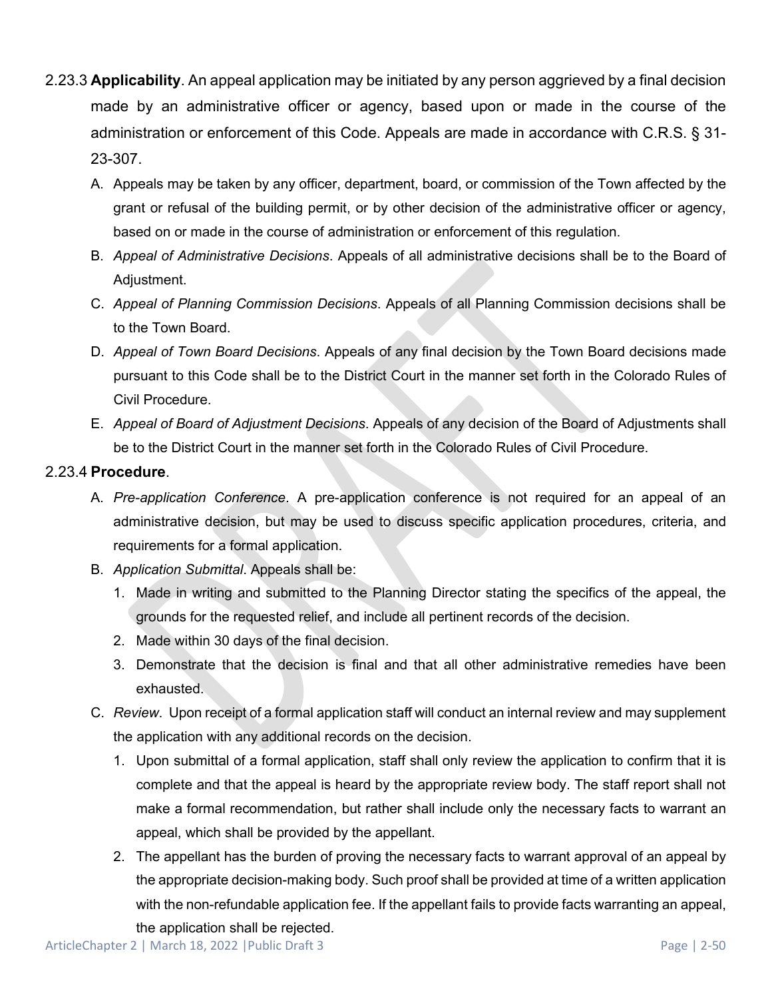- 2.23.3 **Applicability**. An appeal application may be initiated by any person aggrieved by a final decision made by an administrative officer or agency, based upon or made in the course of the administration or enforcement of this Code. Appeals are made in accordance with C.R.S. § 31- 23-307.
	- A. Appeals may be taken by any officer, department, board, or commission of the Town affected by the grant or refusal of the building permit, or by other decision of the administrative officer or agency, based on or made in the course of administration or enforcement of this regulation.
	- B. *Appeal of Administrative Decisions*. Appeals of all administrative decisions shall be to the Board of Adjustment.
	- C. *Appeal of Planning Commission Decisions*. Appeals of all Planning Commission decisions shall be to the Town Board.
	- D. *Appeal of Town Board Decisions*. Appeals of any final decision by the Town Board decisions made pursuant to this Code shall be to the District Court in the manner set forth in the Colorado Rules of Civil Procedure.
	- E. *Appeal of Board of Adjustment Decisions*. Appeals of any decision of the Board of Adjustments shall be to the District Court in the manner set forth in the Colorado Rules of Civil Procedure.

### 2.23.4 **Procedure**.

- A. *Pre-application Conference*. A pre-application conference is not required for an appeal of an administrative decision, but may be used to discuss specific application procedures, criteria, and requirements for a formal application.
- B. *Application Submittal*. Appeals shall be:
	- 1. Made in writing and submitted to the Planning Director stating the specifics of the appeal, the grounds for the requested relief, and include all pertinent records of the decision.
	- 2. Made within 30 days of the final decision.
	- 3. Demonstrate that the decision is final and that all other administrative remedies have been exhausted.
- C. *Review*. Upon receipt of a formal application staff will conduct an internal review and may supplement the application with any additional records on the decision.
	- 1. Upon submittal of a formal application, staff shall only review the application to confirm that it is complete and that the appeal is heard by the appropriate review body. The staff report shall not make a formal recommendation, but rather shall include only the necessary facts to warrant an appeal, which shall be provided by the appellant.
	- 2. The appellant has the burden of proving the necessary facts to warrant approval of an appeal by the appropriate decision-making body. Such proof shall be provided at time of a written application with the non-refundable application fee. If the appellant fails to provide facts warranting an appeal, the application shall be rejected.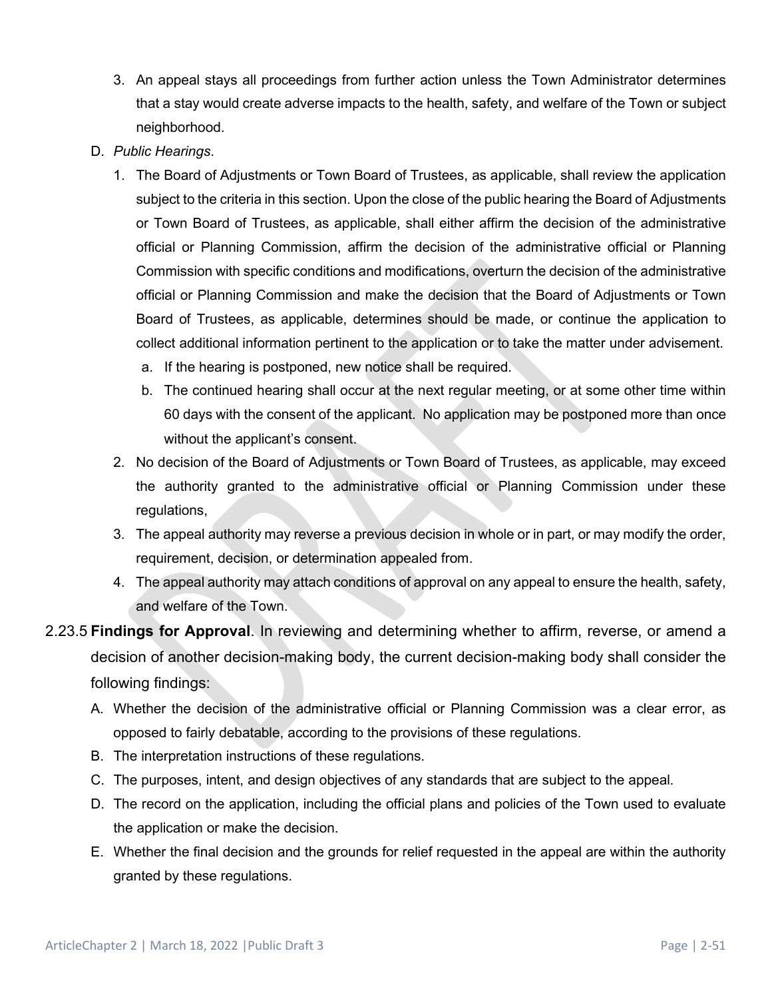- 3. An appeal stays all proceedings from further action unless the Town Administrator determines that a stay would create adverse impacts to the health, safety, and welfare of the Town or subject neighborhood.
- D. *Public Hearings*.
	- 1. The Board of Adjustments or Town Board of Trustees, as applicable, shall review the application subject to the criteria in this section. Upon the close of the public hearing the Board of Adjustments or Town Board of Trustees, as applicable, shall either affirm the decision of the administrative official or Planning Commission, affirm the decision of the administrative official or Planning Commission with specific conditions and modifications, overturn the decision of the administrative official or Planning Commission and make the decision that the Board of Adjustments or Town Board of Trustees, as applicable, determines should be made, or continue the application to collect additional information pertinent to the application or to take the matter under advisement.
		- a. If the hearing is postponed, new notice shall be required.
		- b. The continued hearing shall occur at the next regular meeting, or at some other time within 60 days with the consent of the applicant. No application may be postponed more than once without the applicant's consent.
	- 2. No decision of the Board of Adjustments or Town Board of Trustees, as applicable, may exceed the authority granted to the administrative official or Planning Commission under these regulations,
	- 3. The appeal authority may reverse a previous decision in whole or in part, or may modify the order, requirement, decision, or determination appealed from.
	- 4. The appeal authority may attach conditions of approval on any appeal to ensure the health, safety, and welfare of the Town.
- 2.23.5 **Findings for Approval**. In reviewing and determining whether to affirm, reverse, or amend a decision of another decision-making body, the current decision-making body shall consider the following findings:
	- A. Whether the decision of the administrative official or Planning Commission was a clear error, as opposed to fairly debatable, according to the provisions of these regulations.
	- B. The interpretation instructions of these regulations.
	- C. The purposes, intent, and design objectives of any standards that are subject to the appeal.
	- D. The record on the application, including the official plans and policies of the Town used to evaluate the application or make the decision.
	- E. Whether the final decision and the grounds for relief requested in the appeal are within the authority granted by these regulations.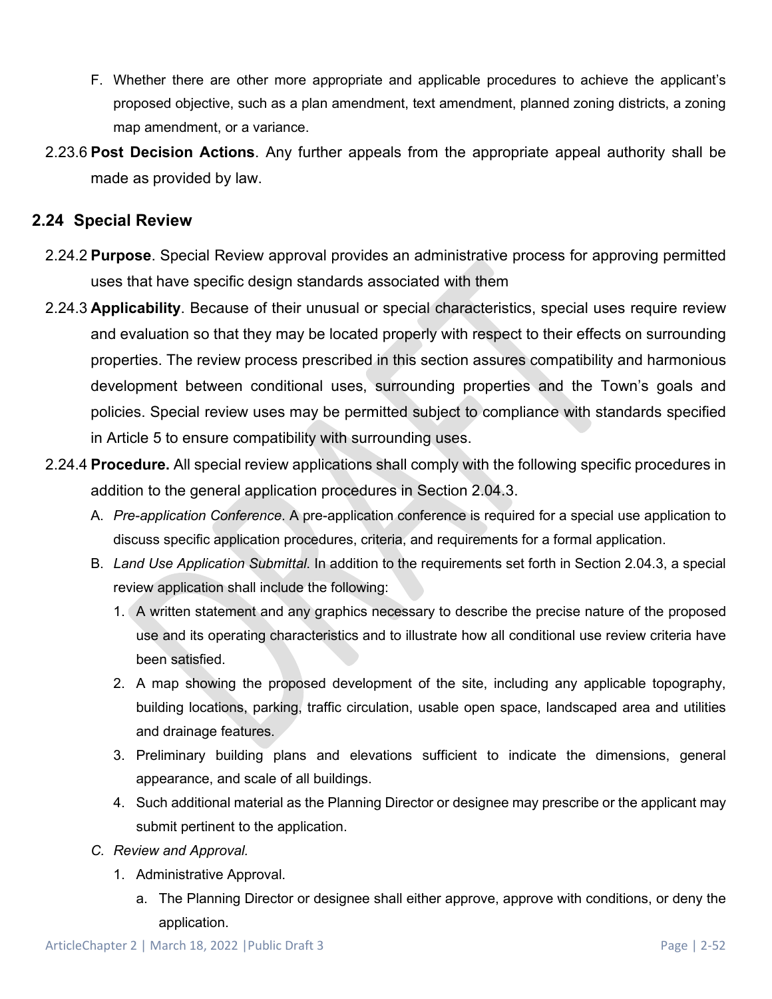- F. Whether there are other more appropriate and applicable procedures to achieve the applicant's proposed objective, such as a plan amendment, text amendment, planned zoning districts, a zoning map amendment, or a variance.
- 2.23.6 **Post Decision Actions**. Any further appeals from the appropriate appeal authority shall be made as provided by law.

## **2.24 Special Review**

- 2.24.2 **Purpose**. Special Review approval provides an administrative process for approving permitted uses that have specific design standards associated with them
- 2.24.3 **Applicability**. Because of their unusual or special characteristics, special uses require review and evaluation so that they may be located properly with respect to their effects on surrounding properties. The review process prescribed in this section assures compatibility and harmonious development between conditional uses, surrounding properties and the Town's goals and policies. Special review uses may be permitted subject to compliance with standards specified in Article 5 to ensure compatibility with surrounding uses.
- 2.24.4 **Procedure.** All special review applications shall comply with the following specific procedures in addition to the general application procedures in Section 2.04.3.
	- A. *Pre-application Conference*. A pre-application conference is required for a special use application to discuss specific application procedures, criteria, and requirements for a formal application.
	- B. *Land Use Application Submittal*. In addition to the requirements set forth in Section 2.04.3, a special review application shall include the following:
		- 1. A written statement and any graphics necessary to describe the precise nature of the proposed use and its operating characteristics and to illustrate how all conditional use review criteria have been satisfied.
		- 2. A map showing the proposed development of the site, including any applicable topography, building locations, parking, traffic circulation, usable open space, landscaped area and utilities and drainage features.
		- 3. Preliminary building plans and elevations sufficient to indicate the dimensions, general appearance, and scale of all buildings.
		- 4. Such additional material as the Planning Director or designee may prescribe or the applicant may submit pertinent to the application.
	- *C. Review and Approval.* 
		- 1. Administrative Approval.
			- a. The Planning Director or designee shall either approve, approve with conditions, or deny the application.